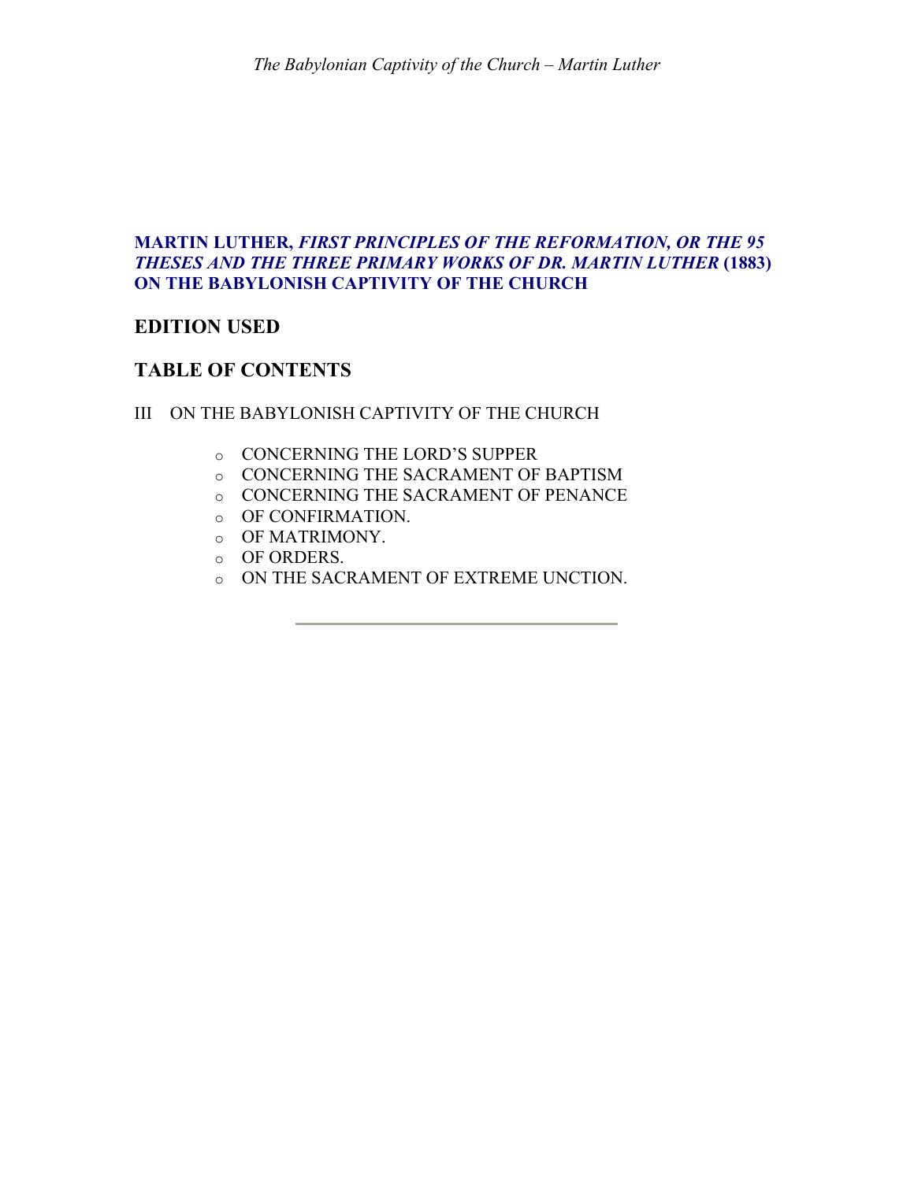### **MARTIN LUTHER,** *FIRST PRINCIPLES OF THE REFORMATION, OR THE 95 THESES AND THE THREE PRIMARY WORKS OF DR. MARTIN LUTHER* **(1883) ON THE BABYLONISH CAPTIVITY OF THE CHURCH**

### **EDITION USED**

### **TABLE OF CONTENTS**

#### III ON THE BABYLONISH CAPTIVITY OF THE CHURCH

- o CONCERNING THE LORD'S SUPPER
- o CONCERNING THE SACRAMENT OF BAPTISM
- o CONCERNING THE SACRAMENT OF PENANCE
- o OF CONFIRMATION.
- o OF MATRIMONY.
- o OF ORDERS.
- o ON THE SACRAMENT OF EXTREME UNCTION.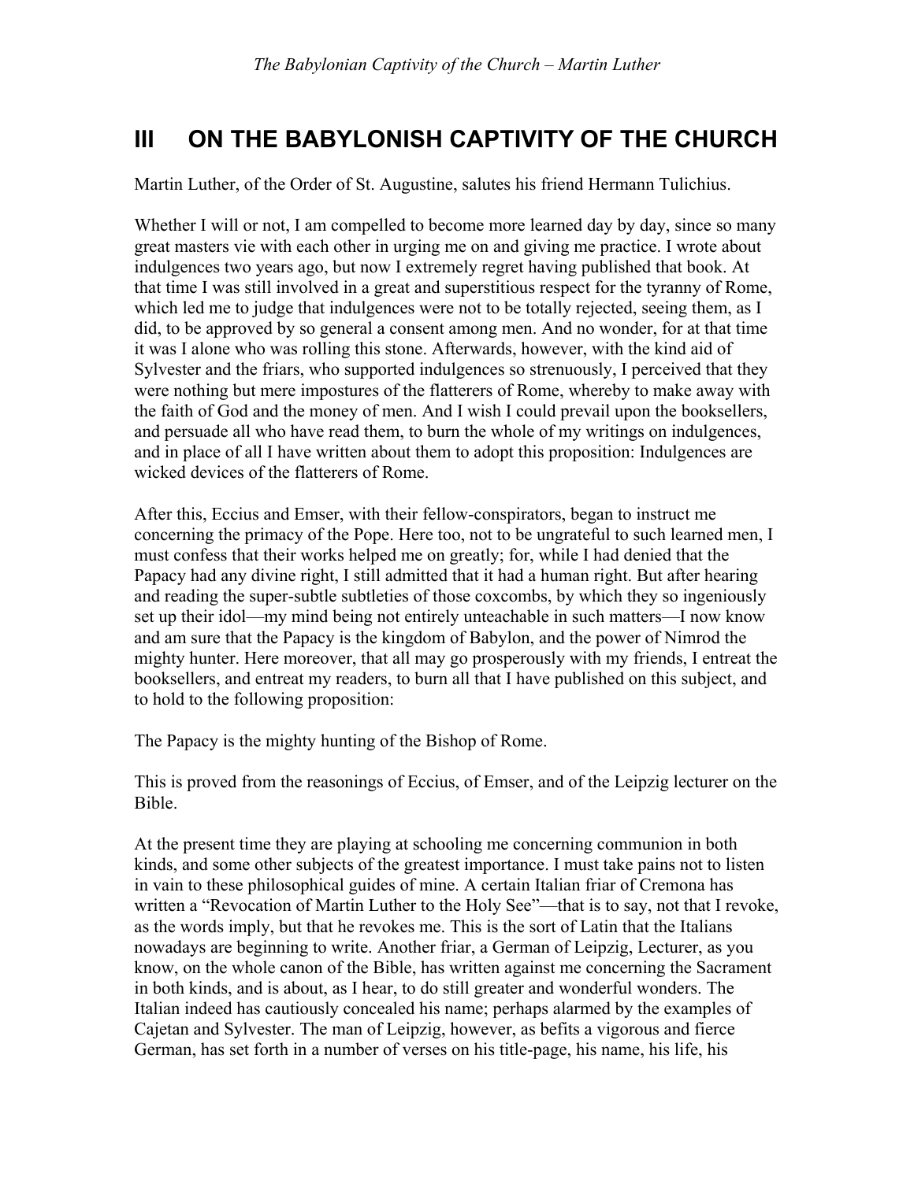# **III ON THE BABYLONISH CAPTIVITY OF THE CHURCH**

Martin Luther, of the Order of St. Augustine, salutes his friend Hermann Tulichius.

Whether I will or not, I am compelled to become more learned day by day, since so many great masters vie with each other in urging me on and giving me practice. I wrote about indulgences two years ago, but now I extremely regret having published that book. At that time I was still involved in a great and superstitious respect for the tyranny of Rome, which led me to judge that indulgences were not to be totally rejected, seeing them, as I did, to be approved by so general a consent among men. And no wonder, for at that time it was I alone who was rolling this stone. Afterwards, however, with the kind aid of Sylvester and the friars, who supported indulgences so strenuously, I perceived that they were nothing but mere impostures of the flatterers of Rome, whereby to make away with the faith of God and the money of men. And I wish I could prevail upon the booksellers, and persuade all who have read them, to burn the whole of my writings on indulgences, and in place of all I have written about them to adopt this proposition: Indulgences are wicked devices of the flatterers of Rome.

After this, Eccius and Emser, with their fellow-conspirators, began to instruct me concerning the primacy of the Pope. Here too, not to be ungrateful to such learned men, I must confess that their works helped me on greatly; for, while I had denied that the Papacy had any divine right, I still admitted that it had a human right. But after hearing and reading the super-subtle subtleties of those coxcombs, by which they so ingeniously set up their idol—my mind being not entirely unteachable in such matters—I now know and am sure that the Papacy is the kingdom of Babylon, and the power of Nimrod the mighty hunter. Here moreover, that all may go prosperously with my friends, I entreat the booksellers, and entreat my readers, to burn all that I have published on this subject, and to hold to the following proposition:

The Papacy is the mighty hunting of the Bishop of Rome.

This is proved from the reasonings of Eccius, of Emser, and of the Leipzig lecturer on the Bible.

At the present time they are playing at schooling me concerning communion in both kinds, and some other subjects of the greatest importance. I must take pains not to listen in vain to these philosophical guides of mine. A certain Italian friar of Cremona has written a "Revocation of Martin Luther to the Holy See"—that is to say, not that I revoke, as the words imply, but that he revokes me. This is the sort of Latin that the Italians nowadays are beginning to write. Another friar, a German of Leipzig, Lecturer, as you know, on the whole canon of the Bible, has written against me concerning the Sacrament in both kinds, and is about, as I hear, to do still greater and wonderful wonders. The Italian indeed has cautiously concealed his name; perhaps alarmed by the examples of Cajetan and Sylvester. The man of Leipzig, however, as befits a vigorous and fierce German, has set forth in a number of verses on his title-page, his name, his life, his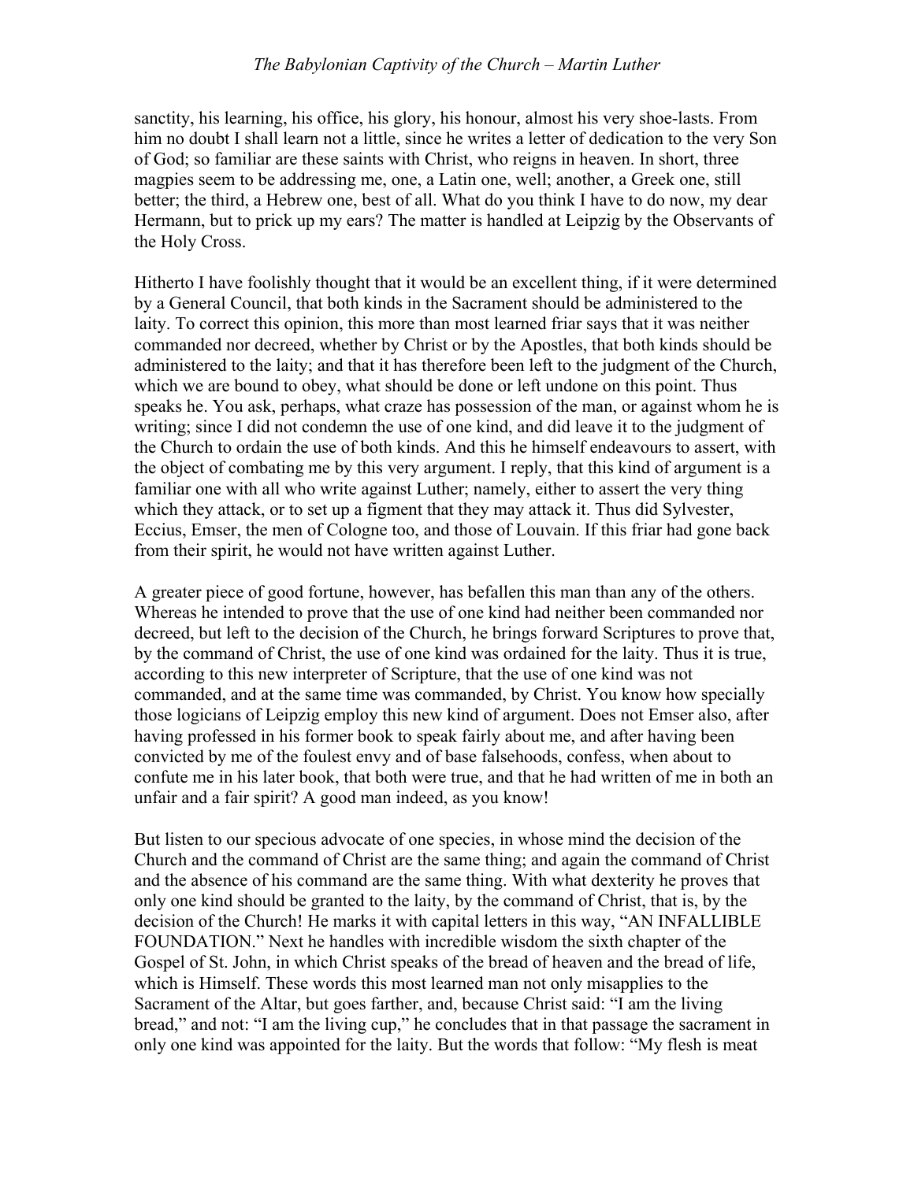sanctity, his learning, his office, his glory, his honour, almost his very shoe-lasts. From him no doubt I shall learn not a little, since he writes a letter of dedication to the very Son of God; so familiar are these saints with Christ, who reigns in heaven. In short, three magpies seem to be addressing me, one, a Latin one, well; another, a Greek one, still better; the third, a Hebrew one, best of all. What do you think I have to do now, my dear Hermann, but to prick up my ears? The matter is handled at Leipzig by the Observants of the Holy Cross.

Hitherto I have foolishly thought that it would be an excellent thing, if it were determined by a General Council, that both kinds in the Sacrament should be administered to the laity. To correct this opinion, this more than most learned friar says that it was neither commanded nor decreed, whether by Christ or by the Apostles, that both kinds should be administered to the laity; and that it has therefore been left to the judgment of the Church, which we are bound to obey, what should be done or left undone on this point. Thus speaks he. You ask, perhaps, what craze has possession of the man, or against whom he is writing; since I did not condemn the use of one kind, and did leave it to the judgment of the Church to ordain the use of both kinds. And this he himself endeavours to assert, with the object of combating me by this very argument. I reply, that this kind of argument is a familiar one with all who write against Luther; namely, either to assert the very thing which they attack, or to set up a figment that they may attack it. Thus did Sylvester, Eccius, Emser, the men of Cologne too, and those of Louvain. If this friar had gone back from their spirit, he would not have written against Luther.

A greater piece of good fortune, however, has befallen this man than any of the others. Whereas he intended to prove that the use of one kind had neither been commanded nor decreed, but left to the decision of the Church, he brings forward Scriptures to prove that, by the command of Christ, the use of one kind was ordained for the laity. Thus it is true, according to this new interpreter of Scripture, that the use of one kind was not commanded, and at the same time was commanded, by Christ. You know how specially those logicians of Leipzig employ this new kind of argument. Does not Emser also, after having professed in his former book to speak fairly about me, and after having been convicted by me of the foulest envy and of base falsehoods, confess, when about to confute me in his later book, that both were true, and that he had written of me in both an unfair and a fair spirit? A good man indeed, as you know!

But listen to our specious advocate of one species, in whose mind the decision of the Church and the command of Christ are the same thing; and again the command of Christ and the absence of his command are the same thing. With what dexterity he proves that only one kind should be granted to the laity, by the command of Christ, that is, by the decision of the Church! He marks it with capital letters in this way, "AN INFALLIBLE FOUNDATION." Next he handles with incredible wisdom the sixth chapter of the Gospel of St. John, in which Christ speaks of the bread of heaven and the bread of life, which is Himself. These words this most learned man not only misapplies to the Sacrament of the Altar, but goes farther, and, because Christ said: "I am the living bread," and not: "I am the living cup," he concludes that in that passage the sacrament in only one kind was appointed for the laity. But the words that follow: "My flesh is meat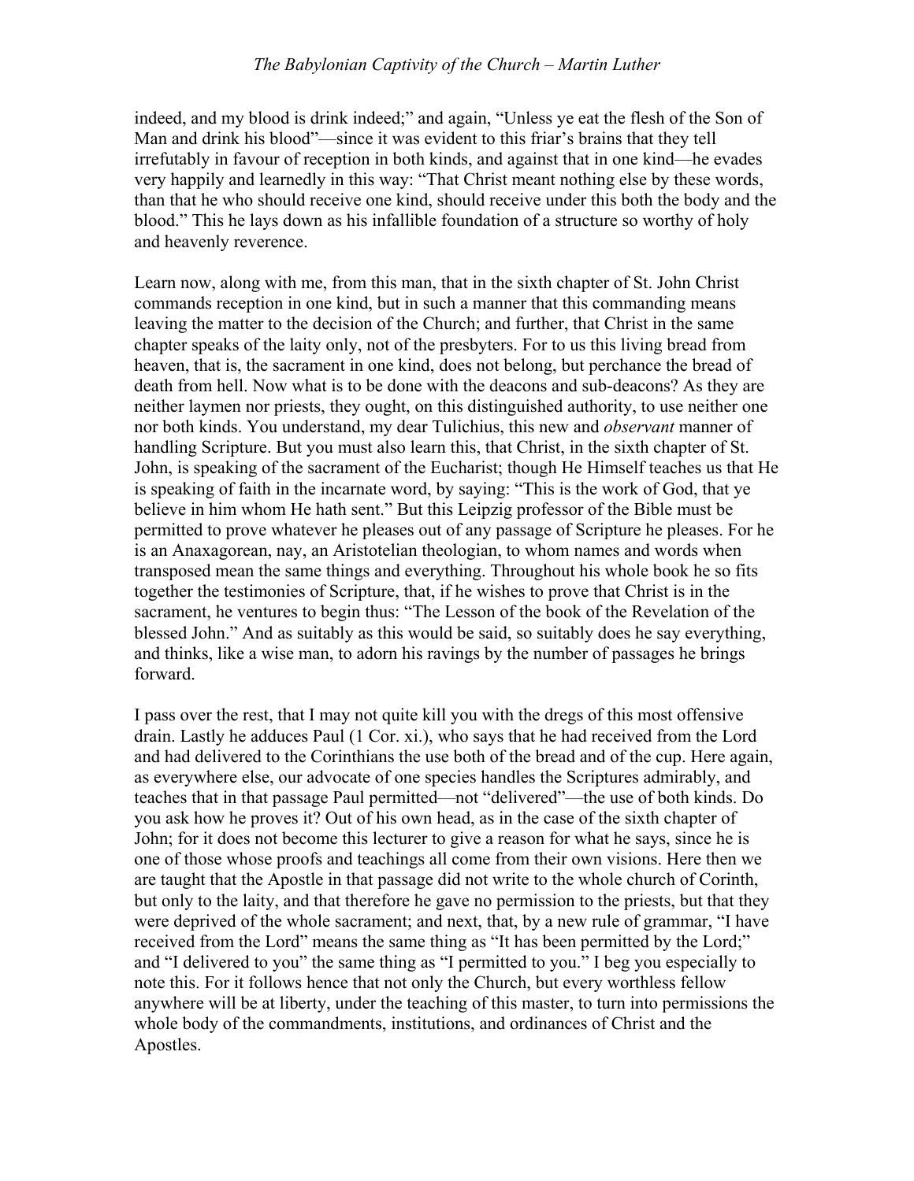indeed, and my blood is drink indeed;" and again, "Unless ye eat the flesh of the Son of Man and drink his blood"—since it was evident to this friar's brains that they tell irrefutably in favour of reception in both kinds, and against that in one kind—he evades very happily and learnedly in this way: "That Christ meant nothing else by these words, than that he who should receive one kind, should receive under this both the body and the blood." This he lays down as his infallible foundation of a structure so worthy of holy and heavenly reverence.

Learn now, along with me, from this man, that in the sixth chapter of St. John Christ commands reception in one kind, but in such a manner that this commanding means leaving the matter to the decision of the Church; and further, that Christ in the same chapter speaks of the laity only, not of the presbyters. For to us this living bread from heaven, that is, the sacrament in one kind, does not belong, but perchance the bread of death from hell. Now what is to be done with the deacons and sub-deacons? As they are neither laymen nor priests, they ought, on this distinguished authority, to use neither one nor both kinds. You understand, my dear Tulichius, this new and *observant* manner of handling Scripture. But you must also learn this, that Christ, in the sixth chapter of St. John, is speaking of the sacrament of the Eucharist; though He Himself teaches us that He is speaking of faith in the incarnate word, by saying: "This is the work of God, that ye believe in him whom He hath sent." But this Leipzig professor of the Bible must be permitted to prove whatever he pleases out of any passage of Scripture he pleases. For he is an Anaxagorean, nay, an Aristotelian theologian, to whom names and words when transposed mean the same things and everything. Throughout his whole book he so fits together the testimonies of Scripture, that, if he wishes to prove that Christ is in the sacrament, he ventures to begin thus: "The Lesson of the book of the Revelation of the blessed John." And as suitably as this would be said, so suitably does he say everything, and thinks, like a wise man, to adorn his ravings by the number of passages he brings forward.

I pass over the rest, that I may not quite kill you with the dregs of this most offensive drain. Lastly he adduces Paul (1 Cor. xi.), who says that he had received from the Lord and had delivered to the Corinthians the use both of the bread and of the cup. Here again, as everywhere else, our advocate of one species handles the Scriptures admirably, and teaches that in that passage Paul permitted—not "delivered"—the use of both kinds. Do you ask how he proves it? Out of his own head, as in the case of the sixth chapter of John; for it does not become this lecturer to give a reason for what he says, since he is one of those whose proofs and teachings all come from their own visions. Here then we are taught that the Apostle in that passage did not write to the whole church of Corinth, but only to the laity, and that therefore he gave no permission to the priests, but that they were deprived of the whole sacrament; and next, that, by a new rule of grammar, "I have received from the Lord" means the same thing as "It has been permitted by the Lord;" and "I delivered to you" the same thing as "I permitted to you." I beg you especially to note this. For it follows hence that not only the Church, but every worthless fellow anywhere will be at liberty, under the teaching of this master, to turn into permissions the whole body of the commandments, institutions, and ordinances of Christ and the Apostles.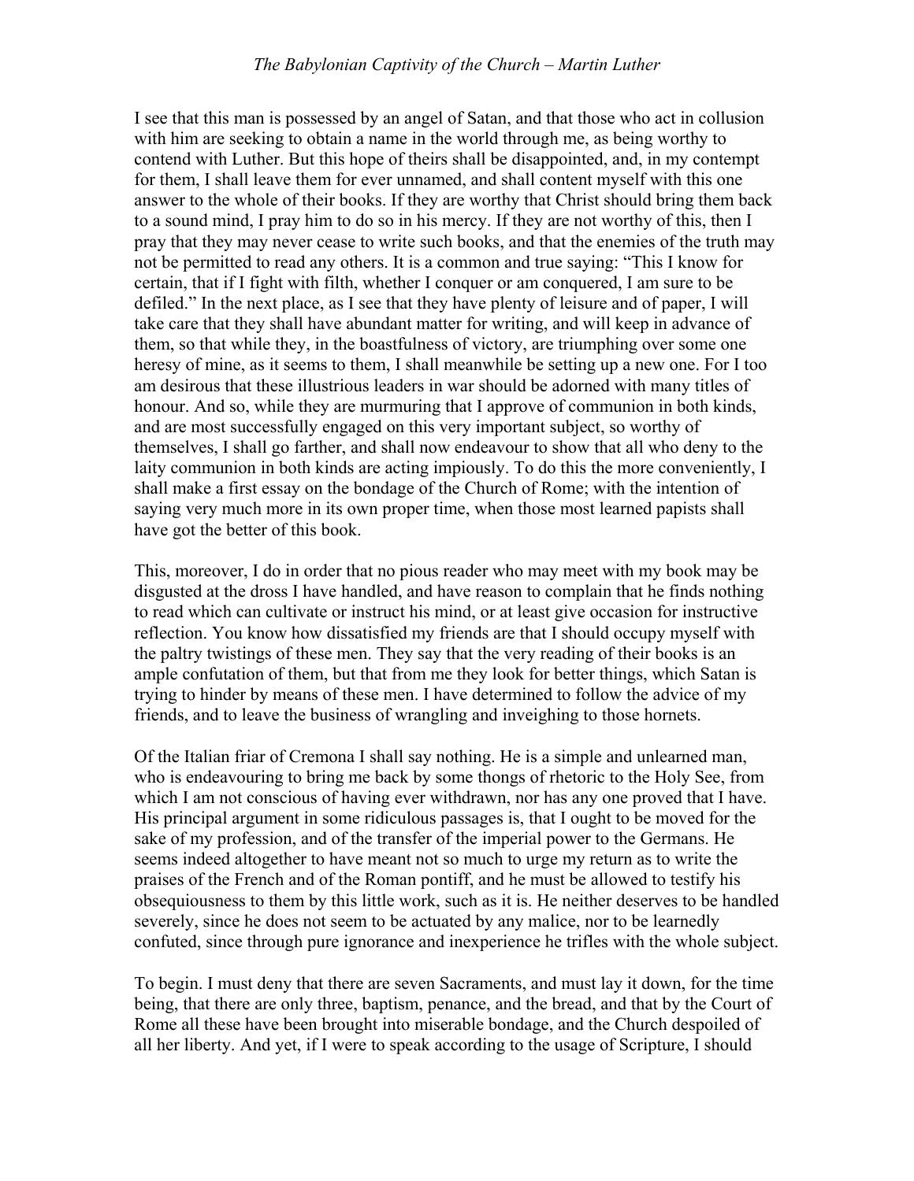I see that this man is possessed by an angel of Satan, and that those who act in collusion with him are seeking to obtain a name in the world through me, as being worthy to contend with Luther. But this hope of theirs shall be disappointed, and, in my contempt for them, I shall leave them for ever unnamed, and shall content myself with this one answer to the whole of their books. If they are worthy that Christ should bring them back to a sound mind, I pray him to do so in his mercy. If they are not worthy of this, then I pray that they may never cease to write such books, and that the enemies of the truth may not be permitted to read any others. It is a common and true saying: "This I know for certain, that if I fight with filth, whether I conquer or am conquered, I am sure to be defiled." In the next place, as I see that they have plenty of leisure and of paper, I will take care that they shall have abundant matter for writing, and will keep in advance of them, so that while they, in the boastfulness of victory, are triumphing over some one heresy of mine, as it seems to them, I shall meanwhile be setting up a new one. For I too am desirous that these illustrious leaders in war should be adorned with many titles of honour. And so, while they are murmuring that I approve of communion in both kinds, and are most successfully engaged on this very important subject, so worthy of themselves, I shall go farther, and shall now endeavour to show that all who deny to the laity communion in both kinds are acting impiously. To do this the more conveniently, I shall make a first essay on the bondage of the Church of Rome; with the intention of saying very much more in its own proper time, when those most learned papists shall have got the better of this book.

This, moreover, I do in order that no pious reader who may meet with my book may be disgusted at the dross I have handled, and have reason to complain that he finds nothing to read which can cultivate or instruct his mind, or at least give occasion for instructive reflection. You know how dissatisfied my friends are that I should occupy myself with the paltry twistings of these men. They say that the very reading of their books is an ample confutation of them, but that from me they look for better things, which Satan is trying to hinder by means of these men. I have determined to follow the advice of my friends, and to leave the business of wrangling and inveighing to those hornets.

Of the Italian friar of Cremona I shall say nothing. He is a simple and unlearned man, who is endeavouring to bring me back by some thongs of rhetoric to the Holy See, from which I am not conscious of having ever withdrawn, nor has any one proved that I have. His principal argument in some ridiculous passages is, that I ought to be moved for the sake of my profession, and of the transfer of the imperial power to the Germans. He seems indeed altogether to have meant not so much to urge my return as to write the praises of the French and of the Roman pontiff, and he must be allowed to testify his obsequiousness to them by this little work, such as it is. He neither deserves to be handled severely, since he does not seem to be actuated by any malice, nor to be learnedly confuted, since through pure ignorance and inexperience he trifles with the whole subject.

To begin. I must deny that there are seven Sacraments, and must lay it down, for the time being, that there are only three, baptism, penance, and the bread, and that by the Court of Rome all these have been brought into miserable bondage, and the Church despoiled of all her liberty. And yet, if I were to speak according to the usage of Scripture, I should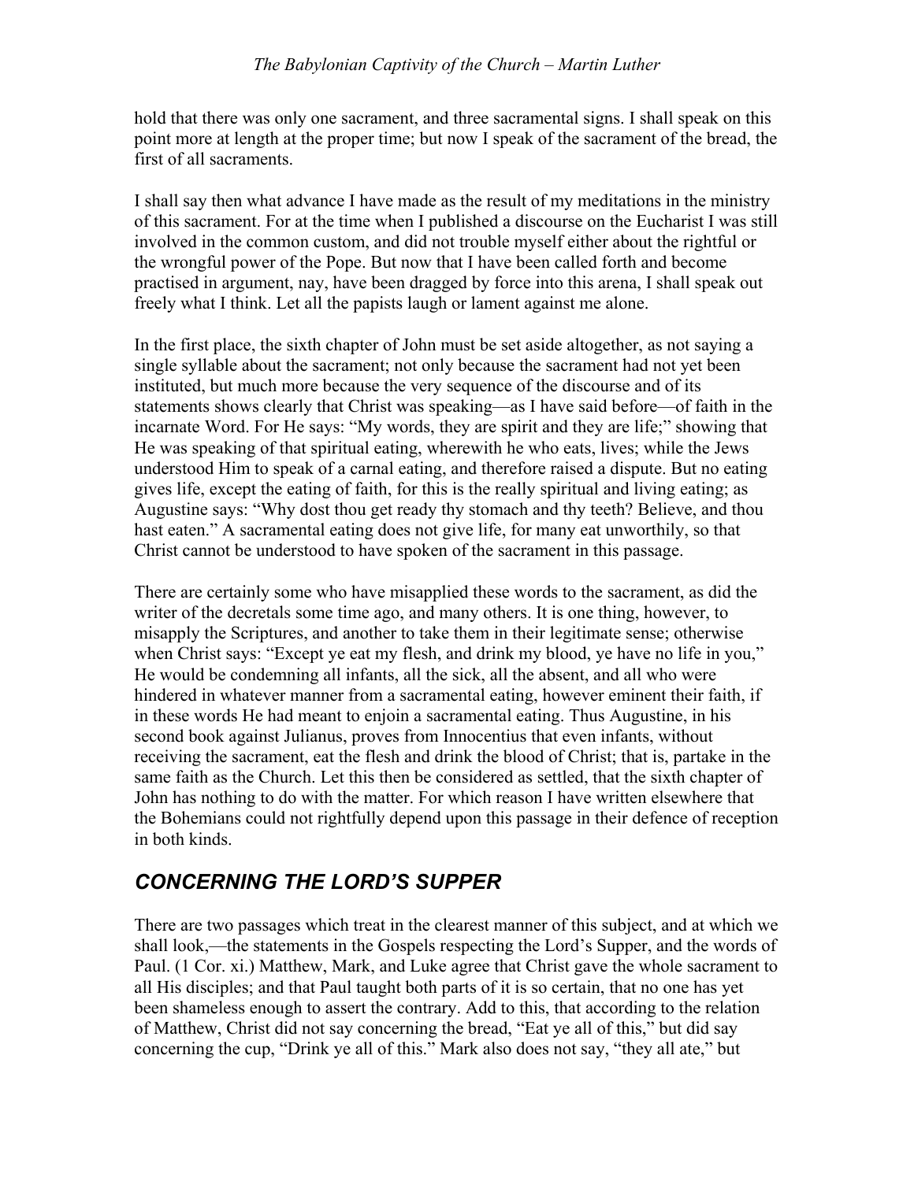hold that there was only one sacrament, and three sacramental signs. I shall speak on this point more at length at the proper time; but now I speak of the sacrament of the bread, the first of all sacraments.

I shall say then what advance I have made as the result of my meditations in the ministry of this sacrament. For at the time when I published a discourse on the Eucharist I was still involved in the common custom, and did not trouble myself either about the rightful or the wrongful power of the Pope. But now that I have been called forth and become practised in argument, nay, have been dragged by force into this arena, I shall speak out freely what I think. Let all the papists laugh or lament against me alone.

In the first place, the sixth chapter of John must be set aside altogether, as not saying a single syllable about the sacrament; not only because the sacrament had not yet been instituted, but much more because the very sequence of the discourse and of its statements shows clearly that Christ was speaking—as I have said before—of faith in the incarnate Word. For He says: "My words, they are spirit and they are life;" showing that He was speaking of that spiritual eating, wherewith he who eats, lives; while the Jews understood Him to speak of a carnal eating, and therefore raised a dispute. But no eating gives life, except the eating of faith, for this is the really spiritual and living eating; as Augustine says: "Why dost thou get ready thy stomach and thy teeth? Believe, and thou hast eaten." A sacramental eating does not give life, for many eat unworthily, so that Christ cannot be understood to have spoken of the sacrament in this passage.

There are certainly some who have misapplied these words to the sacrament, as did the writer of the decretals some time ago, and many others. It is one thing, however, to misapply the Scriptures, and another to take them in their legitimate sense; otherwise when Christ says: "Except ye eat my flesh, and drink my blood, ye have no life in you," He would be condemning all infants, all the sick, all the absent, and all who were hindered in whatever manner from a sacramental eating, however eminent their faith, if in these words He had meant to enjoin a sacramental eating. Thus Augustine, in his second book against Julianus, proves from Innocentius that even infants, without receiving the sacrament, eat the flesh and drink the blood of Christ; that is, partake in the same faith as the Church. Let this then be considered as settled, that the sixth chapter of John has nothing to do with the matter. For which reason I have written elsewhere that the Bohemians could not rightfully depend upon this passage in their defence of reception in both kinds.

## *CONCERNING THE LORD'S SUPPER*

There are two passages which treat in the clearest manner of this subject, and at which we shall look,—the statements in the Gospels respecting the Lord's Supper, and the words of Paul. (1 Cor. xi.) Matthew, Mark, and Luke agree that Christ gave the whole sacrament to all His disciples; and that Paul taught both parts of it is so certain, that no one has yet been shameless enough to assert the contrary. Add to this, that according to the relation of Matthew, Christ did not say concerning the bread, "Eat ye all of this," but did say concerning the cup, "Drink ye all of this." Mark also does not say, "they all ate," but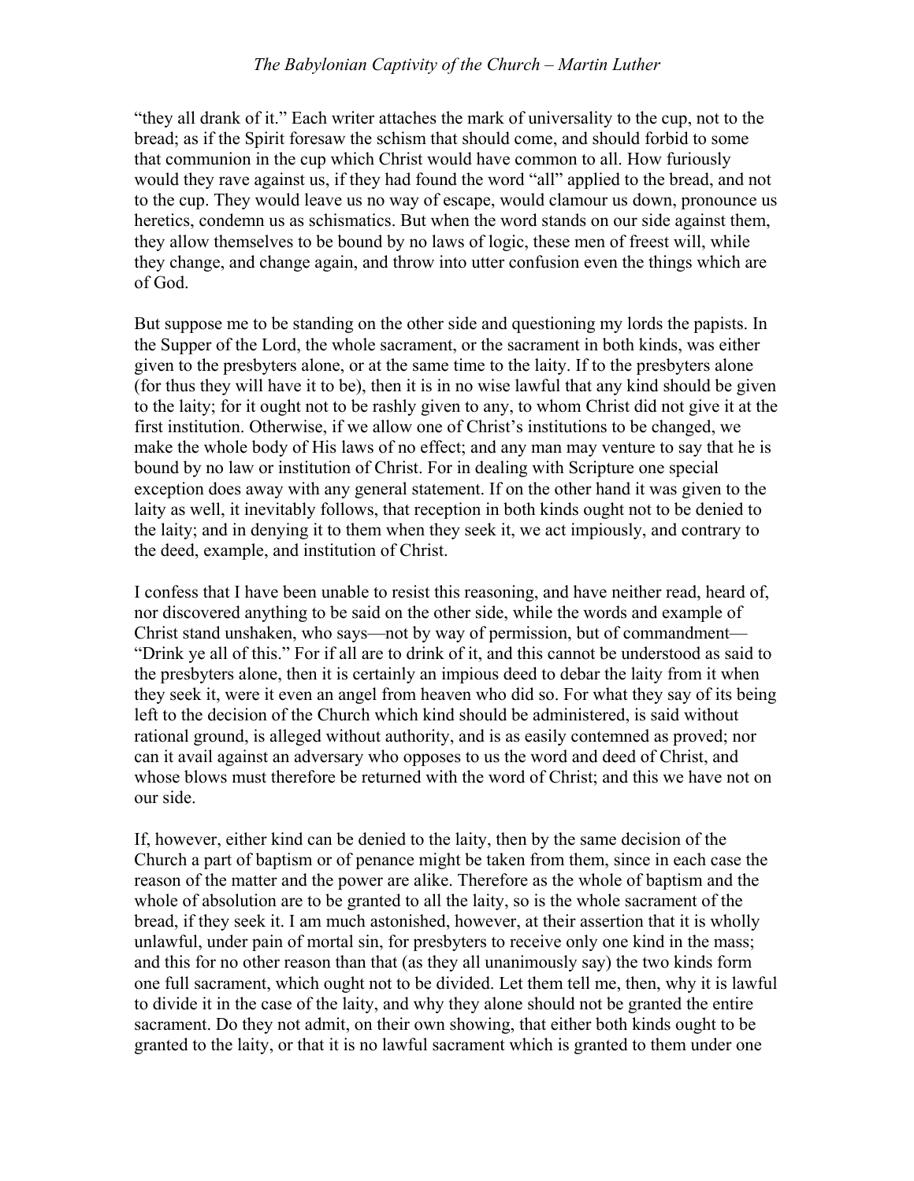"they all drank of it." Each writer attaches the mark of universality to the cup, not to the bread; as if the Spirit foresaw the schism that should come, and should forbid to some that communion in the cup which Christ would have common to all. How furiously would they rave against us, if they had found the word "all" applied to the bread, and not to the cup. They would leave us no way of escape, would clamour us down, pronounce us heretics, condemn us as schismatics. But when the word stands on our side against them, they allow themselves to be bound by no laws of logic, these men of freest will, while they change, and change again, and throw into utter confusion even the things which are of God.

But suppose me to be standing on the other side and questioning my lords the papists. In the Supper of the Lord, the whole sacrament, or the sacrament in both kinds, was either given to the presbyters alone, or at the same time to the laity. If to the presbyters alone (for thus they will have it to be), then it is in no wise lawful that any kind should be given to the laity; for it ought not to be rashly given to any, to whom Christ did not give it at the first institution. Otherwise, if we allow one of Christ's institutions to be changed, we make the whole body of His laws of no effect; and any man may venture to say that he is bound by no law or institution of Christ. For in dealing with Scripture one special exception does away with any general statement. If on the other hand it was given to the laity as well, it inevitably follows, that reception in both kinds ought not to be denied to the laity; and in denying it to them when they seek it, we act impiously, and contrary to the deed, example, and institution of Christ.

I confess that I have been unable to resist this reasoning, and have neither read, heard of, nor discovered anything to be said on the other side, while the words and example of Christ stand unshaken, who says—not by way of permission, but of commandment— "Drink ye all of this." For if all are to drink of it, and this cannot be understood as said to the presbyters alone, then it is certainly an impious deed to debar the laity from it when they seek it, were it even an angel from heaven who did so. For what they say of its being left to the decision of the Church which kind should be administered, is said without rational ground, is alleged without authority, and is as easily contemned as proved; nor can it avail against an adversary who opposes to us the word and deed of Christ, and whose blows must therefore be returned with the word of Christ; and this we have not on our side.

If, however, either kind can be denied to the laity, then by the same decision of the Church a part of baptism or of penance might be taken from them, since in each case the reason of the matter and the power are alike. Therefore as the whole of baptism and the whole of absolution are to be granted to all the laity, so is the whole sacrament of the bread, if they seek it. I am much astonished, however, at their assertion that it is wholly unlawful, under pain of mortal sin, for presbyters to receive only one kind in the mass; and this for no other reason than that (as they all unanimously say) the two kinds form one full sacrament, which ought not to be divided. Let them tell me, then, why it is lawful to divide it in the case of the laity, and why they alone should not be granted the entire sacrament. Do they not admit, on their own showing, that either both kinds ought to be granted to the laity, or that it is no lawful sacrament which is granted to them under one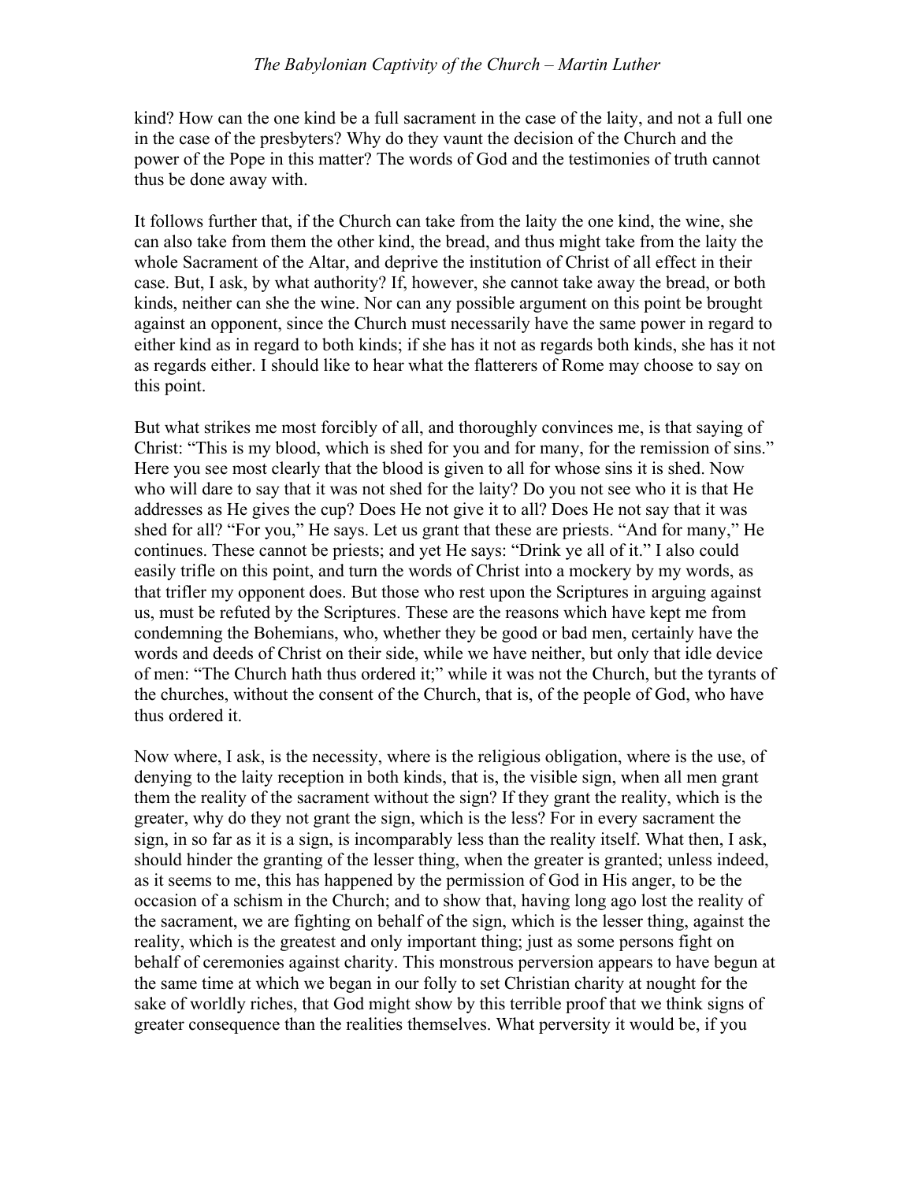kind? How can the one kind be a full sacrament in the case of the laity, and not a full one in the case of the presbyters? Why do they vaunt the decision of the Church and the power of the Pope in this matter? The words of God and the testimonies of truth cannot thus be done away with.

It follows further that, if the Church can take from the laity the one kind, the wine, she can also take from them the other kind, the bread, and thus might take from the laity the whole Sacrament of the Altar, and deprive the institution of Christ of all effect in their case. But, I ask, by what authority? If, however, she cannot take away the bread, or both kinds, neither can she the wine. Nor can any possible argument on this point be brought against an opponent, since the Church must necessarily have the same power in regard to either kind as in regard to both kinds; if she has it not as regards both kinds, she has it not as regards either. I should like to hear what the flatterers of Rome may choose to say on this point.

But what strikes me most forcibly of all, and thoroughly convinces me, is that saying of Christ: "This is my blood, which is shed for you and for many, for the remission of sins." Here you see most clearly that the blood is given to all for whose sins it is shed. Now who will dare to say that it was not shed for the laity? Do you not see who it is that He addresses as He gives the cup? Does He not give it to all? Does He not say that it was shed for all? "For you," He says. Let us grant that these are priests. "And for many," He continues. These cannot be priests; and yet He says: "Drink ye all of it." I also could easily trifle on this point, and turn the words of Christ into a mockery by my words, as that trifler my opponent does. But those who rest upon the Scriptures in arguing against us, must be refuted by the Scriptures. These are the reasons which have kept me from condemning the Bohemians, who, whether they be good or bad men, certainly have the words and deeds of Christ on their side, while we have neither, but only that idle device of men: "The Church hath thus ordered it;" while it was not the Church, but the tyrants of the churches, without the consent of the Church, that is, of the people of God, who have thus ordered it.

Now where, I ask, is the necessity, where is the religious obligation, where is the use, of denying to the laity reception in both kinds, that is, the visible sign, when all men grant them the reality of the sacrament without the sign? If they grant the reality, which is the greater, why do they not grant the sign, which is the less? For in every sacrament the sign, in so far as it is a sign, is incomparably less than the reality itself. What then, I ask, should hinder the granting of the lesser thing, when the greater is granted; unless indeed, as it seems to me, this has happened by the permission of God in His anger, to be the occasion of a schism in the Church; and to show that, having long ago lost the reality of the sacrament, we are fighting on behalf of the sign, which is the lesser thing, against the reality, which is the greatest and only important thing; just as some persons fight on behalf of ceremonies against charity. This monstrous perversion appears to have begun at the same time at which we began in our folly to set Christian charity at nought for the sake of worldly riches, that God might show by this terrible proof that we think signs of greater consequence than the realities themselves. What perversity it would be, if you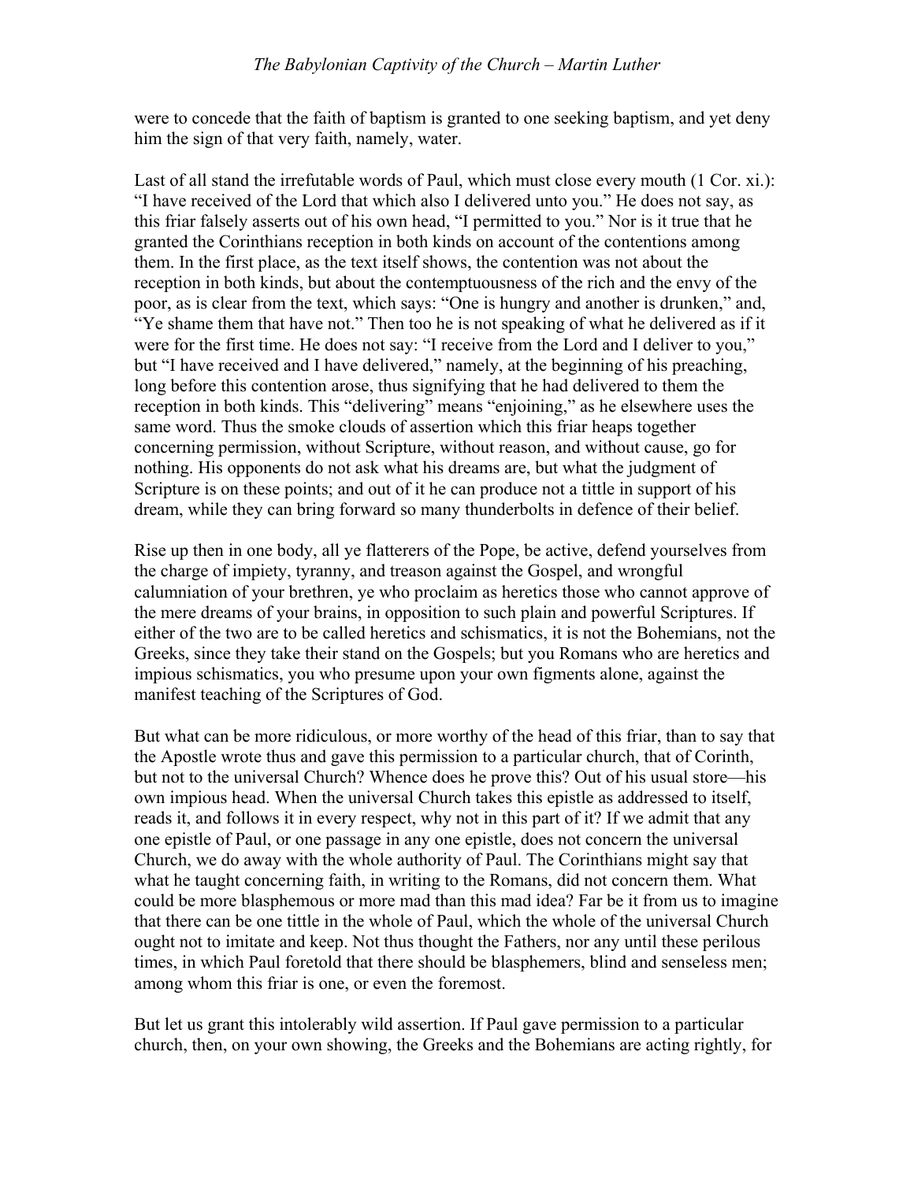were to concede that the faith of baptism is granted to one seeking baptism, and yet deny him the sign of that very faith, namely, water.

Last of all stand the irrefutable words of Paul, which must close every mouth (1 Cor. xi.): "I have received of the Lord that which also I delivered unto you." He does not say, as this friar falsely asserts out of his own head, "I permitted to you." Nor is it true that he granted the Corinthians reception in both kinds on account of the contentions among them. In the first place, as the text itself shows, the contention was not about the reception in both kinds, but about the contemptuousness of the rich and the envy of the poor, as is clear from the text, which says: "One is hungry and another is drunken," and, "Ye shame them that have not." Then too he is not speaking of what he delivered as if it were for the first time. He does not say: "I receive from the Lord and I deliver to you," but "I have received and I have delivered," namely, at the beginning of his preaching, long before this contention arose, thus signifying that he had delivered to them the reception in both kinds. This "delivering" means "enjoining," as he elsewhere uses the same word. Thus the smoke clouds of assertion which this friar heaps together concerning permission, without Scripture, without reason, and without cause, go for nothing. His opponents do not ask what his dreams are, but what the judgment of Scripture is on these points; and out of it he can produce not a tittle in support of his dream, while they can bring forward so many thunderbolts in defence of their belief.

Rise up then in one body, all ye flatterers of the Pope, be active, defend yourselves from the charge of impiety, tyranny, and treason against the Gospel, and wrongful calumniation of your brethren, ye who proclaim as heretics those who cannot approve of the mere dreams of your brains, in opposition to such plain and powerful Scriptures. If either of the two are to be called heretics and schismatics, it is not the Bohemians, not the Greeks, since they take their stand on the Gospels; but you Romans who are heretics and impious schismatics, you who presume upon your own figments alone, against the manifest teaching of the Scriptures of God.

But what can be more ridiculous, or more worthy of the head of this friar, than to say that the Apostle wrote thus and gave this permission to a particular church, that of Corinth, but not to the universal Church? Whence does he prove this? Out of his usual store—his own impious head. When the universal Church takes this epistle as addressed to itself, reads it, and follows it in every respect, why not in this part of it? If we admit that any one epistle of Paul, or one passage in any one epistle, does not concern the universal Church, we do away with the whole authority of Paul. The Corinthians might say that what he taught concerning faith, in writing to the Romans, did not concern them. What could be more blasphemous or more mad than this mad idea? Far be it from us to imagine that there can be one tittle in the whole of Paul, which the whole of the universal Church ought not to imitate and keep. Not thus thought the Fathers, nor any until these perilous times, in which Paul foretold that there should be blasphemers, blind and senseless men; among whom this friar is one, or even the foremost.

But let us grant this intolerably wild assertion. If Paul gave permission to a particular church, then, on your own showing, the Greeks and the Bohemians are acting rightly, for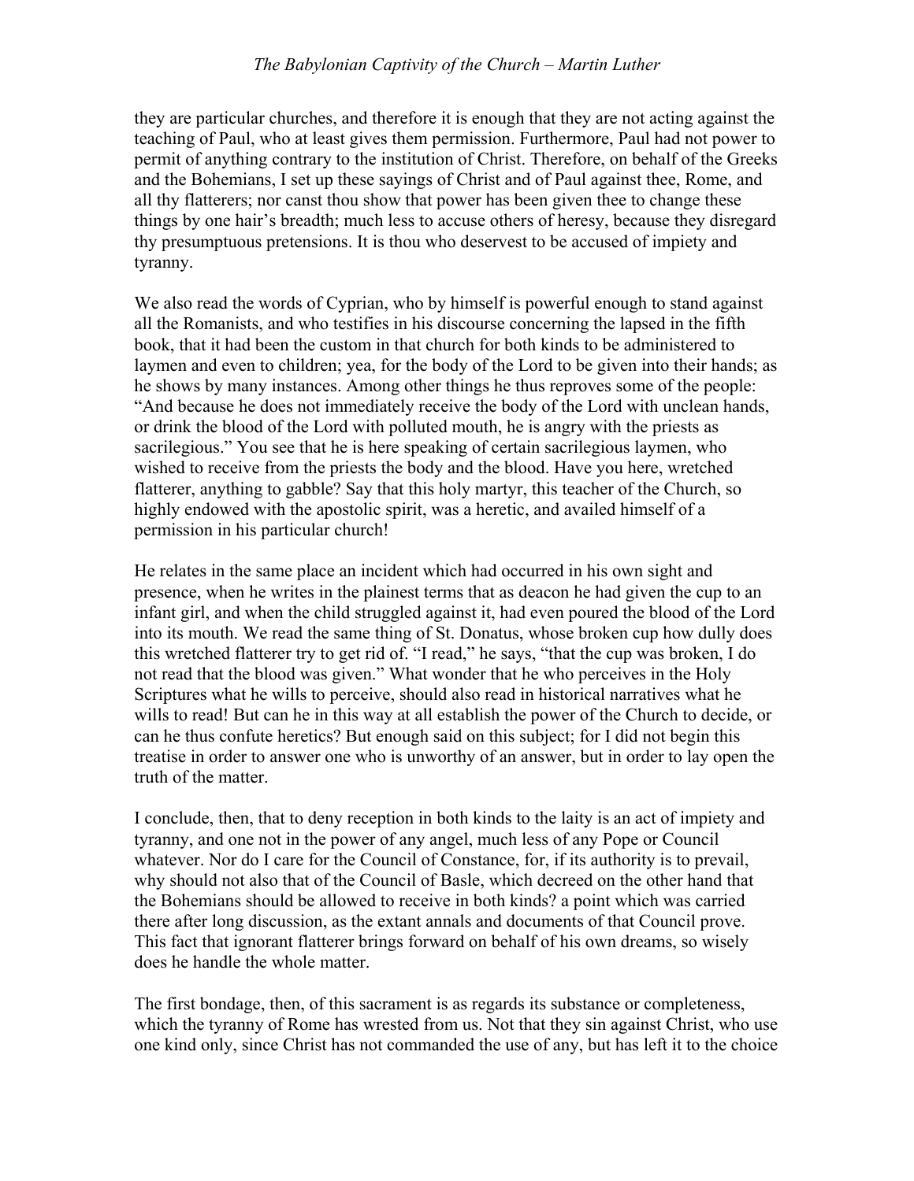they are particular churches, and therefore it is enough that they are not acting against the teaching of Paul, who at least gives them permission. Furthermore, Paul had not power to permit of anything contrary to the institution of Christ. Therefore, on behalf of the Greeks and the Bohemians, I set up these sayings of Christ and of Paul against thee, Rome, and all thy flatterers; nor canst thou show that power has been given thee to change these things by one hair's breadth; much less to accuse others of heresy, because they disregard thy presumptuous pretensions. It is thou who deservest to be accused of impiety and tyranny.

We also read the words of Cyprian, who by himself is powerful enough to stand against all the Romanists, and who testifies in his discourse concerning the lapsed in the fifth book, that it had been the custom in that church for both kinds to be administered to laymen and even to children; yea, for the body of the Lord to be given into their hands; as he shows by many instances. Among other things he thus reproves some of the people: "And because he does not immediately receive the body of the Lord with unclean hands, or drink the blood of the Lord with polluted mouth, he is angry with the priests as sacrilegious." You see that he is here speaking of certain sacrilegious laymen, who wished to receive from the priests the body and the blood. Have you here, wretched flatterer, anything to gabble? Say that this holy martyr, this teacher of the Church, so highly endowed with the apostolic spirit, was a heretic, and availed himself of a permission in his particular church!

He relates in the same place an incident which had occurred in his own sight and presence, when he writes in the plainest terms that as deacon he had given the cup to an infant girl, and when the child struggled against it, had even poured the blood of the Lord into its mouth. We read the same thing of St. Donatus, whose broken cup how dully does this wretched flatterer try to get rid of. "I read," he says, "that the cup was broken, I do not read that the blood was given." What wonder that he who perceives in the Holy Scriptures what he wills to perceive, should also read in historical narratives what he wills to read! But can he in this way at all establish the power of the Church to decide, or can he thus confute heretics? But enough said on this subject; for I did not begin this treatise in order to answer one who is unworthy of an answer, but in order to lay open the truth of the matter.

I conclude, then, that to deny reception in both kinds to the laity is an act of impiety and tyranny, and one not in the power of any angel, much less of any Pope or Council whatever. Nor do I care for the Council of Constance, for, if its authority is to prevail, why should not also that of the Council of Basle, which decreed on the other hand that the Bohemians should be allowed to receive in both kinds? a point which was carried there after long discussion, as the extant annals and documents of that Council prove. This fact that ignorant flatterer brings forward on behalf of his own dreams, so wisely does he handle the whole matter.

The first bondage, then, of this sacrament is as regards its substance or completeness, which the tyranny of Rome has wrested from us. Not that they sin against Christ, who use one kind only, since Christ has not commanded the use of any, but has left it to the choice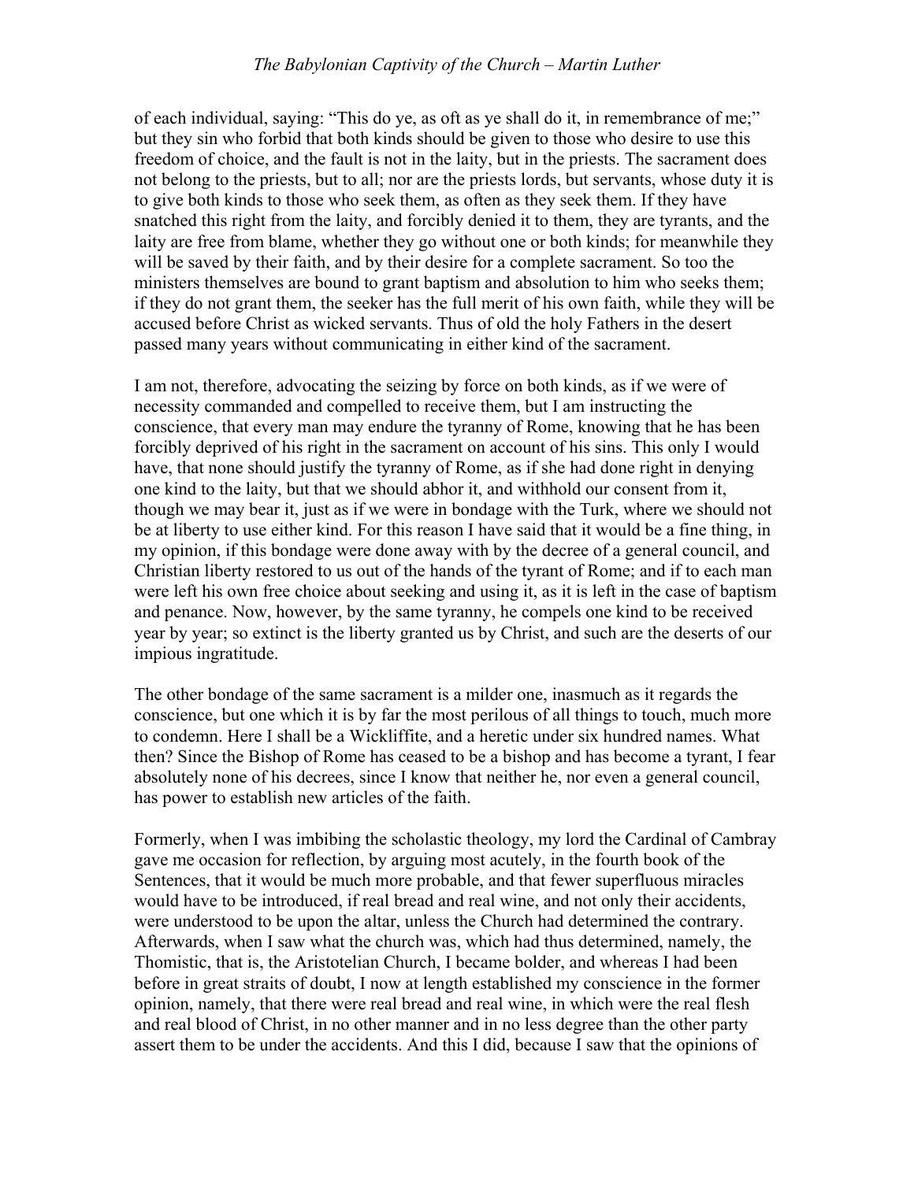of each individual, saying: "This do ye, as oft as ye shall do it, in remembrance of me;" but they sin who forbid that both kinds should be given to those who desire to use this freedom of choice, and the fault is not in the laity, but in the priests. The sacrament does not belong to the priests, but to all; nor are the priests lords, but servants, whose duty it is to give both kinds to those who seek them, as often as they seek them. If they have snatched this right from the laity, and forcibly denied it to them, they are tyrants, and the laity are free from blame, whether they go without one or both kinds; for meanwhile they will be saved by their faith, and by their desire for a complete sacrament. So too the ministers themselves are bound to grant baptism and absolution to him who seeks them; if they do not grant them, the seeker has the full merit of his own faith, while they will be accused before Christ as wicked servants. Thus of old the holy Fathers in the desert passed many years without communicating in either kind of the sacrament.

I am not, therefore, advocating the seizing by force on both kinds, as if we were of necessity commanded and compelled to receive them, but I am instructing the conscience, that every man may endure the tyranny of Rome, knowing that he has been forcibly deprived of his right in the sacrament on account of his sins. This only I would have, that none should justify the tyranny of Rome, as if she had done right in denying one kind to the laity, but that we should abhor it, and withhold our consent from it, though we may bear it, just as if we were in bondage with the Turk, where we should not be at liberty to use either kind. For this reason I have said that it would be a fine thing, in my opinion, if this bondage were done away with by the decree of a general council, and Christian liberty restored to us out of the hands of the tyrant of Rome; and if to each man were left his own free choice about seeking and using it, as it is left in the case of baptism and penance. Now, however, by the same tyranny, he compels one kind to be received year by year; so extinct is the liberty granted us by Christ, and such are the deserts of our impious ingratitude.

The other bondage of the same sacrament is a milder one, inasmuch as it regards the conscience, but one which it is by far the most perilous of all things to touch, much more to condemn. Here I shall be a Wickliffite, and a heretic under six hundred names. What then? Since the Bishop of Rome has ceased to be a bishop and has become a tyrant, I fear absolutely none of his decrees, since I know that neither he, nor even a general council, has power to establish new articles of the faith.

Formerly, when I was imbibing the scholastic theology, my lord the Cardinal of Cambray gave me occasion for reflection, by arguing most acutely, in the fourth book of the Sentences, that it would be much more probable, and that fewer superfluous miracles would have to be introduced, if real bread and real wine, and not only their accidents, were understood to be upon the altar, unless the Church had determined the contrary. Afterwards, when I saw what the church was, which had thus determined, namely, the Thomistic, that is, the Aristotelian Church, I became bolder, and whereas I had been before in great straits of doubt, I now at length established my conscience in the former opinion, namely, that there were real bread and real wine, in which were the real flesh and real blood of Christ, in no other manner and in no less degree than the other party assert them to be under the accidents. And this I did, because I saw that the opinions of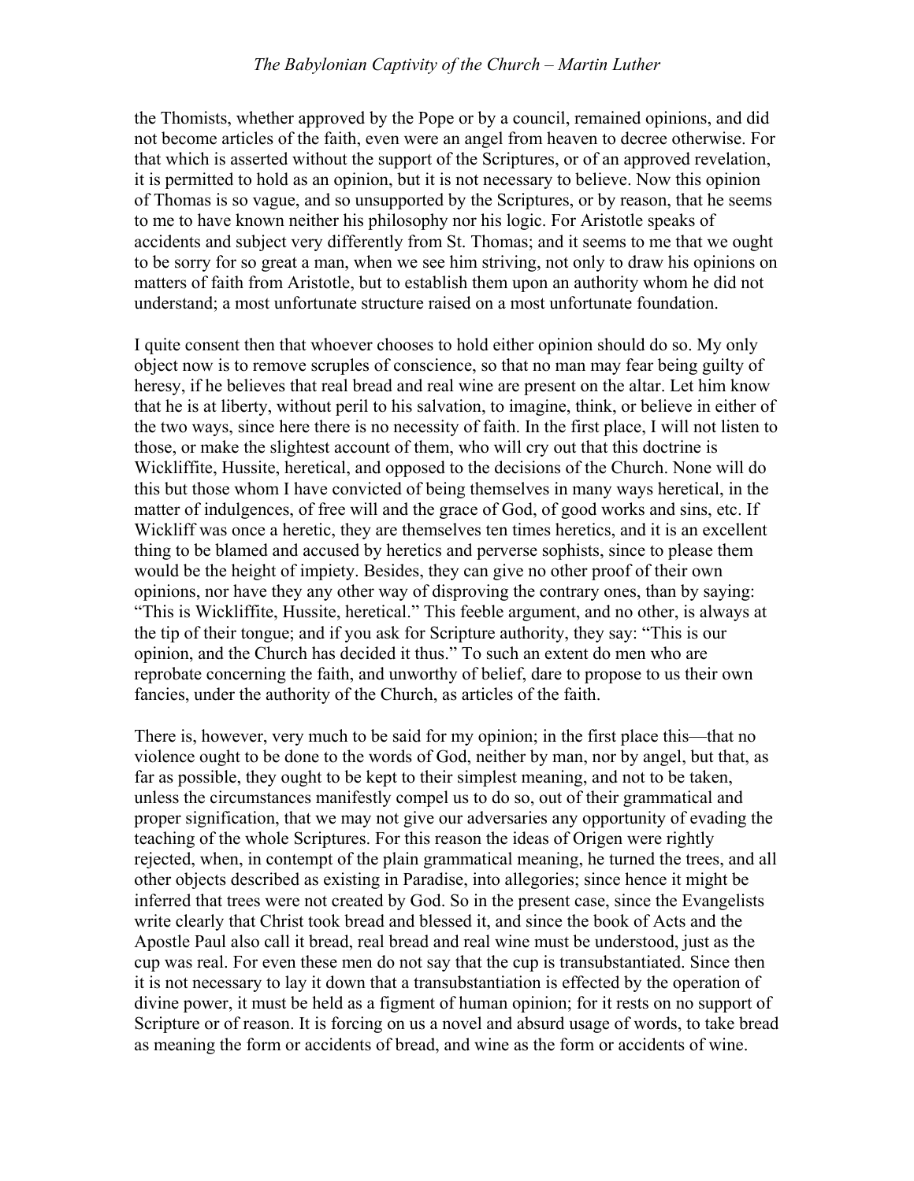the Thomists, whether approved by the Pope or by a council, remained opinions, and did not become articles of the faith, even were an angel from heaven to decree otherwise. For that which is asserted without the support of the Scriptures, or of an approved revelation, it is permitted to hold as an opinion, but it is not necessary to believe. Now this opinion of Thomas is so vague, and so unsupported by the Scriptures, or by reason, that he seems to me to have known neither his philosophy nor his logic. For Aristotle speaks of accidents and subject very differently from St. Thomas; and it seems to me that we ought to be sorry for so great a man, when we see him striving, not only to draw his opinions on matters of faith from Aristotle, but to establish them upon an authority whom he did not understand; a most unfortunate structure raised on a most unfortunate foundation.

I quite consent then that whoever chooses to hold either opinion should do so. My only object now is to remove scruples of conscience, so that no man may fear being guilty of heresy, if he believes that real bread and real wine are present on the altar. Let him know that he is at liberty, without peril to his salvation, to imagine, think, or believe in either of the two ways, since here there is no necessity of faith. In the first place, I will not listen to those, or make the slightest account of them, who will cry out that this doctrine is Wickliffite, Hussite, heretical, and opposed to the decisions of the Church. None will do this but those whom I have convicted of being themselves in many ways heretical, in the matter of indulgences, of free will and the grace of God, of good works and sins, etc. If Wickliff was once a heretic, they are themselves ten times heretics, and it is an excellent thing to be blamed and accused by heretics and perverse sophists, since to please them would be the height of impiety. Besides, they can give no other proof of their own opinions, nor have they any other way of disproving the contrary ones, than by saying: "This is Wickliffite, Hussite, heretical." This feeble argument, and no other, is always at the tip of their tongue; and if you ask for Scripture authority, they say: "This is our opinion, and the Church has decided it thus." To such an extent do men who are reprobate concerning the faith, and unworthy of belief, dare to propose to us their own fancies, under the authority of the Church, as articles of the faith.

There is, however, very much to be said for my opinion; in the first place this—that no violence ought to be done to the words of God, neither by man, nor by angel, but that, as far as possible, they ought to be kept to their simplest meaning, and not to be taken, unless the circumstances manifestly compel us to do so, out of their grammatical and proper signification, that we may not give our adversaries any opportunity of evading the teaching of the whole Scriptures. For this reason the ideas of Origen were rightly rejected, when, in contempt of the plain grammatical meaning, he turned the trees, and all other objects described as existing in Paradise, into allegories; since hence it might be inferred that trees were not created by God. So in the present case, since the Evangelists write clearly that Christ took bread and blessed it, and since the book of Acts and the Apostle Paul also call it bread, real bread and real wine must be understood, just as the cup was real. For even these men do not say that the cup is transubstantiated. Since then it is not necessary to lay it down that a transubstantiation is effected by the operation of divine power, it must be held as a figment of human opinion; for it rests on no support of Scripture or of reason. It is forcing on us a novel and absurd usage of words, to take bread as meaning the form or accidents of bread, and wine as the form or accidents of wine.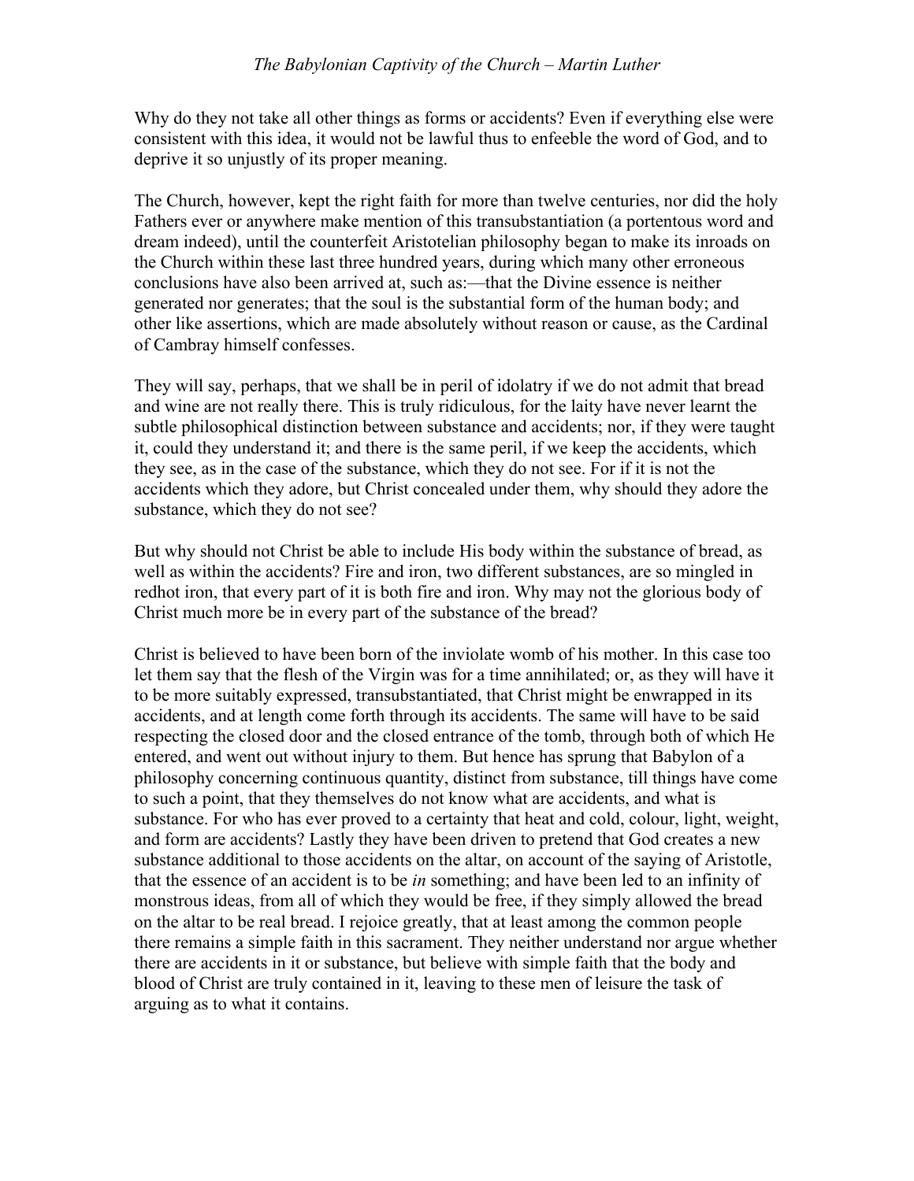Why do they not take all other things as forms or accidents? Even if everything else were consistent with this idea, it would not be lawful thus to enfeeble the word of God, and to deprive it so unjustly of its proper meaning.

The Church, however, kept the right faith for more than twelve centuries, nor did the holy Fathers ever or anywhere make mention of this transubstantiation (a portentous word and dream indeed), until the counterfeit Aristotelian philosophy began to make its inroads on the Church within these last three hundred years, during which many other erroneous conclusions have also been arrived at, such as:—that the Divine essence is neither generated nor generates; that the soul is the substantial form of the human body; and other like assertions, which are made absolutely without reason or cause, as the Cardinal of Cambray himself confesses.

They will say, perhaps, that we shall be in peril of idolatry if we do not admit that bread and wine are not really there. This is truly ridiculous, for the laity have never learnt the subtle philosophical distinction between substance and accidents; nor, if they were taught it, could they understand it; and there is the same peril, if we keep the accidents, which they see, as in the case of the substance, which they do not see. For if it is not the accidents which they adore, but Christ concealed under them, why should they adore the substance, which they do not see?

But why should not Christ be able to include His body within the substance of bread, as well as within the accidents? Fire and iron, two different substances, are so mingled in redhot iron, that every part of it is both fire and iron. Why may not the glorious body of Christ much more be in every part of the substance of the bread?

Christ is believed to have been born of the inviolate womb of his mother. In this case too let them say that the flesh of the Virgin was for a time annihilated; or, as they will have it to be more suitably expressed, transubstantiated, that Christ might be enwrapped in its accidents, and at length come forth through its accidents. The same will have to be said respecting the closed door and the closed entrance of the tomb, through both of which He entered, and went out without injury to them. But hence has sprung that Babylon of a philosophy concerning continuous quantity, distinct from substance, till things have come to such a point, that they themselves do not know what are accidents, and what is substance. For who has ever proved to a certainty that heat and cold, colour, light, weight, and form are accidents? Lastly they have been driven to pretend that God creates a new substance additional to those accidents on the altar, on account of the saying of Aristotle, that the essence of an accident is to be *in* something; and have been led to an infinity of monstrous ideas, from all of which they would be free, if they simply allowed the bread on the altar to be real bread. I rejoice greatly, that at least among the common people there remains a simple faith in this sacrament. They neither understand nor argue whether there are accidents in it or substance, but believe with simple faith that the body and blood of Christ are truly contained in it, leaving to these men of leisure the task of arguing as to what it contains.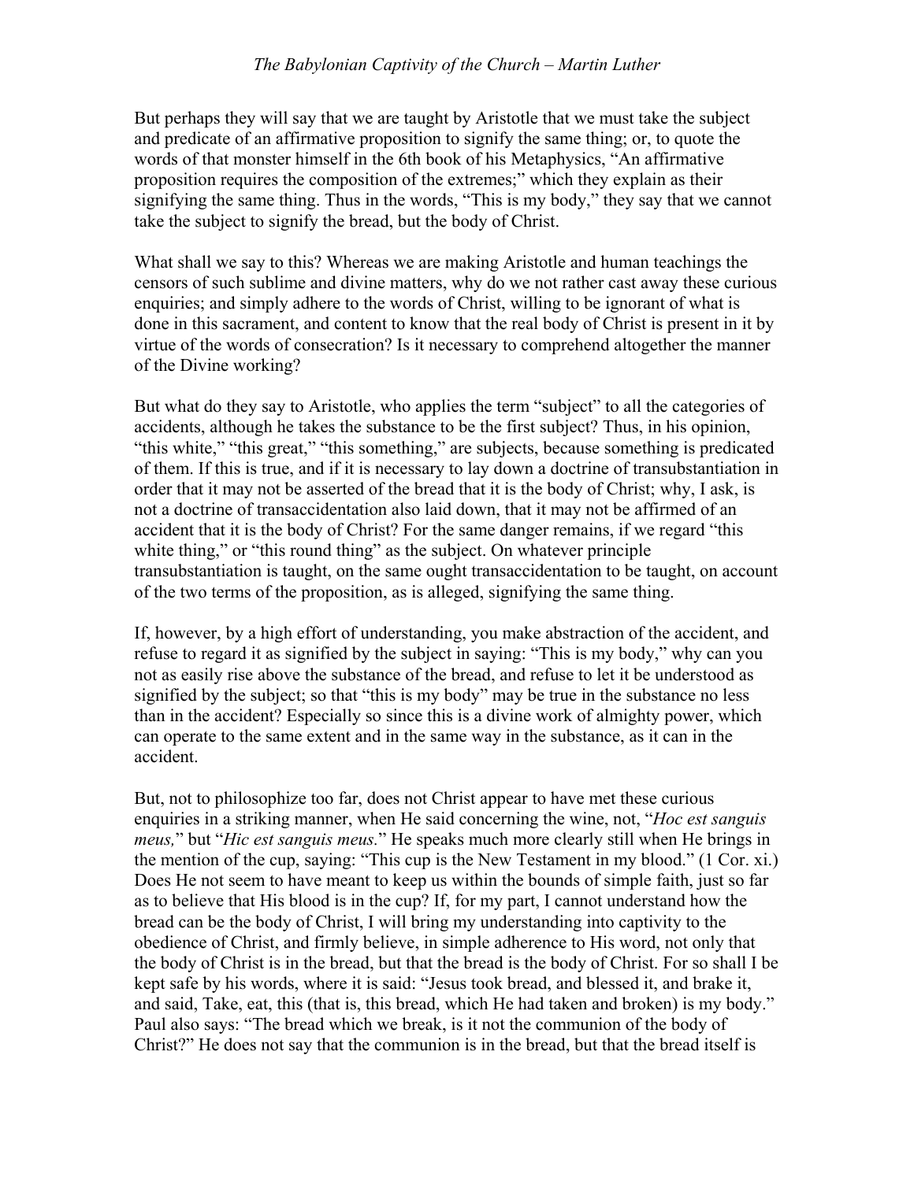But perhaps they will say that we are taught by Aristotle that we must take the subject and predicate of an affirmative proposition to signify the same thing; or, to quote the words of that monster himself in the 6th book of his Metaphysics, "An affirmative proposition requires the composition of the extremes;" which they explain as their signifying the same thing. Thus in the words, "This is my body," they say that we cannot take the subject to signify the bread, but the body of Christ.

What shall we say to this? Whereas we are making Aristotle and human teachings the censors of such sublime and divine matters, why do we not rather cast away these curious enquiries; and simply adhere to the words of Christ, willing to be ignorant of what is done in this sacrament, and content to know that the real body of Christ is present in it by virtue of the words of consecration? Is it necessary to comprehend altogether the manner of the Divine working?

But what do they say to Aristotle, who applies the term "subject" to all the categories of accidents, although he takes the substance to be the first subject? Thus, in his opinion, "this white," "this great," "this something," are subjects, because something is predicated of them. If this is true, and if it is necessary to lay down a doctrine of transubstantiation in order that it may not be asserted of the bread that it is the body of Christ; why, I ask, is not a doctrine of transaccidentation also laid down, that it may not be affirmed of an accident that it is the body of Christ? For the same danger remains, if we regard "this white thing," or "this round thing" as the subject. On whatever principle transubstantiation is taught, on the same ought transaccidentation to be taught, on account of the two terms of the proposition, as is alleged, signifying the same thing.

If, however, by a high effort of understanding, you make abstraction of the accident, and refuse to regard it as signified by the subject in saying: "This is my body," why can you not as easily rise above the substance of the bread, and refuse to let it be understood as signified by the subject; so that "this is my body" may be true in the substance no less than in the accident? Especially so since this is a divine work of almighty power, which can operate to the same extent and in the same way in the substance, as it can in the accident.

But, not to philosophize too far, does not Christ appear to have met these curious enquiries in a striking manner, when He said concerning the wine, not, "*Hoc est sanguis meus,*" but "*Hic est sanguis meus.*" He speaks much more clearly still when He brings in the mention of the cup, saying: "This cup is the New Testament in my blood." (1 Cor. xi.) Does He not seem to have meant to keep us within the bounds of simple faith, just so far as to believe that His blood is in the cup? If, for my part, I cannot understand how the bread can be the body of Christ, I will bring my understanding into captivity to the obedience of Christ, and firmly believe, in simple adherence to His word, not only that the body of Christ is in the bread, but that the bread is the body of Christ. For so shall I be kept safe by his words, where it is said: "Jesus took bread, and blessed it, and brake it, and said, Take, eat, this (that is, this bread, which He had taken and broken) is my body." Paul also says: "The bread which we break, is it not the communion of the body of Christ?" He does not say that the communion is in the bread, but that the bread itself is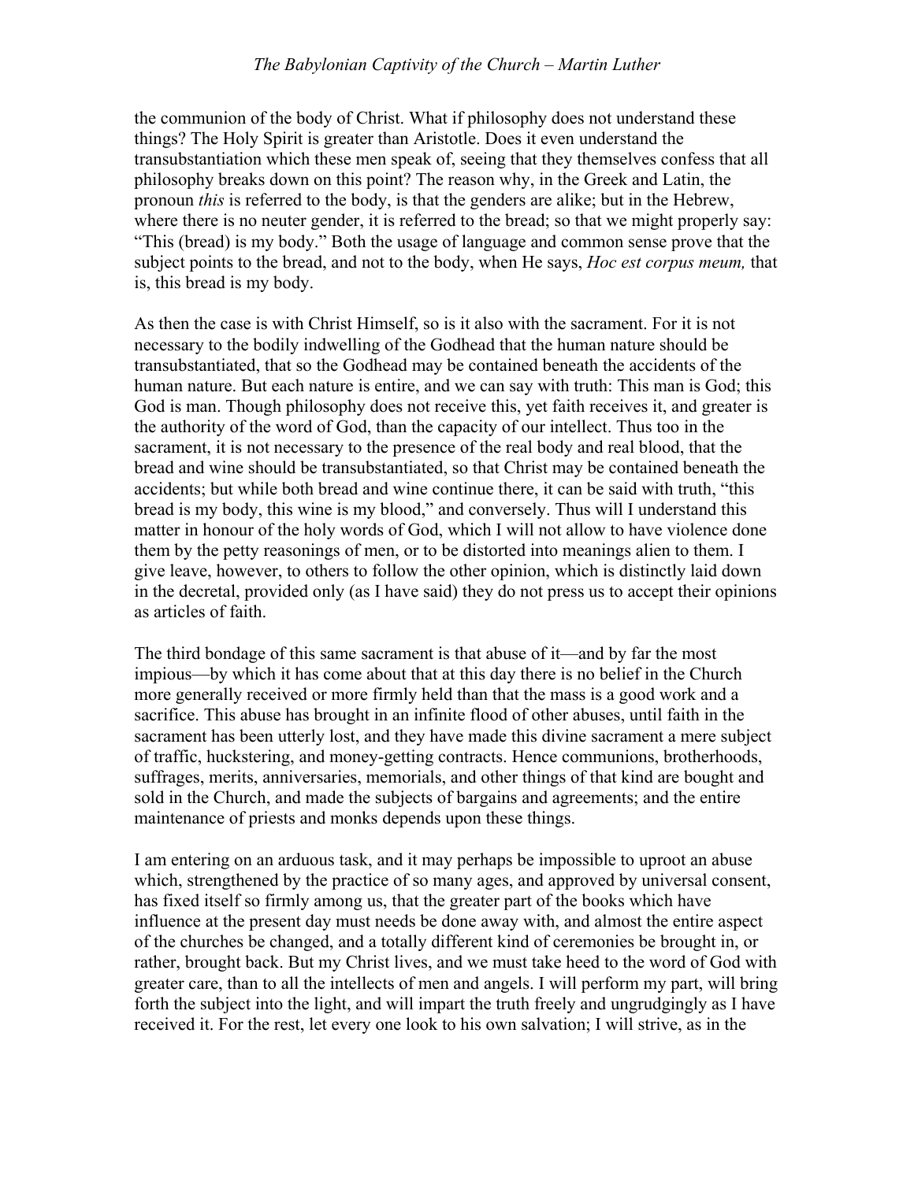the communion of the body of Christ. What if philosophy does not understand these things? The Holy Spirit is greater than Aristotle. Does it even understand the transubstantiation which these men speak of, seeing that they themselves confess that all philosophy breaks down on this point? The reason why, in the Greek and Latin, the pronoun *this* is referred to the body, is that the genders are alike; but in the Hebrew, where there is no neuter gender, it is referred to the bread; so that we might properly say: "This (bread) is my body." Both the usage of language and common sense prove that the subject points to the bread, and not to the body, when He says, *Hoc est corpus meum,* that is, this bread is my body.

As then the case is with Christ Himself, so is it also with the sacrament. For it is not necessary to the bodily indwelling of the Godhead that the human nature should be transubstantiated, that so the Godhead may be contained beneath the accidents of the human nature. But each nature is entire, and we can say with truth: This man is God; this God is man. Though philosophy does not receive this, yet faith receives it, and greater is the authority of the word of God, than the capacity of our intellect. Thus too in the sacrament, it is not necessary to the presence of the real body and real blood, that the bread and wine should be transubstantiated, so that Christ may be contained beneath the accidents; but while both bread and wine continue there, it can be said with truth, "this bread is my body, this wine is my blood," and conversely. Thus will I understand this matter in honour of the holy words of God, which I will not allow to have violence done them by the petty reasonings of men, or to be distorted into meanings alien to them. I give leave, however, to others to follow the other opinion, which is distinctly laid down in the decretal, provided only (as I have said) they do not press us to accept their opinions as articles of faith.

The third bondage of this same sacrament is that abuse of it—and by far the most impious—by which it has come about that at this day there is no belief in the Church more generally received or more firmly held than that the mass is a good work and a sacrifice. This abuse has brought in an infinite flood of other abuses, until faith in the sacrament has been utterly lost, and they have made this divine sacrament a mere subject of traffic, huckstering, and money-getting contracts. Hence communions, brotherhoods, suffrages, merits, anniversaries, memorials, and other things of that kind are bought and sold in the Church, and made the subjects of bargains and agreements; and the entire maintenance of priests and monks depends upon these things.

I am entering on an arduous task, and it may perhaps be impossible to uproot an abuse which, strengthened by the practice of so many ages, and approved by universal consent, has fixed itself so firmly among us, that the greater part of the books which have influence at the present day must needs be done away with, and almost the entire aspect of the churches be changed, and a totally different kind of ceremonies be brought in, or rather, brought back. But my Christ lives, and we must take heed to the word of God with greater care, than to all the intellects of men and angels. I will perform my part, will bring forth the subject into the light, and will impart the truth freely and ungrudgingly as I have received it. For the rest, let every one look to his own salvation; I will strive, as in the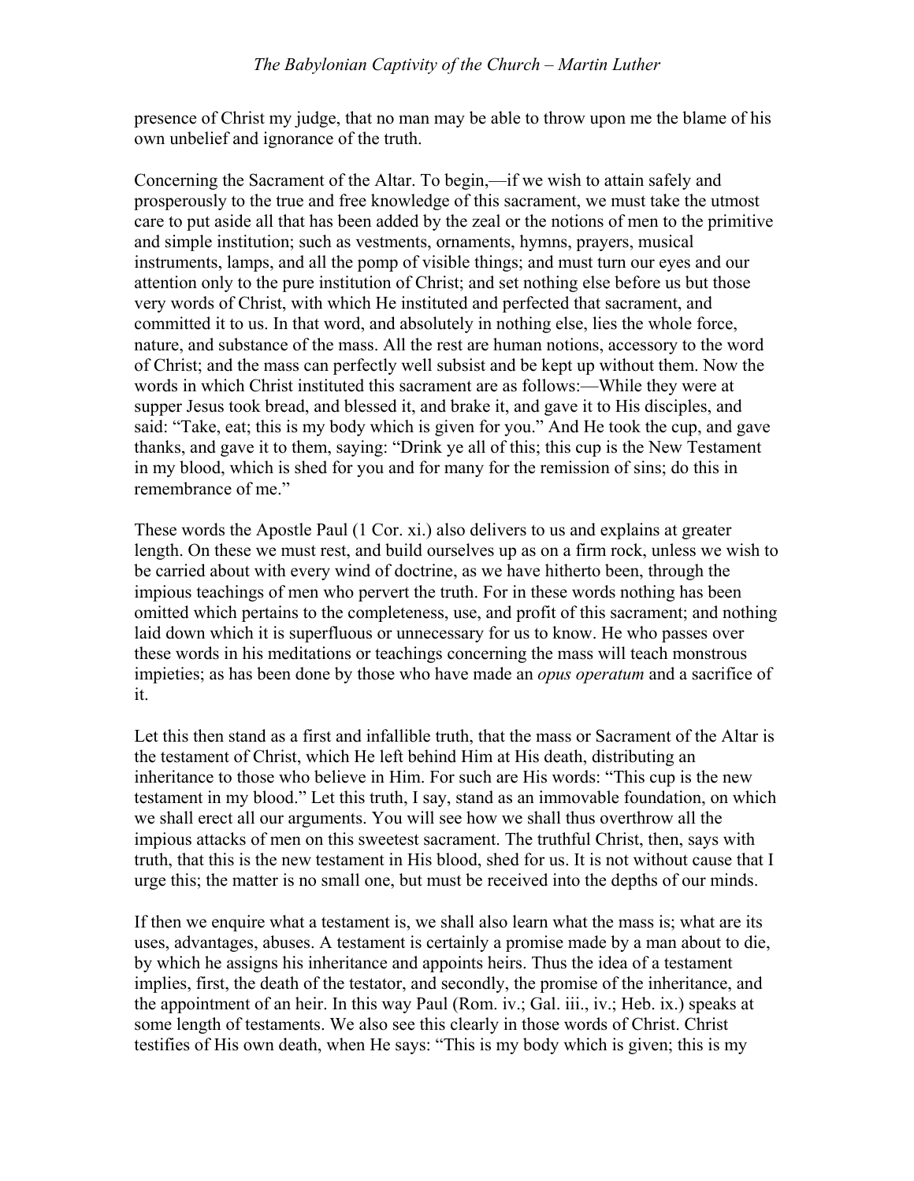presence of Christ my judge, that no man may be able to throw upon me the blame of his own unbelief and ignorance of the truth.

Concerning the Sacrament of the Altar. To begin,—if we wish to attain safely and prosperously to the true and free knowledge of this sacrament, we must take the utmost care to put aside all that has been added by the zeal or the notions of men to the primitive and simple institution; such as vestments, ornaments, hymns, prayers, musical instruments, lamps, and all the pomp of visible things; and must turn our eyes and our attention only to the pure institution of Christ; and set nothing else before us but those very words of Christ, with which He instituted and perfected that sacrament, and committed it to us. In that word, and absolutely in nothing else, lies the whole force, nature, and substance of the mass. All the rest are human notions, accessory to the word of Christ; and the mass can perfectly well subsist and be kept up without them. Now the words in which Christ instituted this sacrament are as follows:—While they were at supper Jesus took bread, and blessed it, and brake it, and gave it to His disciples, and said: "Take, eat; this is my body which is given for you." And He took the cup, and gave thanks, and gave it to them, saying: "Drink ye all of this; this cup is the New Testament in my blood, which is shed for you and for many for the remission of sins; do this in remembrance of me."

These words the Apostle Paul (1 Cor. xi.) also delivers to us and explains at greater length. On these we must rest, and build ourselves up as on a firm rock, unless we wish to be carried about with every wind of doctrine, as we have hitherto been, through the impious teachings of men who pervert the truth. For in these words nothing has been omitted which pertains to the completeness, use, and profit of this sacrament; and nothing laid down which it is superfluous or unnecessary for us to know. He who passes over these words in his meditations or teachings concerning the mass will teach monstrous impieties; as has been done by those who have made an *opus operatum* and a sacrifice of it.

Let this then stand as a first and infallible truth, that the mass or Sacrament of the Altar is the testament of Christ, which He left behind Him at His death, distributing an inheritance to those who believe in Him. For such are His words: "This cup is the new testament in my blood." Let this truth, I say, stand as an immovable foundation, on which we shall erect all our arguments. You will see how we shall thus overthrow all the impious attacks of men on this sweetest sacrament. The truthful Christ, then, says with truth, that this is the new testament in His blood, shed for us. It is not without cause that I urge this; the matter is no small one, but must be received into the depths of our minds.

If then we enquire what a testament is, we shall also learn what the mass is; what are its uses, advantages, abuses. A testament is certainly a promise made by a man about to die, by which he assigns his inheritance and appoints heirs. Thus the idea of a testament implies, first, the death of the testator, and secondly, the promise of the inheritance, and the appointment of an heir. In this way Paul (Rom. iv.; Gal. iii., iv.; Heb. ix.) speaks at some length of testaments. We also see this clearly in those words of Christ. Christ testifies of His own death, when He says: "This is my body which is given; this is my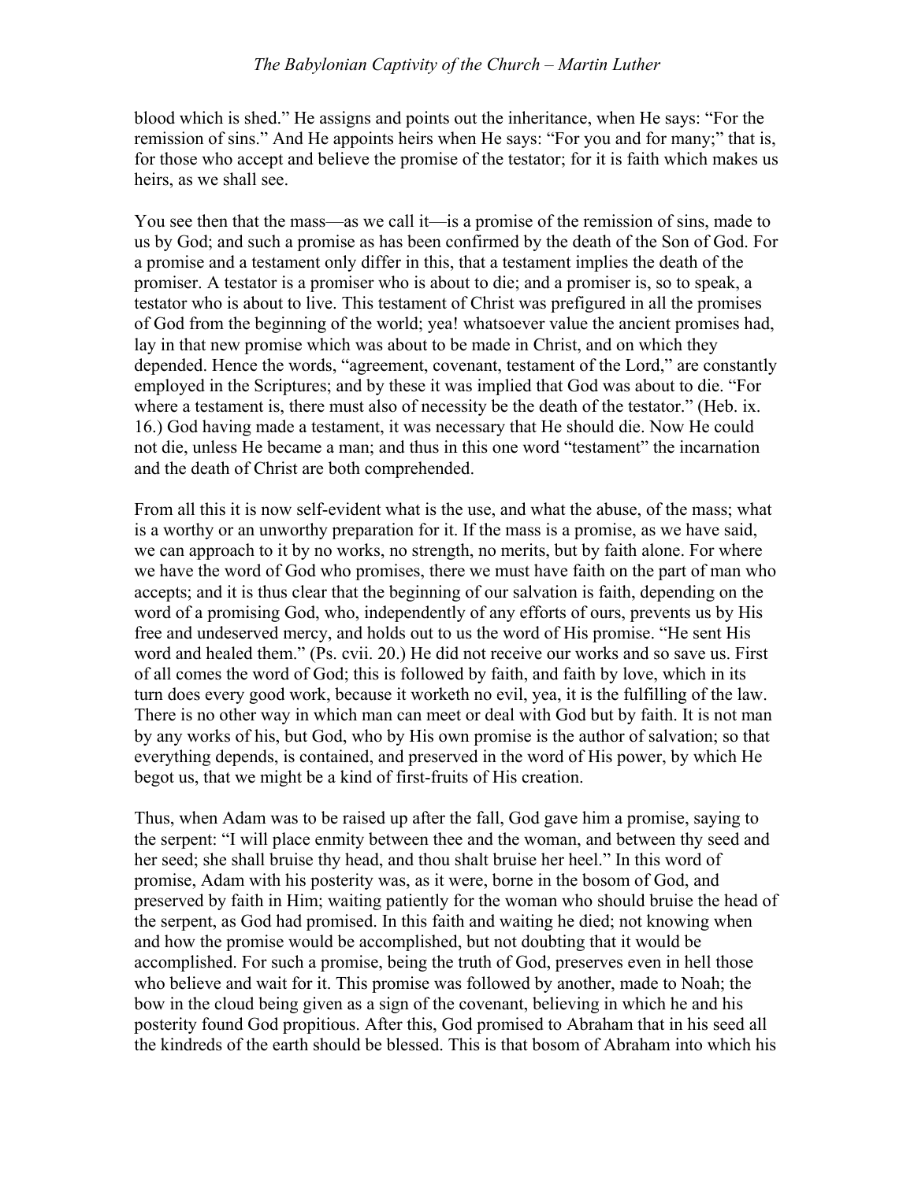blood which is shed." He assigns and points out the inheritance, when He says: "For the remission of sins." And He appoints heirs when He says: "For you and for many;" that is, for those who accept and believe the promise of the testator; for it is faith which makes us heirs, as we shall see.

You see then that the mass—as we call it—is a promise of the remission of sins, made to us by God; and such a promise as has been confirmed by the death of the Son of God. For a promise and a testament only differ in this, that a testament implies the death of the promiser. A testator is a promiser who is about to die; and a promiser is, so to speak, a testator who is about to live. This testament of Christ was prefigured in all the promises of God from the beginning of the world; yea! whatsoever value the ancient promises had, lay in that new promise which was about to be made in Christ, and on which they depended. Hence the words, "agreement, covenant, testament of the Lord," are constantly employed in the Scriptures; and by these it was implied that God was about to die. "For where a testament is, there must also of necessity be the death of the testator." (Heb. ix. 16.) God having made a testament, it was necessary that He should die. Now He could not die, unless He became a man; and thus in this one word "testament" the incarnation and the death of Christ are both comprehended.

From all this it is now self-evident what is the use, and what the abuse, of the mass; what is a worthy or an unworthy preparation for it. If the mass is a promise, as we have said, we can approach to it by no works, no strength, no merits, but by faith alone. For where we have the word of God who promises, there we must have faith on the part of man who accepts; and it is thus clear that the beginning of our salvation is faith, depending on the word of a promising God, who, independently of any efforts of ours, prevents us by His free and undeserved mercy, and holds out to us the word of His promise. "He sent His word and healed them." (Ps. cvii. 20.) He did not receive our works and so save us. First of all comes the word of God; this is followed by faith, and faith by love, which in its turn does every good work, because it worketh no evil, yea, it is the fulfilling of the law. There is no other way in which man can meet or deal with God but by faith. It is not man by any works of his, but God, who by His own promise is the author of salvation; so that everything depends, is contained, and preserved in the word of His power, by which He begot us, that we might be a kind of first-fruits of His creation.

Thus, when Adam was to be raised up after the fall, God gave him a promise, saying to the serpent: "I will place enmity between thee and the woman, and between thy seed and her seed; she shall bruise thy head, and thou shalt bruise her heel." In this word of promise, Adam with his posterity was, as it were, borne in the bosom of God, and preserved by faith in Him; waiting patiently for the woman who should bruise the head of the serpent, as God had promised. In this faith and waiting he died; not knowing when and how the promise would be accomplished, but not doubting that it would be accomplished. For such a promise, being the truth of God, preserves even in hell those who believe and wait for it. This promise was followed by another, made to Noah; the bow in the cloud being given as a sign of the covenant, believing in which he and his posterity found God propitious. After this, God promised to Abraham that in his seed all the kindreds of the earth should be blessed. This is that bosom of Abraham into which his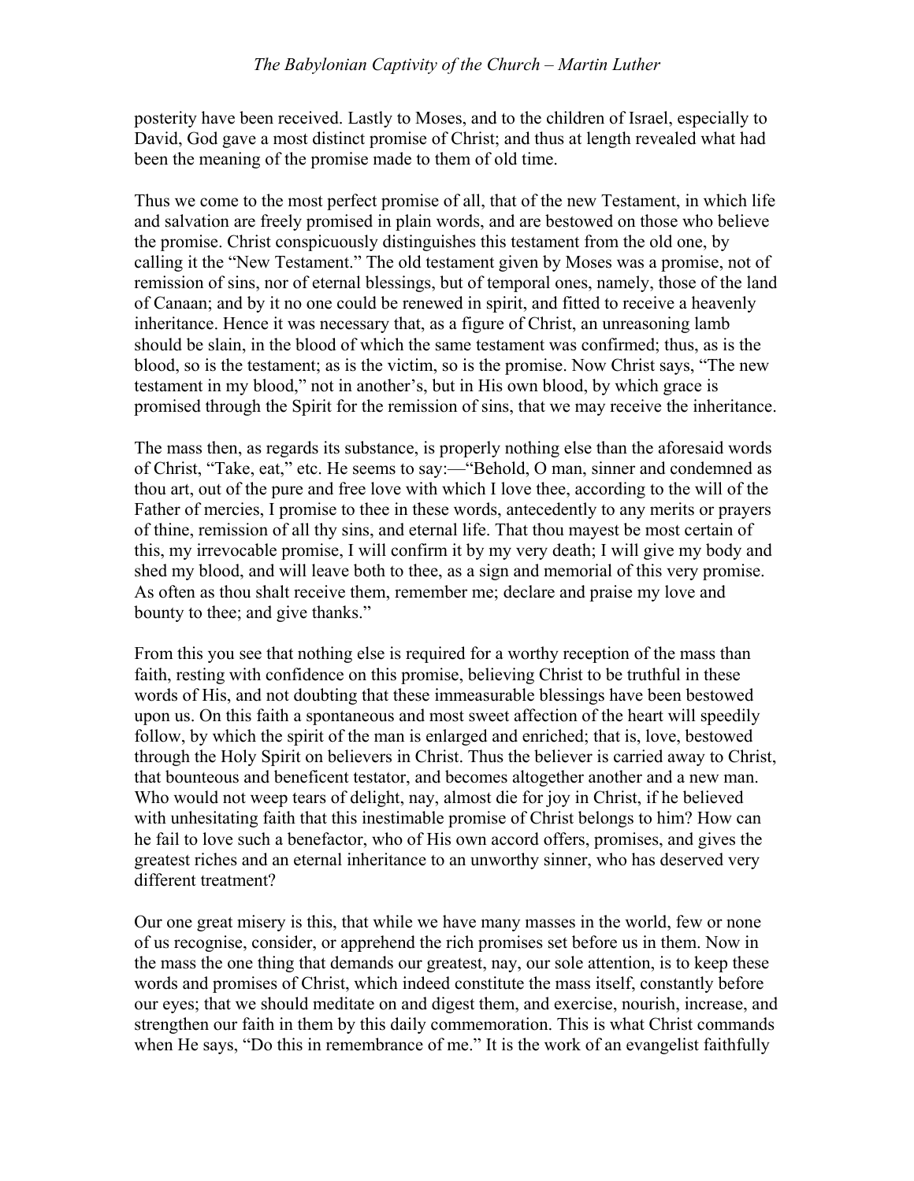posterity have been received. Lastly to Moses, and to the children of Israel, especially to David, God gave a most distinct promise of Christ; and thus at length revealed what had been the meaning of the promise made to them of old time.

Thus we come to the most perfect promise of all, that of the new Testament, in which life and salvation are freely promised in plain words, and are bestowed on those who believe the promise. Christ conspicuously distinguishes this testament from the old one, by calling it the "New Testament." The old testament given by Moses was a promise, not of remission of sins, nor of eternal blessings, but of temporal ones, namely, those of the land of Canaan; and by it no one could be renewed in spirit, and fitted to receive a heavenly inheritance. Hence it was necessary that, as a figure of Christ, an unreasoning lamb should be slain, in the blood of which the same testament was confirmed; thus, as is the blood, so is the testament; as is the victim, so is the promise. Now Christ says, "The new testament in my blood," not in another's, but in His own blood, by which grace is promised through the Spirit for the remission of sins, that we may receive the inheritance.

The mass then, as regards its substance, is properly nothing else than the aforesaid words of Christ, "Take, eat," etc. He seems to say:—"Behold, O man, sinner and condemned as thou art, out of the pure and free love with which I love thee, according to the will of the Father of mercies, I promise to thee in these words, antecedently to any merits or prayers of thine, remission of all thy sins, and eternal life. That thou mayest be most certain of this, my irrevocable promise, I will confirm it by my very death; I will give my body and shed my blood, and will leave both to thee, as a sign and memorial of this very promise. As often as thou shalt receive them, remember me; declare and praise my love and bounty to thee; and give thanks."

From this you see that nothing else is required for a worthy reception of the mass than faith, resting with confidence on this promise, believing Christ to be truthful in these words of His, and not doubting that these immeasurable blessings have been bestowed upon us. On this faith a spontaneous and most sweet affection of the heart will speedily follow, by which the spirit of the man is enlarged and enriched; that is, love, bestowed through the Holy Spirit on believers in Christ. Thus the believer is carried away to Christ, that bounteous and beneficent testator, and becomes altogether another and a new man. Who would not weep tears of delight, nay, almost die for joy in Christ, if he believed with unhesitating faith that this inestimable promise of Christ belongs to him? How can he fail to love such a benefactor, who of His own accord offers, promises, and gives the greatest riches and an eternal inheritance to an unworthy sinner, who has deserved very different treatment?

Our one great misery is this, that while we have many masses in the world, few or none of us recognise, consider, or apprehend the rich promises set before us in them. Now in the mass the one thing that demands our greatest, nay, our sole attention, is to keep these words and promises of Christ, which indeed constitute the mass itself, constantly before our eyes; that we should meditate on and digest them, and exercise, nourish, increase, and strengthen our faith in them by this daily commemoration. This is what Christ commands when He says, "Do this in remembrance of me." It is the work of an evangelist faithfully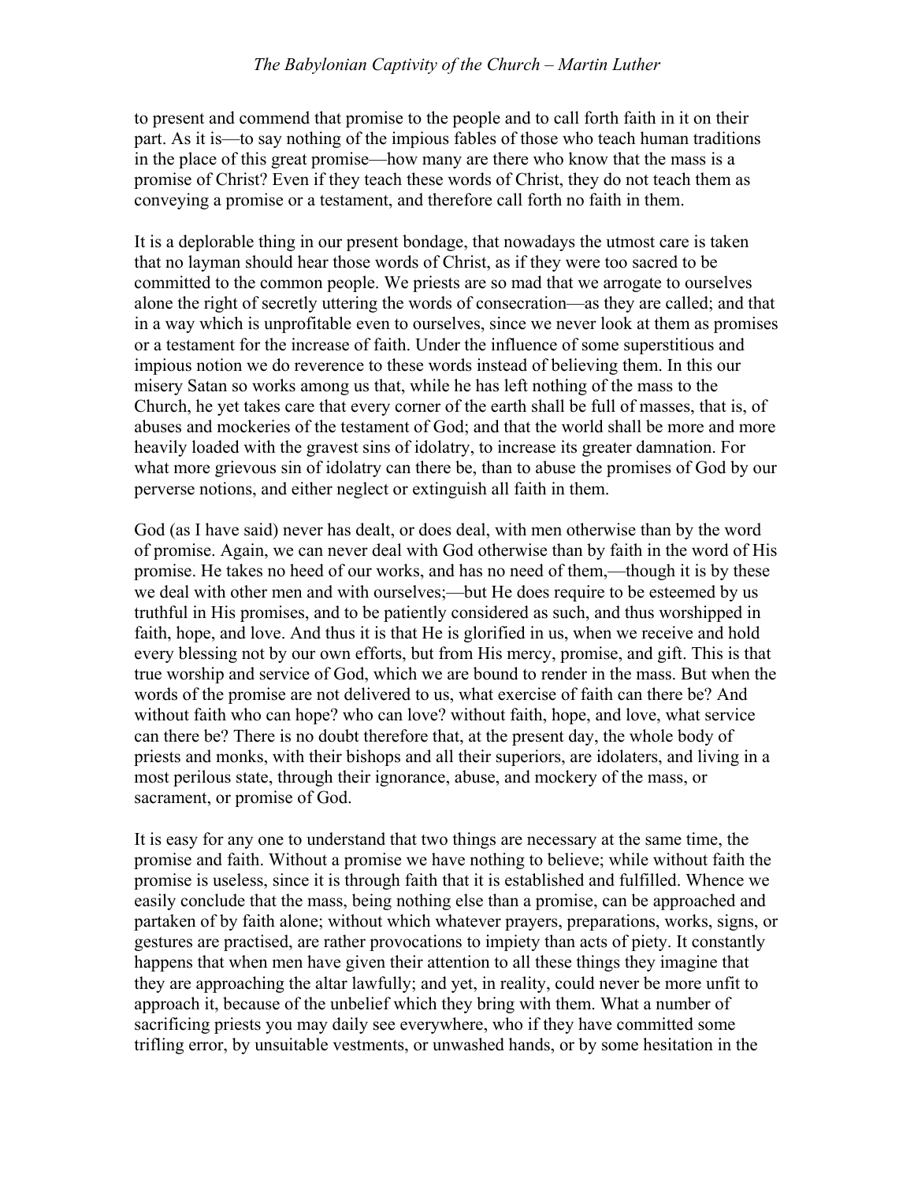to present and commend that promise to the people and to call forth faith in it on their part. As it is—to say nothing of the impious fables of those who teach human traditions in the place of this great promise—how many are there who know that the mass is a promise of Christ? Even if they teach these words of Christ, they do not teach them as conveying a promise or a testament, and therefore call forth no faith in them.

It is a deplorable thing in our present bondage, that nowadays the utmost care is taken that no layman should hear those words of Christ, as if they were too sacred to be committed to the common people. We priests are so mad that we arrogate to ourselves alone the right of secretly uttering the words of consecration—as they are called; and that in a way which is unprofitable even to ourselves, since we never look at them as promises or a testament for the increase of faith. Under the influence of some superstitious and impious notion we do reverence to these words instead of believing them. In this our misery Satan so works among us that, while he has left nothing of the mass to the Church, he yet takes care that every corner of the earth shall be full of masses, that is, of abuses and mockeries of the testament of God; and that the world shall be more and more heavily loaded with the gravest sins of idolatry, to increase its greater damnation. For what more grievous sin of idolatry can there be, than to abuse the promises of God by our perverse notions, and either neglect or extinguish all faith in them.

God (as I have said) never has dealt, or does deal, with men otherwise than by the word of promise. Again, we can never deal with God otherwise than by faith in the word of His promise. He takes no heed of our works, and has no need of them,—though it is by these we deal with other men and with ourselves;—but He does require to be esteemed by us truthful in His promises, and to be patiently considered as such, and thus worshipped in faith, hope, and love. And thus it is that He is glorified in us, when we receive and hold every blessing not by our own efforts, but from His mercy, promise, and gift. This is that true worship and service of God, which we are bound to render in the mass. But when the words of the promise are not delivered to us, what exercise of faith can there be? And without faith who can hope? who can love? without faith, hope, and love, what service can there be? There is no doubt therefore that, at the present day, the whole body of priests and monks, with their bishops and all their superiors, are idolaters, and living in a most perilous state, through their ignorance, abuse, and mockery of the mass, or sacrament, or promise of God.

It is easy for any one to understand that two things are necessary at the same time, the promise and faith. Without a promise we have nothing to believe; while without faith the promise is useless, since it is through faith that it is established and fulfilled. Whence we easily conclude that the mass, being nothing else than a promise, can be approached and partaken of by faith alone; without which whatever prayers, preparations, works, signs, or gestures are practised, are rather provocations to impiety than acts of piety. It constantly happens that when men have given their attention to all these things they imagine that they are approaching the altar lawfully; and yet, in reality, could never be more unfit to approach it, because of the unbelief which they bring with them. What a number of sacrificing priests you may daily see everywhere, who if they have committed some trifling error, by unsuitable vestments, or unwashed hands, or by some hesitation in the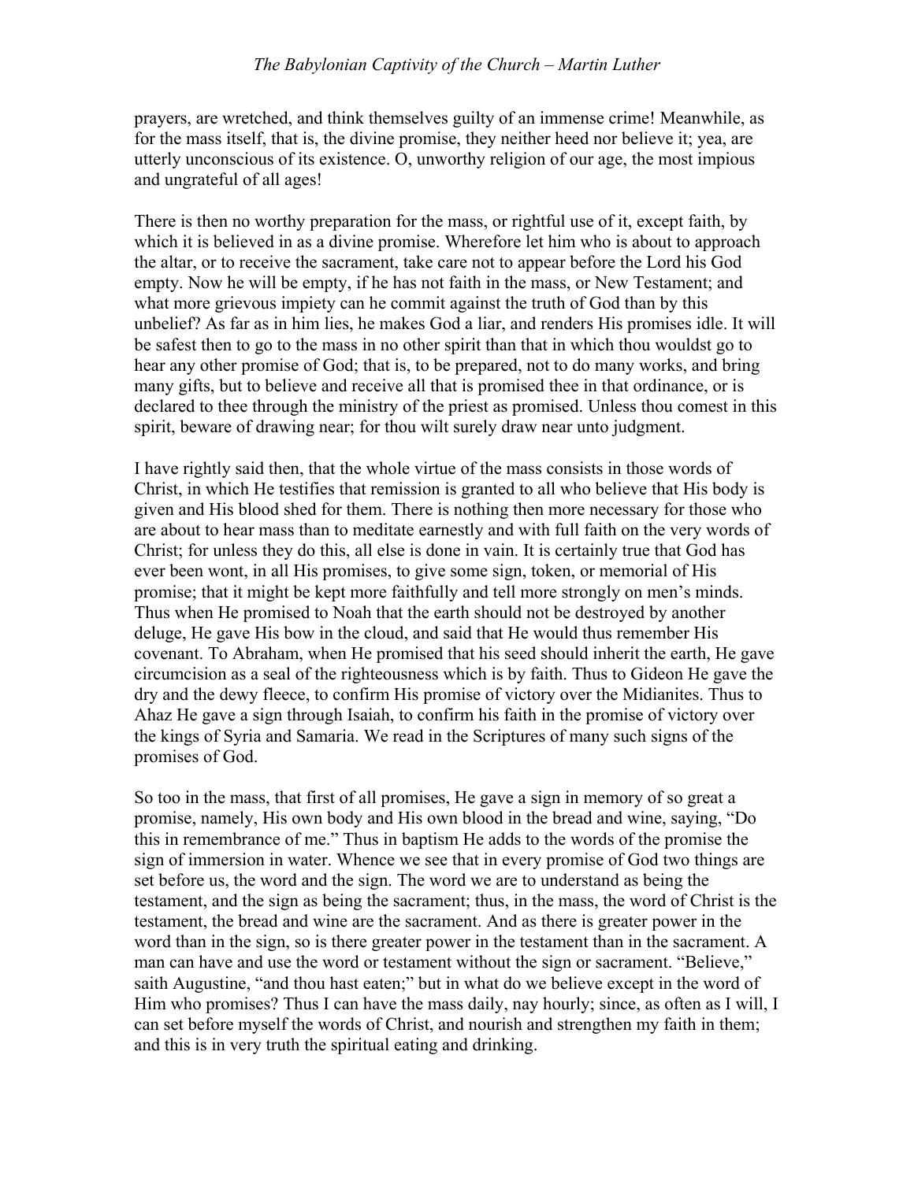prayers, are wretched, and think themselves guilty of an immense crime! Meanwhile, as for the mass itself, that is, the divine promise, they neither heed nor believe it; yea, are utterly unconscious of its existence. O, unworthy religion of our age, the most impious and ungrateful of all ages!

There is then no worthy preparation for the mass, or rightful use of it, except faith, by which it is believed in as a divine promise. Wherefore let him who is about to approach the altar, or to receive the sacrament, take care not to appear before the Lord his God empty. Now he will be empty, if he has not faith in the mass, or New Testament; and what more grievous impiety can he commit against the truth of God than by this unbelief? As far as in him lies, he makes God a liar, and renders His promises idle. It will be safest then to go to the mass in no other spirit than that in which thou wouldst go to hear any other promise of God; that is, to be prepared, not to do many works, and bring many gifts, but to believe and receive all that is promised thee in that ordinance, or is declared to thee through the ministry of the priest as promised. Unless thou comest in this spirit, beware of drawing near; for thou wilt surely draw near unto judgment.

I have rightly said then, that the whole virtue of the mass consists in those words of Christ, in which He testifies that remission is granted to all who believe that His body is given and His blood shed for them. There is nothing then more necessary for those who are about to hear mass than to meditate earnestly and with full faith on the very words of Christ; for unless they do this, all else is done in vain. It is certainly true that God has ever been wont, in all His promises, to give some sign, token, or memorial of His promise; that it might be kept more faithfully and tell more strongly on men's minds. Thus when He promised to Noah that the earth should not be destroyed by another deluge, He gave His bow in the cloud, and said that He would thus remember His covenant. To Abraham, when He promised that his seed should inherit the earth, He gave circumcision as a seal of the righteousness which is by faith. Thus to Gideon He gave the dry and the dewy fleece, to confirm His promise of victory over the Midianites. Thus to Ahaz He gave a sign through Isaiah, to confirm his faith in the promise of victory over the kings of Syria and Samaria. We read in the Scriptures of many such signs of the promises of God.

So too in the mass, that first of all promises, He gave a sign in memory of so great a promise, namely, His own body and His own blood in the bread and wine, saying, "Do this in remembrance of me." Thus in baptism He adds to the words of the promise the sign of immersion in water. Whence we see that in every promise of God two things are set before us, the word and the sign. The word we are to understand as being the testament, and the sign as being the sacrament; thus, in the mass, the word of Christ is the testament, the bread and wine are the sacrament. And as there is greater power in the word than in the sign, so is there greater power in the testament than in the sacrament. A man can have and use the word or testament without the sign or sacrament. "Believe," saith Augustine, "and thou hast eaten;" but in what do we believe except in the word of Him who promises? Thus I can have the mass daily, nay hourly; since, as often as I will, I can set before myself the words of Christ, and nourish and strengthen my faith in them; and this is in very truth the spiritual eating and drinking.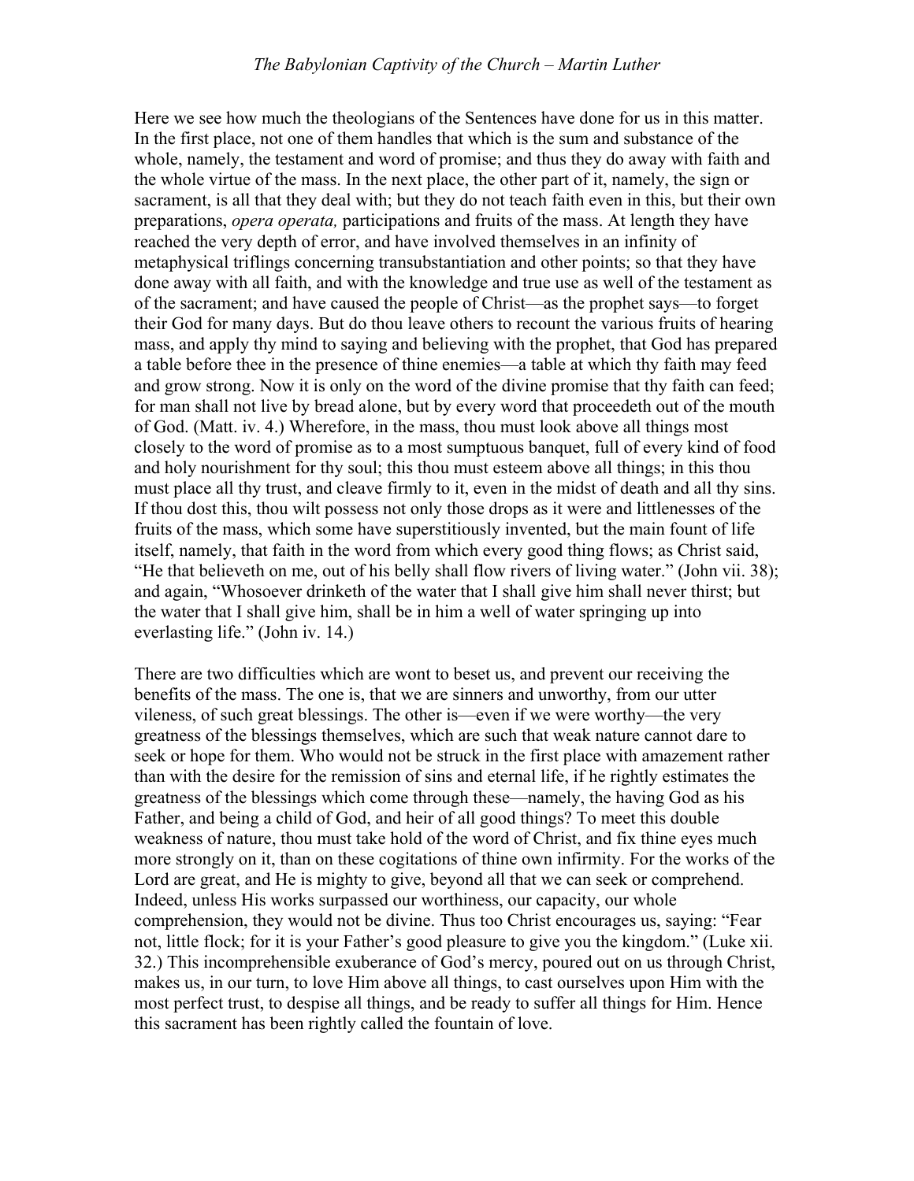Here we see how much the theologians of the Sentences have done for us in this matter. In the first place, not one of them handles that which is the sum and substance of the whole, namely, the testament and word of promise; and thus they do away with faith and the whole virtue of the mass. In the next place, the other part of it, namely, the sign or sacrament, is all that they deal with; but they do not teach faith even in this, but their own preparations, *opera operata,* participations and fruits of the mass. At length they have reached the very depth of error, and have involved themselves in an infinity of metaphysical triflings concerning transubstantiation and other points; so that they have done away with all faith, and with the knowledge and true use as well of the testament as of the sacrament; and have caused the people of Christ—as the prophet says—to forget their God for many days. But do thou leave others to recount the various fruits of hearing mass, and apply thy mind to saying and believing with the prophet, that God has prepared a table before thee in the presence of thine enemies—a table at which thy faith may feed and grow strong. Now it is only on the word of the divine promise that thy faith can feed; for man shall not live by bread alone, but by every word that proceedeth out of the mouth of God. (Matt. iv. 4.) Wherefore, in the mass, thou must look above all things most closely to the word of promise as to a most sumptuous banquet, full of every kind of food and holy nourishment for thy soul; this thou must esteem above all things; in this thou must place all thy trust, and cleave firmly to it, even in the midst of death and all thy sins. If thou dost this, thou wilt possess not only those drops as it were and littlenesses of the fruits of the mass, which some have superstitiously invented, but the main fount of life itself, namely, that faith in the word from which every good thing flows; as Christ said, "He that believeth on me, out of his belly shall flow rivers of living water." (John vii. 38); and again, "Whosoever drinketh of the water that I shall give him shall never thirst; but the water that I shall give him, shall be in him a well of water springing up into everlasting life." (John iv. 14.)

There are two difficulties which are wont to beset us, and prevent our receiving the benefits of the mass. The one is, that we are sinners and unworthy, from our utter vileness, of such great blessings. The other is—even if we were worthy—the very greatness of the blessings themselves, which are such that weak nature cannot dare to seek or hope for them. Who would not be struck in the first place with amazement rather than with the desire for the remission of sins and eternal life, if he rightly estimates the greatness of the blessings which come through these—namely, the having God as his Father, and being a child of God, and heir of all good things? To meet this double weakness of nature, thou must take hold of the word of Christ, and fix thine eyes much more strongly on it, than on these cogitations of thine own infirmity. For the works of the Lord are great, and He is mighty to give, beyond all that we can seek or comprehend. Indeed, unless His works surpassed our worthiness, our capacity, our whole comprehension, they would not be divine. Thus too Christ encourages us, saying: "Fear not, little flock; for it is your Father's good pleasure to give you the kingdom." (Luke xii. 32.) This incomprehensible exuberance of God's mercy, poured out on us through Christ, makes us, in our turn, to love Him above all things, to cast ourselves upon Him with the most perfect trust, to despise all things, and be ready to suffer all things for Him. Hence this sacrament has been rightly called the fountain of love.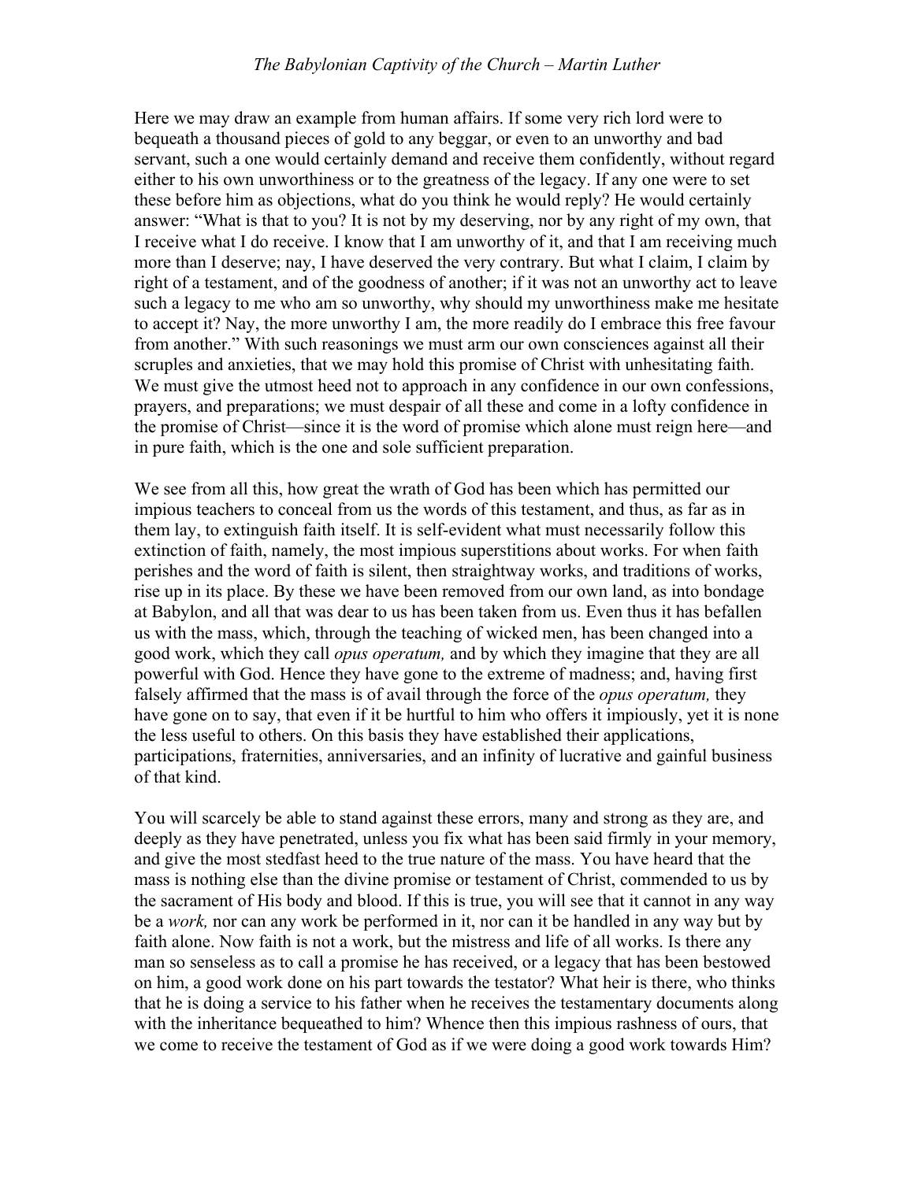Here we may draw an example from human affairs. If some very rich lord were to bequeath a thousand pieces of gold to any beggar, or even to an unworthy and bad servant, such a one would certainly demand and receive them confidently, without regard either to his own unworthiness or to the greatness of the legacy. If any one were to set these before him as objections, what do you think he would reply? He would certainly answer: "What is that to you? It is not by my deserving, nor by any right of my own, that I receive what I do receive. I know that I am unworthy of it, and that I am receiving much more than I deserve; nay, I have deserved the very contrary. But what I claim, I claim by right of a testament, and of the goodness of another; if it was not an unworthy act to leave such a legacy to me who am so unworthy, why should my unworthiness make me hesitate to accept it? Nay, the more unworthy I am, the more readily do I embrace this free favour from another." With such reasonings we must arm our own consciences against all their scruples and anxieties, that we may hold this promise of Christ with unhesitating faith. We must give the utmost heed not to approach in any confidence in our own confessions, prayers, and preparations; we must despair of all these and come in a lofty confidence in the promise of Christ—since it is the word of promise which alone must reign here—and in pure faith, which is the one and sole sufficient preparation.

We see from all this, how great the wrath of God has been which has permitted our impious teachers to conceal from us the words of this testament, and thus, as far as in them lay, to extinguish faith itself. It is self-evident what must necessarily follow this extinction of faith, namely, the most impious superstitions about works. For when faith perishes and the word of faith is silent, then straightway works, and traditions of works, rise up in its place. By these we have been removed from our own land, as into bondage at Babylon, and all that was dear to us has been taken from us. Even thus it has befallen us with the mass, which, through the teaching of wicked men, has been changed into a good work, which they call *opus operatum,* and by which they imagine that they are all powerful with God. Hence they have gone to the extreme of madness; and, having first falsely affirmed that the mass is of avail through the force of the *opus operatum,* they have gone on to say, that even if it be hurtful to him who offers it impiously, yet it is none the less useful to others. On this basis they have established their applications, participations, fraternities, anniversaries, and an infinity of lucrative and gainful business of that kind.

You will scarcely be able to stand against these errors, many and strong as they are, and deeply as they have penetrated, unless you fix what has been said firmly in your memory, and give the most stedfast heed to the true nature of the mass. You have heard that the mass is nothing else than the divine promise or testament of Christ, commended to us by the sacrament of His body and blood. If this is true, you will see that it cannot in any way be a *work,* nor can any work be performed in it, nor can it be handled in any way but by faith alone. Now faith is not a work, but the mistress and life of all works. Is there any man so senseless as to call a promise he has received, or a legacy that has been bestowed on him, a good work done on his part towards the testator? What heir is there, who thinks that he is doing a service to his father when he receives the testamentary documents along with the inheritance bequeathed to him? Whence then this impious rashness of ours, that we come to receive the testament of God as if we were doing a good work towards Him?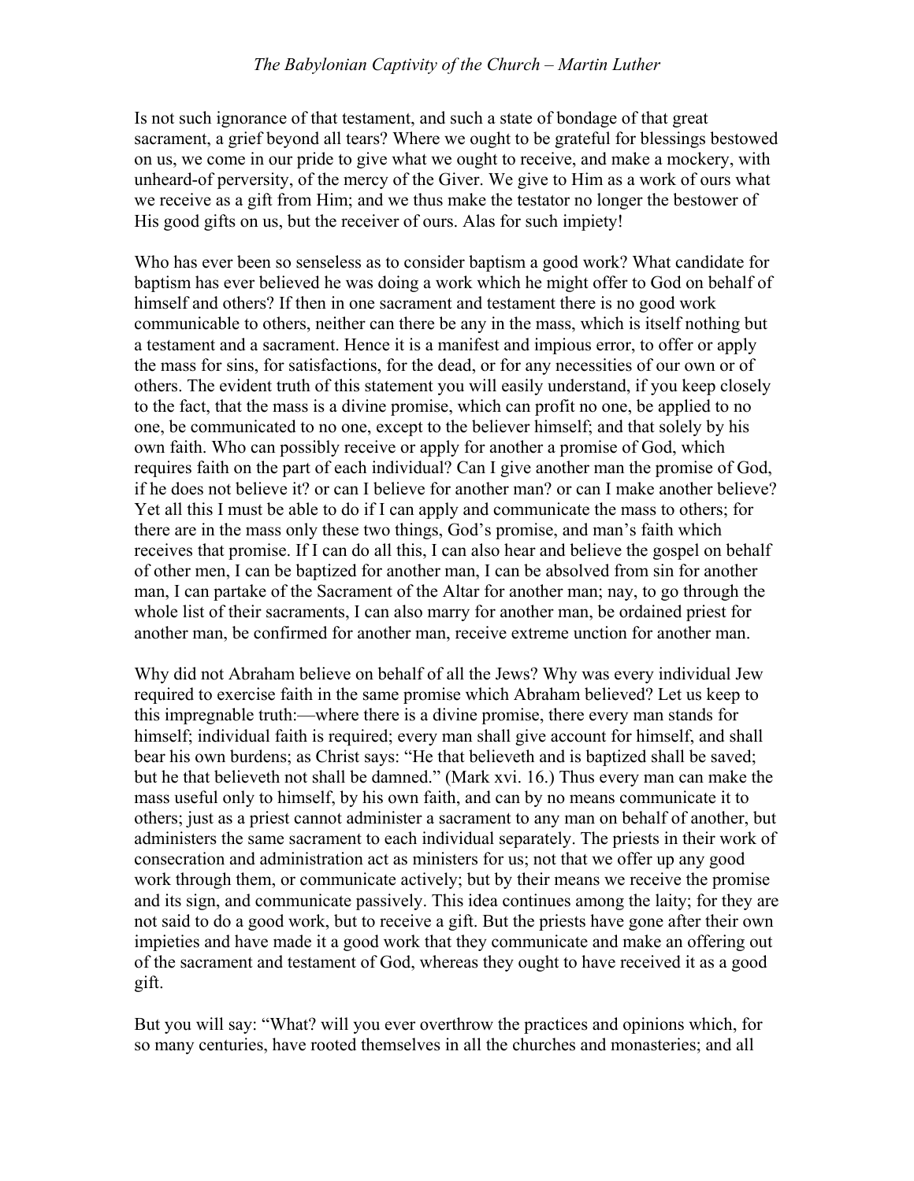Is not such ignorance of that testament, and such a state of bondage of that great sacrament, a grief beyond all tears? Where we ought to be grateful for blessings bestowed on us, we come in our pride to give what we ought to receive, and make a mockery, with unheard-of perversity, of the mercy of the Giver. We give to Him as a work of ours what we receive as a gift from Him; and we thus make the testator no longer the bestower of His good gifts on us, but the receiver of ours. Alas for such impiety!

Who has ever been so senseless as to consider baptism a good work? What candidate for baptism has ever believed he was doing a work which he might offer to God on behalf of himself and others? If then in one sacrament and testament there is no good work communicable to others, neither can there be any in the mass, which is itself nothing but a testament and a sacrament. Hence it is a manifest and impious error, to offer or apply the mass for sins, for satisfactions, for the dead, or for any necessities of our own or of others. The evident truth of this statement you will easily understand, if you keep closely to the fact, that the mass is a divine promise, which can profit no one, be applied to no one, be communicated to no one, except to the believer himself; and that solely by his own faith. Who can possibly receive or apply for another a promise of God, which requires faith on the part of each individual? Can I give another man the promise of God, if he does not believe it? or can I believe for another man? or can I make another believe? Yet all this I must be able to do if I can apply and communicate the mass to others; for there are in the mass only these two things, God's promise, and man's faith which receives that promise. If I can do all this, I can also hear and believe the gospel on behalf of other men, I can be baptized for another man, I can be absolved from sin for another man, I can partake of the Sacrament of the Altar for another man; nay, to go through the whole list of their sacraments, I can also marry for another man, be ordained priest for another man, be confirmed for another man, receive extreme unction for another man.

Why did not Abraham believe on behalf of all the Jews? Why was every individual Jew required to exercise faith in the same promise which Abraham believed? Let us keep to this impregnable truth:—where there is a divine promise, there every man stands for himself; individual faith is required; every man shall give account for himself, and shall bear his own burdens; as Christ says: "He that believeth and is baptized shall be saved; but he that believeth not shall be damned." (Mark xvi. 16.) Thus every man can make the mass useful only to himself, by his own faith, and can by no means communicate it to others; just as a priest cannot administer a sacrament to any man on behalf of another, but administers the same sacrament to each individual separately. The priests in their work of consecration and administration act as ministers for us; not that we offer up any good work through them, or communicate actively; but by their means we receive the promise and its sign, and communicate passively. This idea continues among the laity; for they are not said to do a good work, but to receive a gift. But the priests have gone after their own impieties and have made it a good work that they communicate and make an offering out of the sacrament and testament of God, whereas they ought to have received it as a good gift.

But you will say: "What? will you ever overthrow the practices and opinions which, for so many centuries, have rooted themselves in all the churches and monasteries; and all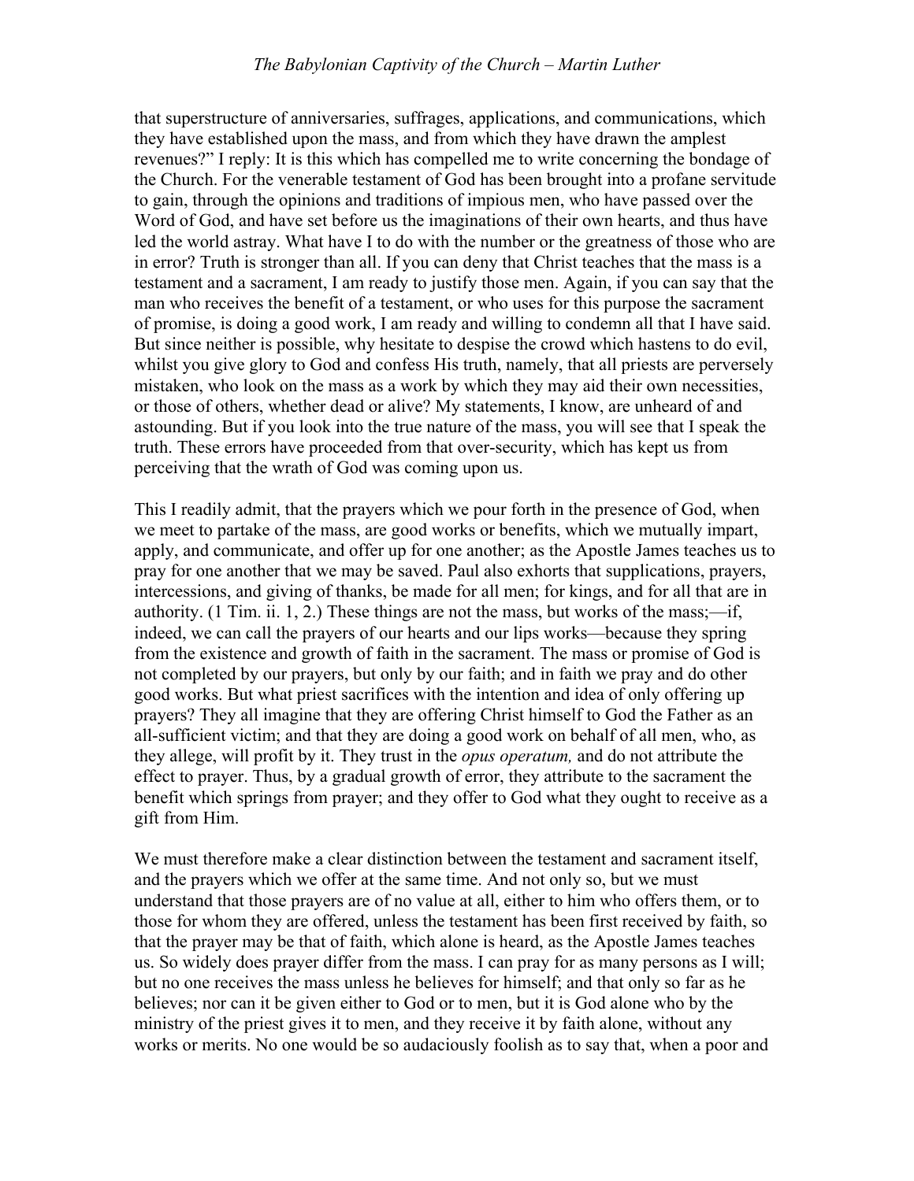that superstructure of anniversaries, suffrages, applications, and communications, which they have established upon the mass, and from which they have drawn the amplest revenues?" I reply: It is this which has compelled me to write concerning the bondage of the Church. For the venerable testament of God has been brought into a profane servitude to gain, through the opinions and traditions of impious men, who have passed over the Word of God, and have set before us the imaginations of their own hearts, and thus have led the world astray. What have I to do with the number or the greatness of those who are in error? Truth is stronger than all. If you can deny that Christ teaches that the mass is a testament and a sacrament, I am ready to justify those men. Again, if you can say that the man who receives the benefit of a testament, or who uses for this purpose the sacrament of promise, is doing a good work, I am ready and willing to condemn all that I have said. But since neither is possible, why hesitate to despise the crowd which hastens to do evil, whilst you give glory to God and confess His truth, namely, that all priests are perversely mistaken, who look on the mass as a work by which they may aid their own necessities, or those of others, whether dead or alive? My statements, I know, are unheard of and astounding. But if you look into the true nature of the mass, you will see that I speak the truth. These errors have proceeded from that over-security, which has kept us from perceiving that the wrath of God was coming upon us.

This I readily admit, that the prayers which we pour forth in the presence of God, when we meet to partake of the mass, are good works or benefits, which we mutually impart, apply, and communicate, and offer up for one another; as the Apostle James teaches us to pray for one another that we may be saved. Paul also exhorts that supplications, prayers, intercessions, and giving of thanks, be made for all men; for kings, and for all that are in authority. (1 Tim. ii. 1, 2.) These things are not the mass, but works of the mass;—if, indeed, we can call the prayers of our hearts and our lips works—because they spring from the existence and growth of faith in the sacrament. The mass or promise of God is not completed by our prayers, but only by our faith; and in faith we pray and do other good works. But what priest sacrifices with the intention and idea of only offering up prayers? They all imagine that they are offering Christ himself to God the Father as an all-sufficient victim; and that they are doing a good work on behalf of all men, who, as they allege, will profit by it. They trust in the *opus operatum,* and do not attribute the effect to prayer. Thus, by a gradual growth of error, they attribute to the sacrament the benefit which springs from prayer; and they offer to God what they ought to receive as a gift from Him.

We must therefore make a clear distinction between the testament and sacrament itself, and the prayers which we offer at the same time. And not only so, but we must understand that those prayers are of no value at all, either to him who offers them, or to those for whom they are offered, unless the testament has been first received by faith, so that the prayer may be that of faith, which alone is heard, as the Apostle James teaches us. So widely does prayer differ from the mass. I can pray for as many persons as I will; but no one receives the mass unless he believes for himself; and that only so far as he believes; nor can it be given either to God or to men, but it is God alone who by the ministry of the priest gives it to men, and they receive it by faith alone, without any works or merits. No one would be so audaciously foolish as to say that, when a poor and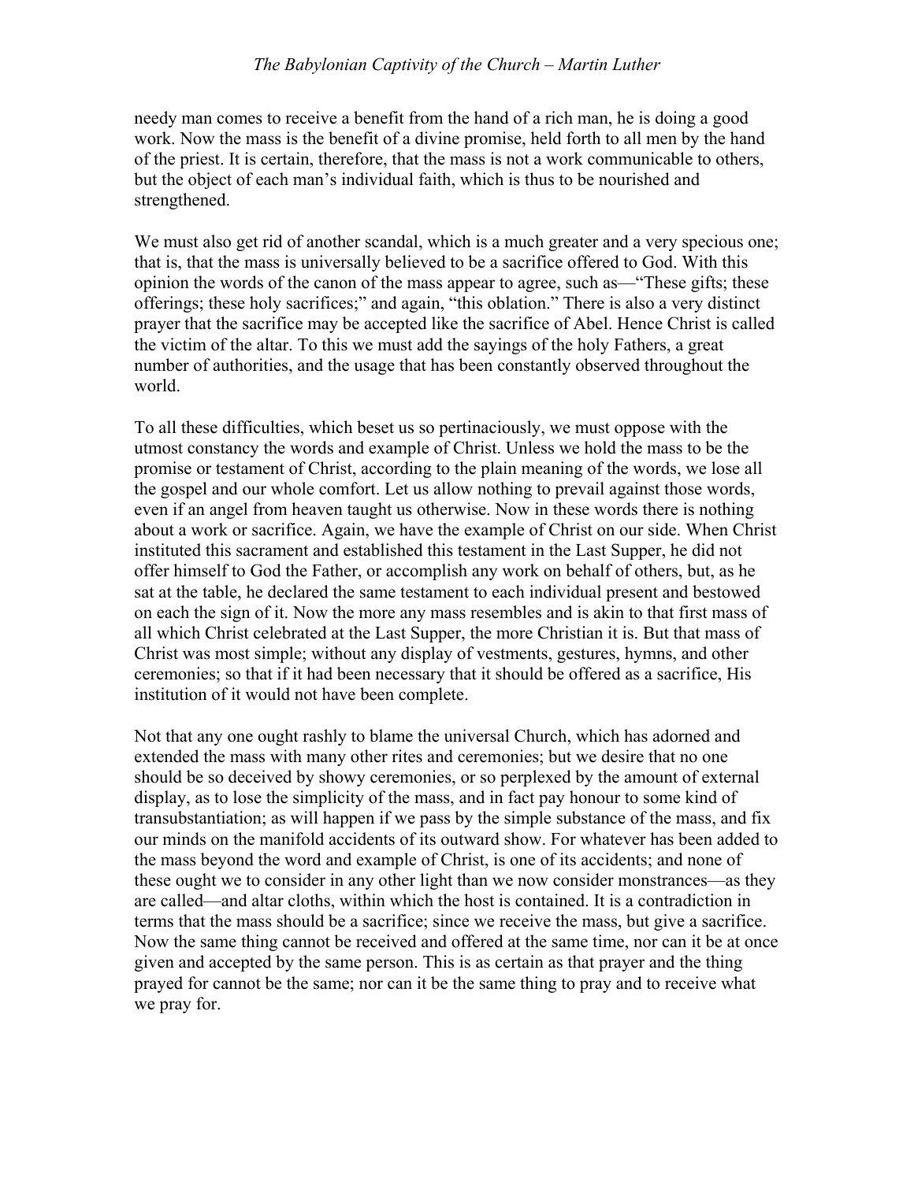needy man comes to receive a benefit from the hand of a rich man, he is doing a good work. Now the mass is the benefit of a divine promise, held forth to all men by the hand of the priest. It is certain, therefore, that the mass is not a work communicable to others, but the object of each man's individual faith, which is thus to be nourished and strengthened.

We must also get rid of another scandal, which is a much greater and a very specious one; that is, that the mass is universally believed to be a sacrifice offered to God. With this opinion the words of the canon of the mass appear to agree, such as—"These gifts; these offerings; these holy sacrifices;" and again, "this oblation." There is also a very distinct prayer that the sacrifice may be accepted like the sacrifice of Abel. Hence Christ is called the victim of the altar. To this we must add the sayings of the holy Fathers, a great number of authorities, and the usage that has been constantly observed throughout the world.

To all these difficulties, which beset us so pertinaciously, we must oppose with the utmost constancy the words and example of Christ. Unless we hold the mass to be the promise or testament of Christ, according to the plain meaning of the words, we lose all the gospel and our whole comfort. Let us allow nothing to prevail against those words, even if an angel from heaven taught us otherwise. Now in these words there is nothing about a work or sacrifice. Again, we have the example of Christ on our side. When Christ instituted this sacrament and established this testament in the Last Supper, he did not offer himself to God the Father, or accomplish any work on behalf of others, but, as he sat at the table, he declared the same testament to each individual present and bestowed on each the sign of it. Now the more any mass resembles and is akin to that first mass of all which Christ celebrated at the Last Supper, the more Christian it is. But that mass of Christ was most simple; without any display of vestments, gestures, hymns, and other ceremonies; so that if it had been necessary that it should be offered as a sacrifice, His institution of it would not have been complete.

Not that any one ought rashly to blame the universal Church, which has adorned and extended the mass with many other rites and ceremonies; but we desire that no one should be so deceived by showy ceremonies, or so perplexed by the amount of external display, as to lose the simplicity of the mass, and in fact pay honour to some kind of transubstantiation; as will happen if we pass by the simple substance of the mass, and fix our minds on the manifold accidents of its outward show. For whatever has been added to the mass beyond the word and example of Christ, is one of its accidents; and none of these ought we to consider in any other light than we now consider monstrances—as they are called—and altar cloths, within which the host is contained. It is a contradiction in terms that the mass should be a sacrifice; since we receive the mass, but give a sacrifice. Now the same thing cannot be received and offered at the same time, nor can it be at once given and accepted by the same person. This is as certain as that prayer and the thing prayed for cannot be the same; nor can it be the same thing to pray and to receive what we pray for.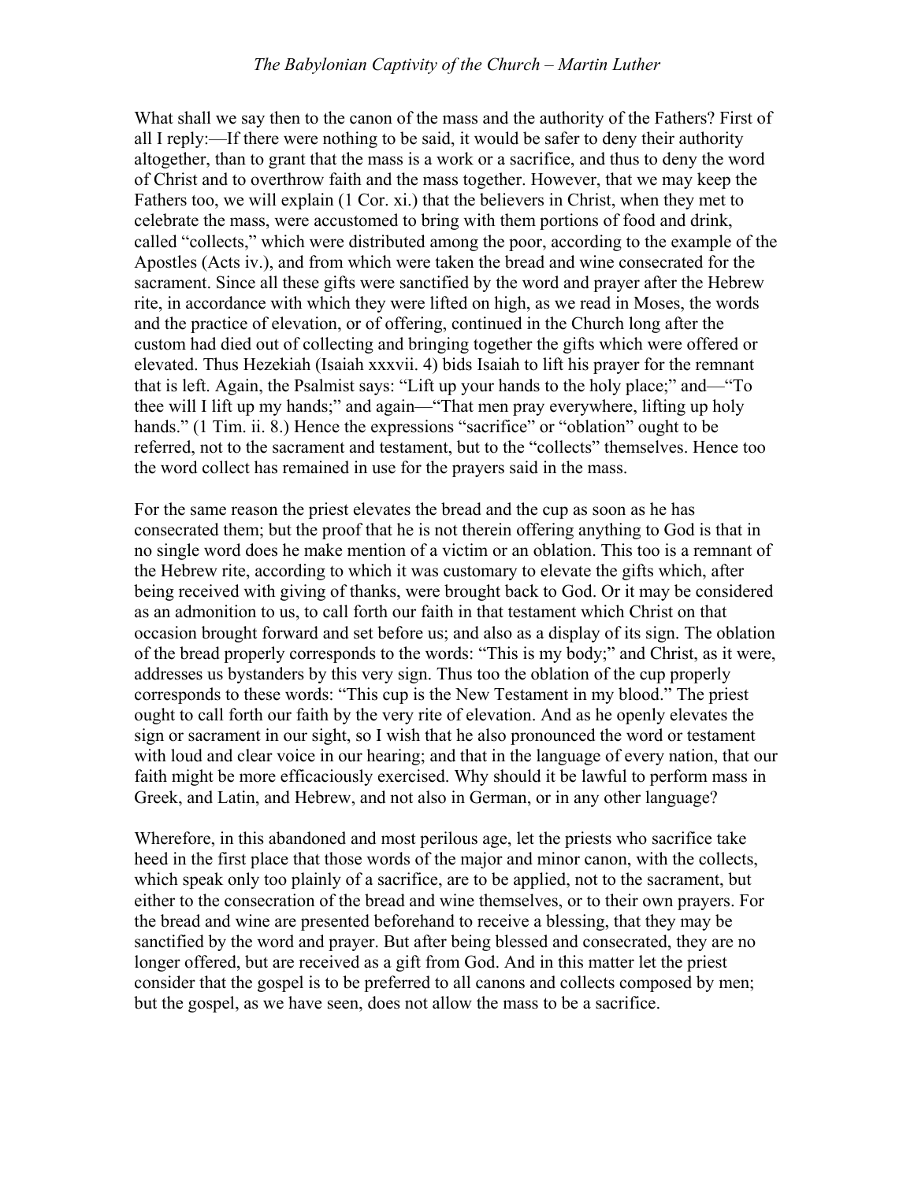What shall we say then to the canon of the mass and the authority of the Fathers? First of all I reply:—If there were nothing to be said, it would be safer to deny their authority altogether, than to grant that the mass is a work or a sacrifice, and thus to deny the word of Christ and to overthrow faith and the mass together. However, that we may keep the Fathers too, we will explain (1 Cor. xi.) that the believers in Christ, when they met to celebrate the mass, were accustomed to bring with them portions of food and drink, called "collects," which were distributed among the poor, according to the example of the Apostles (Acts iv.), and from which were taken the bread and wine consecrated for the sacrament. Since all these gifts were sanctified by the word and prayer after the Hebrew rite, in accordance with which they were lifted on high, as we read in Moses, the words and the practice of elevation, or of offering, continued in the Church long after the custom had died out of collecting and bringing together the gifts which were offered or elevated. Thus Hezekiah (Isaiah xxxvii. 4) bids Isaiah to lift his prayer for the remnant that is left. Again, the Psalmist says: "Lift up your hands to the holy place;" and—"To thee will I lift up my hands;" and again—"That men pray everywhere, lifting up holy hands." (1 Tim. ii. 8.) Hence the expressions "sacrifice" or "oblation" ought to be referred, not to the sacrament and testament, but to the "collects" themselves. Hence too the word collect has remained in use for the prayers said in the mass.

For the same reason the priest elevates the bread and the cup as soon as he has consecrated them; but the proof that he is not therein offering anything to God is that in no single word does he make mention of a victim or an oblation. This too is a remnant of the Hebrew rite, according to which it was customary to elevate the gifts which, after being received with giving of thanks, were brought back to God. Or it may be considered as an admonition to us, to call forth our faith in that testament which Christ on that occasion brought forward and set before us; and also as a display of its sign. The oblation of the bread properly corresponds to the words: "This is my body;" and Christ, as it were, addresses us bystanders by this very sign. Thus too the oblation of the cup properly corresponds to these words: "This cup is the New Testament in my blood." The priest ought to call forth our faith by the very rite of elevation. And as he openly elevates the sign or sacrament in our sight, so I wish that he also pronounced the word or testament with loud and clear voice in our hearing; and that in the language of every nation, that our faith might be more efficaciously exercised. Why should it be lawful to perform mass in Greek, and Latin, and Hebrew, and not also in German, or in any other language?

Wherefore, in this abandoned and most perilous age, let the priests who sacrifice take heed in the first place that those words of the major and minor canon, with the collects, which speak only too plainly of a sacrifice, are to be applied, not to the sacrament, but either to the consecration of the bread and wine themselves, or to their own prayers. For the bread and wine are presented beforehand to receive a blessing, that they may be sanctified by the word and prayer. But after being blessed and consecrated, they are no longer offered, but are received as a gift from God. And in this matter let the priest consider that the gospel is to be preferred to all canons and collects composed by men; but the gospel, as we have seen, does not allow the mass to be a sacrifice.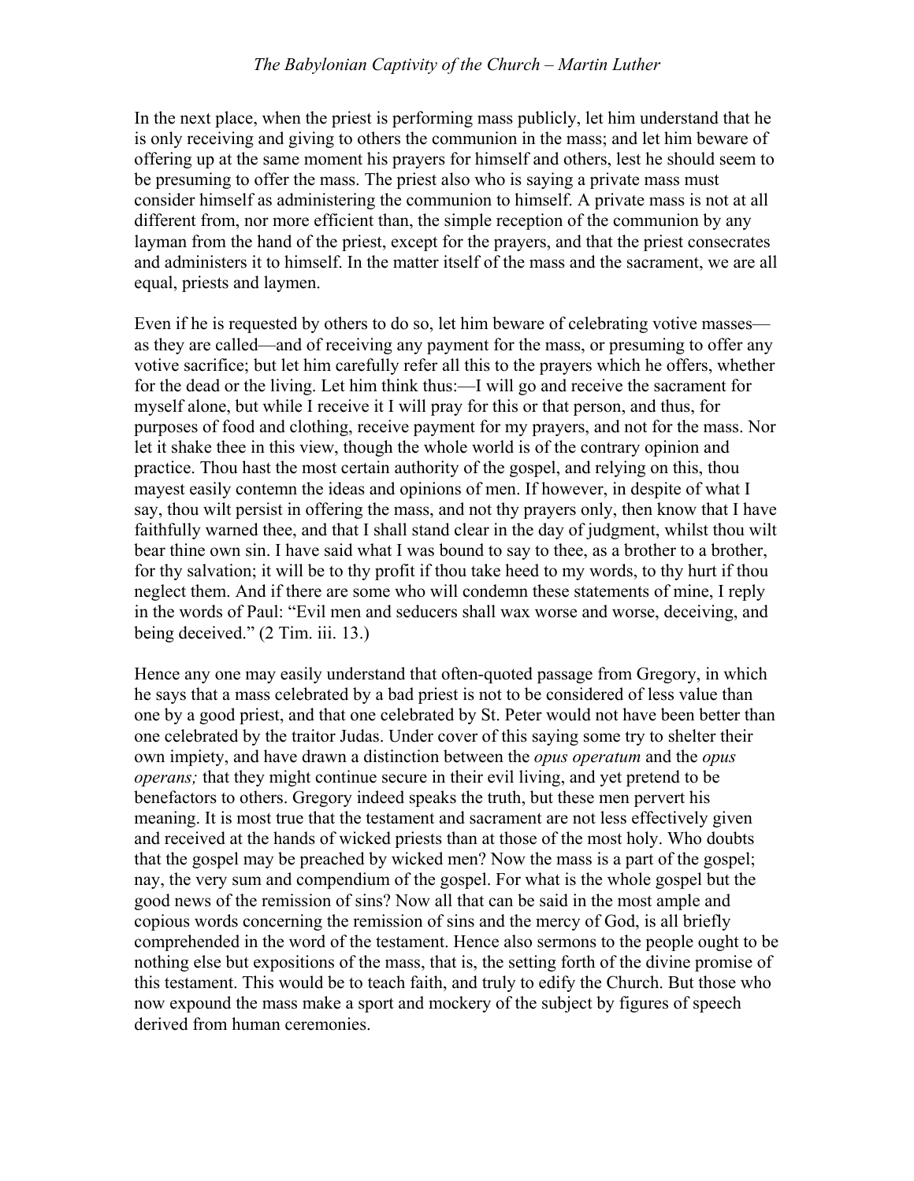In the next place, when the priest is performing mass publicly, let him understand that he is only receiving and giving to others the communion in the mass; and let him beware of offering up at the same moment his prayers for himself and others, lest he should seem to be presuming to offer the mass. The priest also who is saying a private mass must consider himself as administering the communion to himself. A private mass is not at all different from, nor more efficient than, the simple reception of the communion by any layman from the hand of the priest, except for the prayers, and that the priest consecrates and administers it to himself. In the matter itself of the mass and the sacrament, we are all equal, priests and laymen.

Even if he is requested by others to do so, let him beware of celebrating votive masses as they are called—and of receiving any payment for the mass, or presuming to offer any votive sacrifice; but let him carefully refer all this to the prayers which he offers, whether for the dead or the living. Let him think thus:—I will go and receive the sacrament for myself alone, but while I receive it I will pray for this or that person, and thus, for purposes of food and clothing, receive payment for my prayers, and not for the mass. Nor let it shake thee in this view, though the whole world is of the contrary opinion and practice. Thou hast the most certain authority of the gospel, and relying on this, thou mayest easily contemn the ideas and opinions of men. If however, in despite of what I say, thou wilt persist in offering the mass, and not thy prayers only, then know that I have faithfully warned thee, and that I shall stand clear in the day of judgment, whilst thou wilt bear thine own sin. I have said what I was bound to say to thee, as a brother to a brother, for thy salvation; it will be to thy profit if thou take heed to my words, to thy hurt if thou neglect them. And if there are some who will condemn these statements of mine, I reply in the words of Paul: "Evil men and seducers shall wax worse and worse, deceiving, and being deceived." (2 Tim. iii. 13.)

Hence any one may easily understand that often-quoted passage from Gregory, in which he says that a mass celebrated by a bad priest is not to be considered of less value than one by a good priest, and that one celebrated by St. Peter would not have been better than one celebrated by the traitor Judas. Under cover of this saying some try to shelter their own impiety, and have drawn a distinction between the *opus operatum* and the *opus operans;* that they might continue secure in their evil living, and yet pretend to be benefactors to others. Gregory indeed speaks the truth, but these men pervert his meaning. It is most true that the testament and sacrament are not less effectively given and received at the hands of wicked priests than at those of the most holy. Who doubts that the gospel may be preached by wicked men? Now the mass is a part of the gospel; nay, the very sum and compendium of the gospel. For what is the whole gospel but the good news of the remission of sins? Now all that can be said in the most ample and copious words concerning the remission of sins and the mercy of God, is all briefly comprehended in the word of the testament. Hence also sermons to the people ought to be nothing else but expositions of the mass, that is, the setting forth of the divine promise of this testament. This would be to teach faith, and truly to edify the Church. But those who now expound the mass make a sport and mockery of the subject by figures of speech derived from human ceremonies.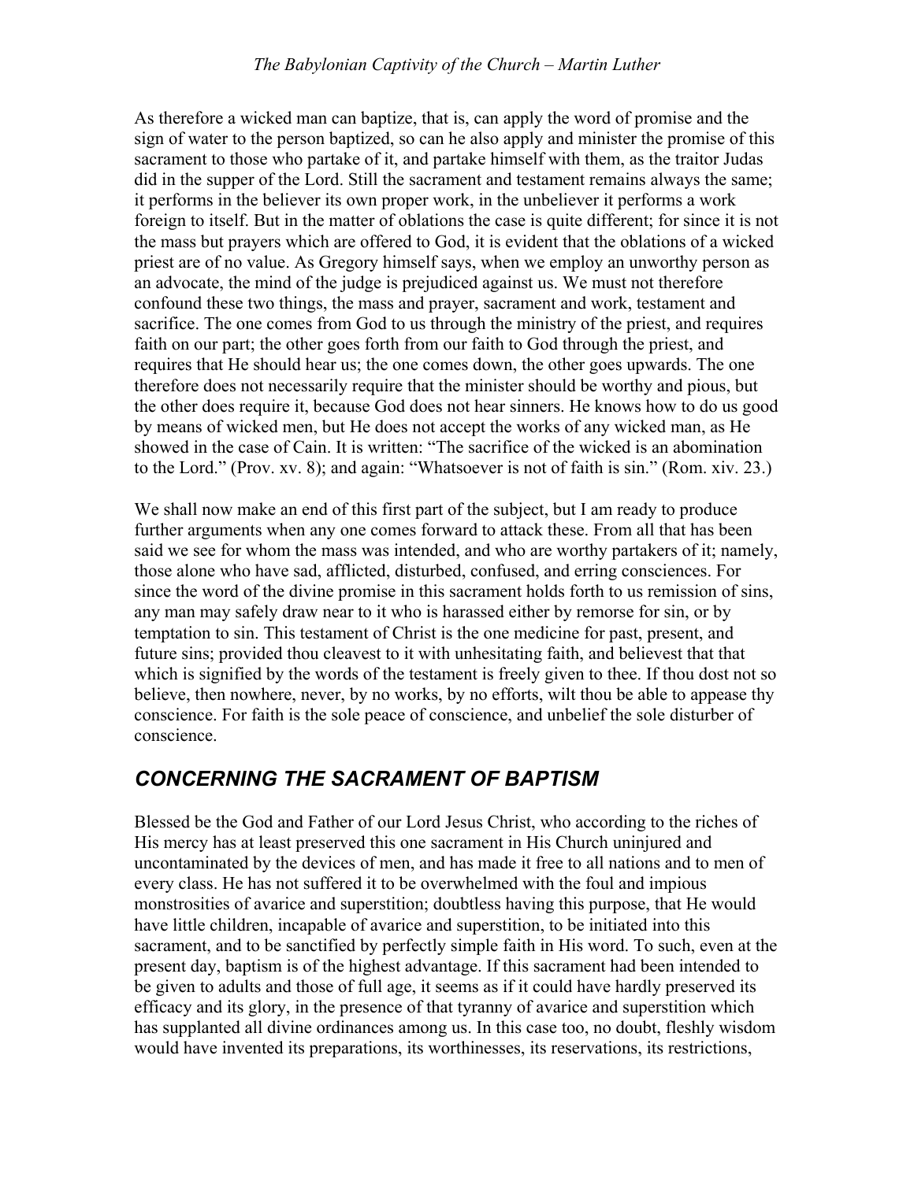As therefore a wicked man can baptize, that is, can apply the word of promise and the sign of water to the person baptized, so can he also apply and minister the promise of this sacrament to those who partake of it, and partake himself with them, as the traitor Judas did in the supper of the Lord. Still the sacrament and testament remains always the same; it performs in the believer its own proper work, in the unbeliever it performs a work foreign to itself. But in the matter of oblations the case is quite different; for since it is not the mass but prayers which are offered to God, it is evident that the oblations of a wicked priest are of no value. As Gregory himself says, when we employ an unworthy person as an advocate, the mind of the judge is prejudiced against us. We must not therefore confound these two things, the mass and prayer, sacrament and work, testament and sacrifice. The one comes from God to us through the ministry of the priest, and requires faith on our part; the other goes forth from our faith to God through the priest, and requires that He should hear us; the one comes down, the other goes upwards. The one therefore does not necessarily require that the minister should be worthy and pious, but the other does require it, because God does not hear sinners. He knows how to do us good by means of wicked men, but He does not accept the works of any wicked man, as He showed in the case of Cain. It is written: "The sacrifice of the wicked is an abomination to the Lord." (Prov. xv. 8); and again: "Whatsoever is not of faith is sin." (Rom. xiv. 23.)

We shall now make an end of this first part of the subject, but I am ready to produce further arguments when any one comes forward to attack these. From all that has been said we see for whom the mass was intended, and who are worthy partakers of it; namely, those alone who have sad, afflicted, disturbed, confused, and erring consciences. For since the word of the divine promise in this sacrament holds forth to us remission of sins, any man may safely draw near to it who is harassed either by remorse for sin, or by temptation to sin. This testament of Christ is the one medicine for past, present, and future sins; provided thou cleavest to it with unhesitating faith, and believest that that which is signified by the words of the testament is freely given to thee. If thou dost not so believe, then nowhere, never, by no works, by no efforts, wilt thou be able to appease thy conscience. For faith is the sole peace of conscience, and unbelief the sole disturber of conscience.

### *CONCERNING THE SACRAMENT OF BAPTISM*

Blessed be the God and Father of our Lord Jesus Christ, who according to the riches of His mercy has at least preserved this one sacrament in His Church uninjured and uncontaminated by the devices of men, and has made it free to all nations and to men of every class. He has not suffered it to be overwhelmed with the foul and impious monstrosities of avarice and superstition; doubtless having this purpose, that He would have little children, incapable of avarice and superstition, to be initiated into this sacrament, and to be sanctified by perfectly simple faith in His word. To such, even at the present day, baptism is of the highest advantage. If this sacrament had been intended to be given to adults and those of full age, it seems as if it could have hardly preserved its efficacy and its glory, in the presence of that tyranny of avarice and superstition which has supplanted all divine ordinances among us. In this case too, no doubt, fleshly wisdom would have invented its preparations, its worthinesses, its reservations, its restrictions,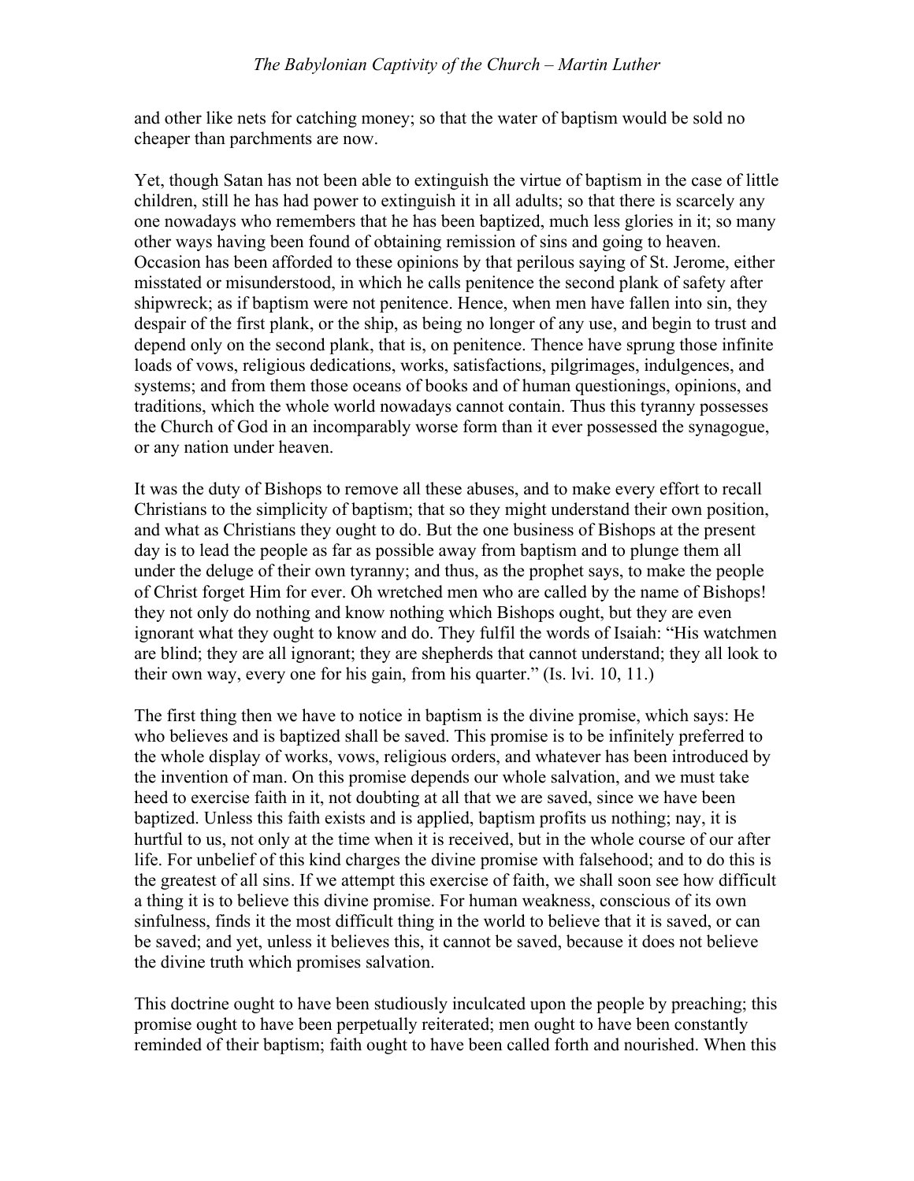and other like nets for catching money; so that the water of baptism would be sold no cheaper than parchments are now.

Yet, though Satan has not been able to extinguish the virtue of baptism in the case of little children, still he has had power to extinguish it in all adults; so that there is scarcely any one nowadays who remembers that he has been baptized, much less glories in it; so many other ways having been found of obtaining remission of sins and going to heaven. Occasion has been afforded to these opinions by that perilous saying of St. Jerome, either misstated or misunderstood, in which he calls penitence the second plank of safety after shipwreck; as if baptism were not penitence. Hence, when men have fallen into sin, they despair of the first plank, or the ship, as being no longer of any use, and begin to trust and depend only on the second plank, that is, on penitence. Thence have sprung those infinite loads of vows, religious dedications, works, satisfactions, pilgrimages, indulgences, and systems; and from them those oceans of books and of human questionings, opinions, and traditions, which the whole world nowadays cannot contain. Thus this tyranny possesses the Church of God in an incomparably worse form than it ever possessed the synagogue, or any nation under heaven.

It was the duty of Bishops to remove all these abuses, and to make every effort to recall Christians to the simplicity of baptism; that so they might understand their own position, and what as Christians they ought to do. But the one business of Bishops at the present day is to lead the people as far as possible away from baptism and to plunge them all under the deluge of their own tyranny; and thus, as the prophet says, to make the people of Christ forget Him for ever. Oh wretched men who are called by the name of Bishops! they not only do nothing and know nothing which Bishops ought, but they are even ignorant what they ought to know and do. They fulfil the words of Isaiah: "His watchmen are blind; they are all ignorant; they are shepherds that cannot understand; they all look to their own way, every one for his gain, from his quarter." (Is. lvi. 10, 11.)

The first thing then we have to notice in baptism is the divine promise, which says: He who believes and is baptized shall be saved. This promise is to be infinitely preferred to the whole display of works, vows, religious orders, and whatever has been introduced by the invention of man. On this promise depends our whole salvation, and we must take heed to exercise faith in it, not doubting at all that we are saved, since we have been baptized. Unless this faith exists and is applied, baptism profits us nothing; nay, it is hurtful to us, not only at the time when it is received, but in the whole course of our after life. For unbelief of this kind charges the divine promise with falsehood; and to do this is the greatest of all sins. If we attempt this exercise of faith, we shall soon see how difficult a thing it is to believe this divine promise. For human weakness, conscious of its own sinfulness, finds it the most difficult thing in the world to believe that it is saved, or can be saved; and yet, unless it believes this, it cannot be saved, because it does not believe the divine truth which promises salvation.

This doctrine ought to have been studiously inculcated upon the people by preaching; this promise ought to have been perpetually reiterated; men ought to have been constantly reminded of their baptism; faith ought to have been called forth and nourished. When this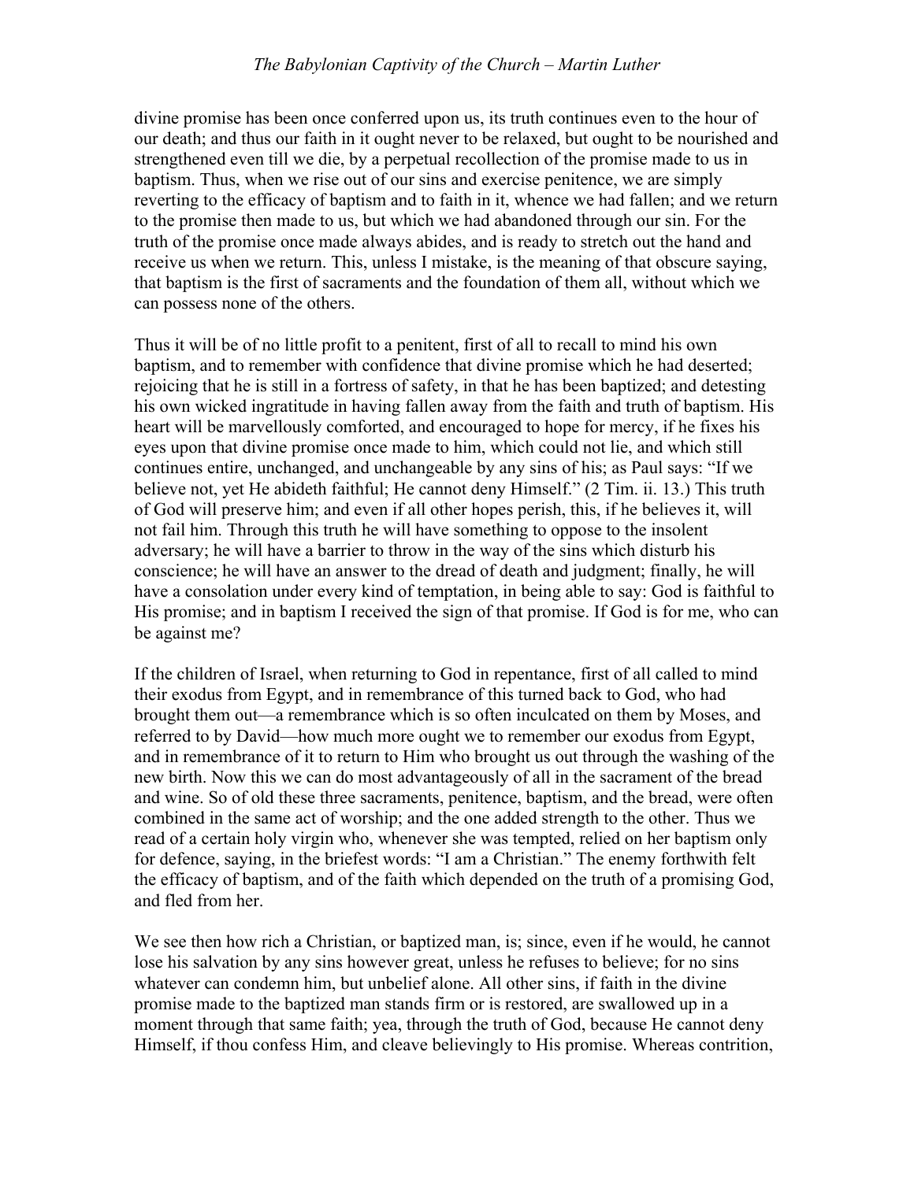divine promise has been once conferred upon us, its truth continues even to the hour of our death; and thus our faith in it ought never to be relaxed, but ought to be nourished and strengthened even till we die, by a perpetual recollection of the promise made to us in baptism. Thus, when we rise out of our sins and exercise penitence, we are simply reverting to the efficacy of baptism and to faith in it, whence we had fallen; and we return to the promise then made to us, but which we had abandoned through our sin. For the truth of the promise once made always abides, and is ready to stretch out the hand and receive us when we return. This, unless I mistake, is the meaning of that obscure saying, that baptism is the first of sacraments and the foundation of them all, without which we can possess none of the others.

Thus it will be of no little profit to a penitent, first of all to recall to mind his own baptism, and to remember with confidence that divine promise which he had deserted; rejoicing that he is still in a fortress of safety, in that he has been baptized; and detesting his own wicked ingratitude in having fallen away from the faith and truth of baptism. His heart will be marvellously comforted, and encouraged to hope for mercy, if he fixes his eyes upon that divine promise once made to him, which could not lie, and which still continues entire, unchanged, and unchangeable by any sins of his; as Paul says: "If we believe not, yet He abideth faithful; He cannot deny Himself." (2 Tim. ii. 13.) This truth of God will preserve him; and even if all other hopes perish, this, if he believes it, will not fail him. Through this truth he will have something to oppose to the insolent adversary; he will have a barrier to throw in the way of the sins which disturb his conscience; he will have an answer to the dread of death and judgment; finally, he will have a consolation under every kind of temptation, in being able to say: God is faithful to His promise; and in baptism I received the sign of that promise. If God is for me, who can be against me?

If the children of Israel, when returning to God in repentance, first of all called to mind their exodus from Egypt, and in remembrance of this turned back to God, who had brought them out—a remembrance which is so often inculcated on them by Moses, and referred to by David—how much more ought we to remember our exodus from Egypt, and in remembrance of it to return to Him who brought us out through the washing of the new birth. Now this we can do most advantageously of all in the sacrament of the bread and wine. So of old these three sacraments, penitence, baptism, and the bread, were often combined in the same act of worship; and the one added strength to the other. Thus we read of a certain holy virgin who, whenever she was tempted, relied on her baptism only for defence, saying, in the briefest words: "I am a Christian." The enemy forthwith felt the efficacy of baptism, and of the faith which depended on the truth of a promising God, and fled from her.

We see then how rich a Christian, or baptized man, is; since, even if he would, he cannot lose his salvation by any sins however great, unless he refuses to believe; for no sins whatever can condemn him, but unbelief alone. All other sins, if faith in the divine promise made to the baptized man stands firm or is restored, are swallowed up in a moment through that same faith; yea, through the truth of God, because He cannot deny Himself, if thou confess Him, and cleave believingly to His promise. Whereas contrition,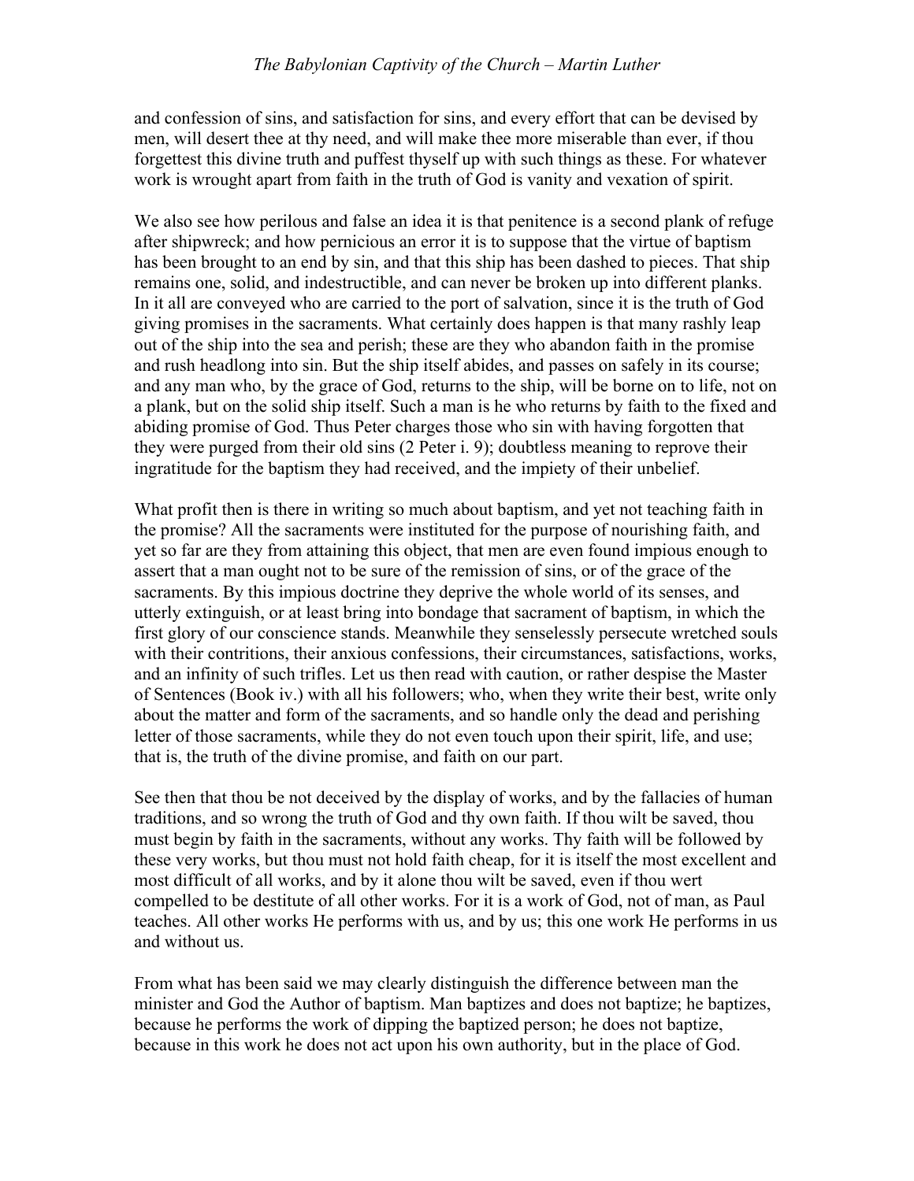and confession of sins, and satisfaction for sins, and every effort that can be devised by men, will desert thee at thy need, and will make thee more miserable than ever, if thou forgettest this divine truth and puffest thyself up with such things as these. For whatever work is wrought apart from faith in the truth of God is vanity and vexation of spirit.

We also see how perilous and false an idea it is that penitence is a second plank of refuge after shipwreck; and how pernicious an error it is to suppose that the virtue of baptism has been brought to an end by sin, and that this ship has been dashed to pieces. That ship remains one, solid, and indestructible, and can never be broken up into different planks. In it all are conveyed who are carried to the port of salvation, since it is the truth of God giving promises in the sacraments. What certainly does happen is that many rashly leap out of the ship into the sea and perish; these are they who abandon faith in the promise and rush headlong into sin. But the ship itself abides, and passes on safely in its course; and any man who, by the grace of God, returns to the ship, will be borne on to life, not on a plank, but on the solid ship itself. Such a man is he who returns by faith to the fixed and abiding promise of God. Thus Peter charges those who sin with having forgotten that they were purged from their old sins (2 Peter i. 9); doubtless meaning to reprove their ingratitude for the baptism they had received, and the impiety of their unbelief.

What profit then is there in writing so much about baptism, and yet not teaching faith in the promise? All the sacraments were instituted for the purpose of nourishing faith, and yet so far are they from attaining this object, that men are even found impious enough to assert that a man ought not to be sure of the remission of sins, or of the grace of the sacraments. By this impious doctrine they deprive the whole world of its senses, and utterly extinguish, or at least bring into bondage that sacrament of baptism, in which the first glory of our conscience stands. Meanwhile they senselessly persecute wretched souls with their contritions, their anxious confessions, their circumstances, satisfactions, works, and an infinity of such trifles. Let us then read with caution, or rather despise the Master of Sentences (Book iv.) with all his followers; who, when they write their best, write only about the matter and form of the sacraments, and so handle only the dead and perishing letter of those sacraments, while they do not even touch upon their spirit, life, and use; that is, the truth of the divine promise, and faith on our part.

See then that thou be not deceived by the display of works, and by the fallacies of human traditions, and so wrong the truth of God and thy own faith. If thou wilt be saved, thou must begin by faith in the sacraments, without any works. Thy faith will be followed by these very works, but thou must not hold faith cheap, for it is itself the most excellent and most difficult of all works, and by it alone thou wilt be saved, even if thou wert compelled to be destitute of all other works. For it is a work of God, not of man, as Paul teaches. All other works He performs with us, and by us; this one work He performs in us and without us.

From what has been said we may clearly distinguish the difference between man the minister and God the Author of baptism. Man baptizes and does not baptize; he baptizes, because he performs the work of dipping the baptized person; he does not baptize, because in this work he does not act upon his own authority, but in the place of God.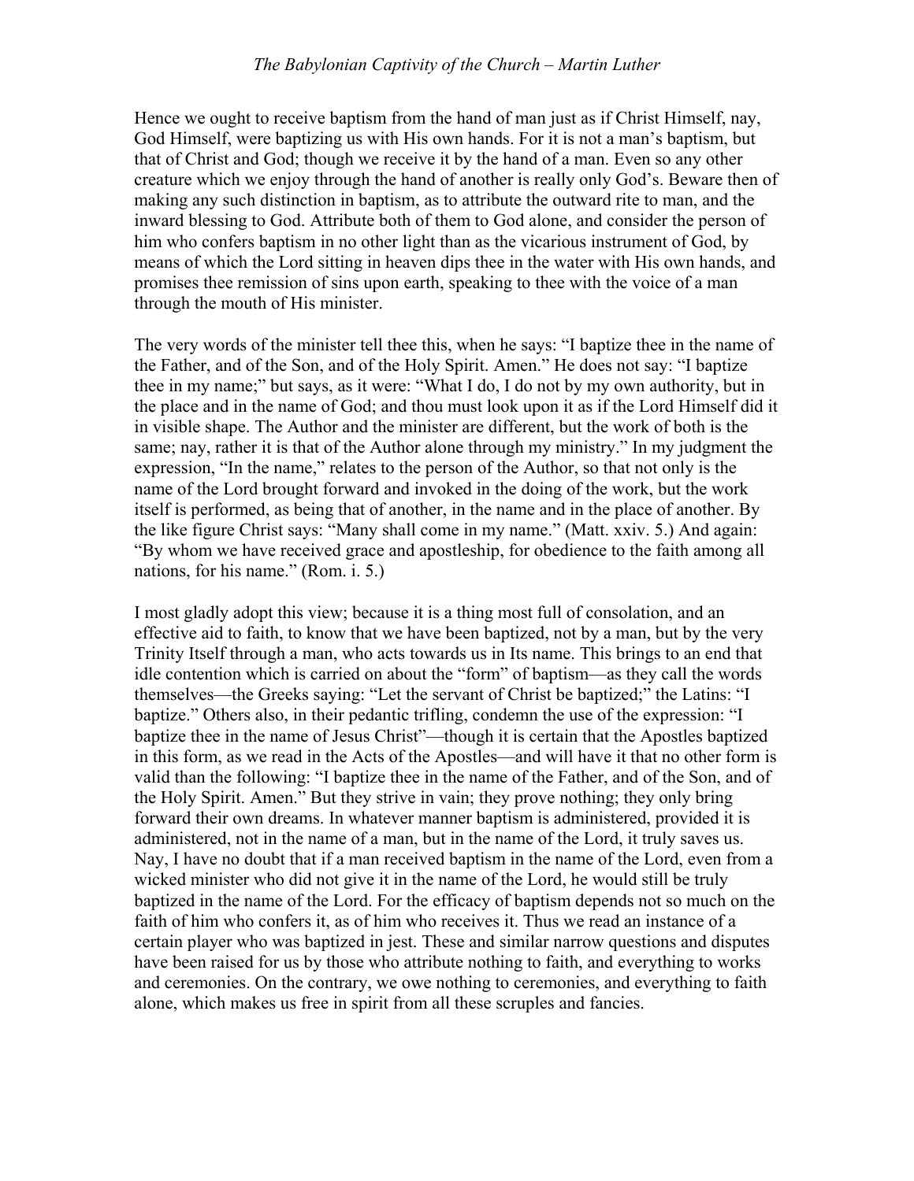Hence we ought to receive baptism from the hand of man just as if Christ Himself, nay, God Himself, were baptizing us with His own hands. For it is not a man's baptism, but that of Christ and God; though we receive it by the hand of a man. Even so any other creature which we enjoy through the hand of another is really only God's. Beware then of making any such distinction in baptism, as to attribute the outward rite to man, and the inward blessing to God. Attribute both of them to God alone, and consider the person of him who confers baptism in no other light than as the vicarious instrument of God, by means of which the Lord sitting in heaven dips thee in the water with His own hands, and promises thee remission of sins upon earth, speaking to thee with the voice of a man through the mouth of His minister.

The very words of the minister tell thee this, when he says: "I baptize thee in the name of the Father, and of the Son, and of the Holy Spirit. Amen." He does not say: "I baptize thee in my name;" but says, as it were: "What I do, I do not by my own authority, but in the place and in the name of God; and thou must look upon it as if the Lord Himself did it in visible shape. The Author and the minister are different, but the work of both is the same; nay, rather it is that of the Author alone through my ministry." In my judgment the expression, "In the name," relates to the person of the Author, so that not only is the name of the Lord brought forward and invoked in the doing of the work, but the work itself is performed, as being that of another, in the name and in the place of another. By the like figure Christ says: "Many shall come in my name." (Matt. xxiv. 5.) And again: "By whom we have received grace and apostleship, for obedience to the faith among all nations, for his name." (Rom. i. 5.)

I most gladly adopt this view; because it is a thing most full of consolation, and an effective aid to faith, to know that we have been baptized, not by a man, but by the very Trinity Itself through a man, who acts towards us in Its name. This brings to an end that idle contention which is carried on about the "form" of baptism—as they call the words themselves—the Greeks saying: "Let the servant of Christ be baptized;" the Latins: "I baptize." Others also, in their pedantic trifling, condemn the use of the expression: "I baptize thee in the name of Jesus Christ"—though it is certain that the Apostles baptized in this form, as we read in the Acts of the Apostles—and will have it that no other form is valid than the following: "I baptize thee in the name of the Father, and of the Son, and of the Holy Spirit. Amen." But they strive in vain; they prove nothing; they only bring forward their own dreams. In whatever manner baptism is administered, provided it is administered, not in the name of a man, but in the name of the Lord, it truly saves us. Nay, I have no doubt that if a man received baptism in the name of the Lord, even from a wicked minister who did not give it in the name of the Lord, he would still be truly baptized in the name of the Lord. For the efficacy of baptism depends not so much on the faith of him who confers it, as of him who receives it. Thus we read an instance of a certain player who was baptized in jest. These and similar narrow questions and disputes have been raised for us by those who attribute nothing to faith, and everything to works and ceremonies. On the contrary, we owe nothing to ceremonies, and everything to faith alone, which makes us free in spirit from all these scruples and fancies.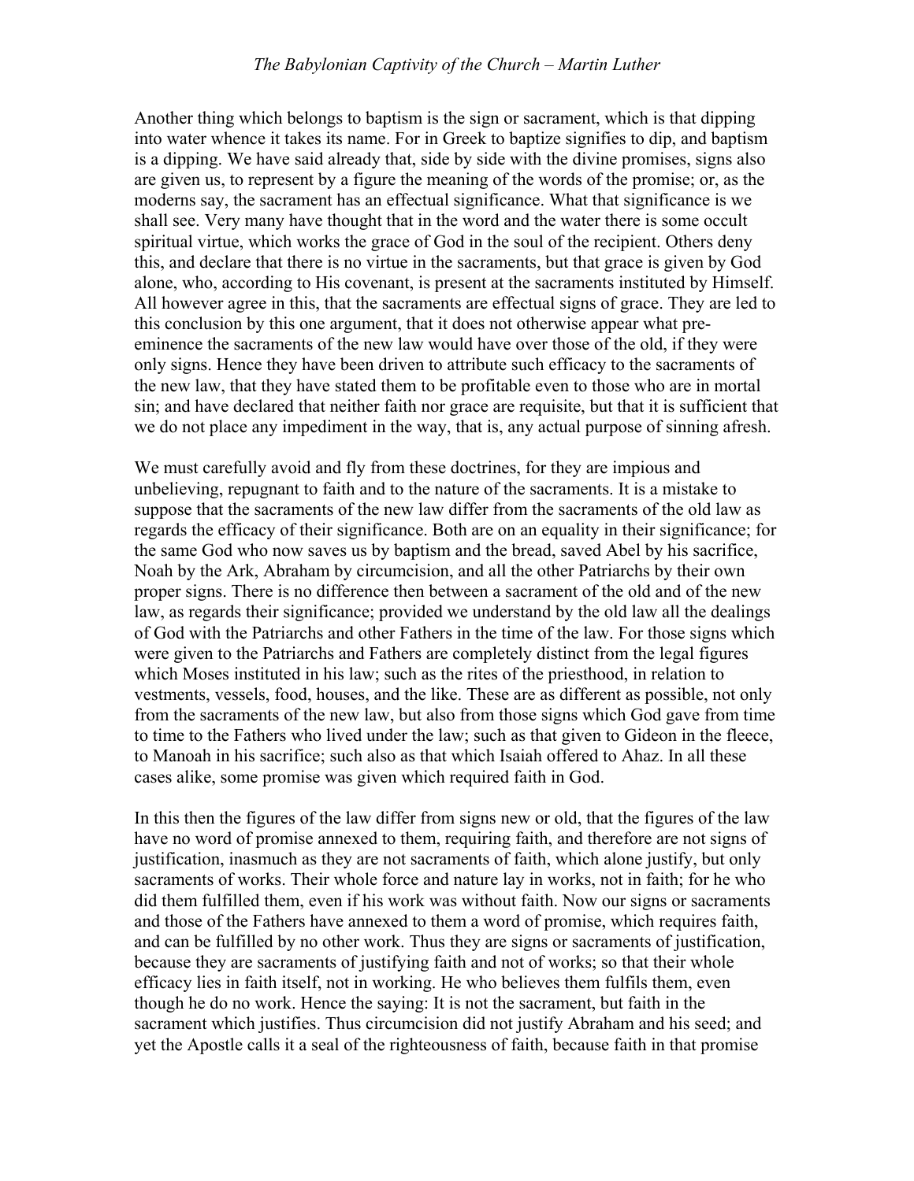Another thing which belongs to baptism is the sign or sacrament, which is that dipping into water whence it takes its name. For in Greek to baptize signifies to dip, and baptism is a dipping. We have said already that, side by side with the divine promises, signs also are given us, to represent by a figure the meaning of the words of the promise; or, as the moderns say, the sacrament has an effectual significance. What that significance is we shall see. Very many have thought that in the word and the water there is some occult spiritual virtue, which works the grace of God in the soul of the recipient. Others deny this, and declare that there is no virtue in the sacraments, but that grace is given by God alone, who, according to His covenant, is present at the sacraments instituted by Himself. All however agree in this, that the sacraments are effectual signs of grace. They are led to this conclusion by this one argument, that it does not otherwise appear what preeminence the sacraments of the new law would have over those of the old, if they were only signs. Hence they have been driven to attribute such efficacy to the sacraments of the new law, that they have stated them to be profitable even to those who are in mortal sin; and have declared that neither faith nor grace are requisite, but that it is sufficient that we do not place any impediment in the way, that is, any actual purpose of sinning afresh.

We must carefully avoid and fly from these doctrines, for they are impious and unbelieving, repugnant to faith and to the nature of the sacraments. It is a mistake to suppose that the sacraments of the new law differ from the sacraments of the old law as regards the efficacy of their significance. Both are on an equality in their significance; for the same God who now saves us by baptism and the bread, saved Abel by his sacrifice, Noah by the Ark, Abraham by circumcision, and all the other Patriarchs by their own proper signs. There is no difference then between a sacrament of the old and of the new law, as regards their significance; provided we understand by the old law all the dealings of God with the Patriarchs and other Fathers in the time of the law. For those signs which were given to the Patriarchs and Fathers are completely distinct from the legal figures which Moses instituted in his law; such as the rites of the priesthood, in relation to vestments, vessels, food, houses, and the like. These are as different as possible, not only from the sacraments of the new law, but also from those signs which God gave from time to time to the Fathers who lived under the law; such as that given to Gideon in the fleece, to Manoah in his sacrifice; such also as that which Isaiah offered to Ahaz. In all these cases alike, some promise was given which required faith in God.

In this then the figures of the law differ from signs new or old, that the figures of the law have no word of promise annexed to them, requiring faith, and therefore are not signs of justification, inasmuch as they are not sacraments of faith, which alone justify, but only sacraments of works. Their whole force and nature lay in works, not in faith; for he who did them fulfilled them, even if his work was without faith. Now our signs or sacraments and those of the Fathers have annexed to them a word of promise, which requires faith, and can be fulfilled by no other work. Thus they are signs or sacraments of justification, because they are sacraments of justifying faith and not of works; so that their whole efficacy lies in faith itself, not in working. He who believes them fulfils them, even though he do no work. Hence the saying: It is not the sacrament, but faith in the sacrament which justifies. Thus circumcision did not justify Abraham and his seed; and yet the Apostle calls it a seal of the righteousness of faith, because faith in that promise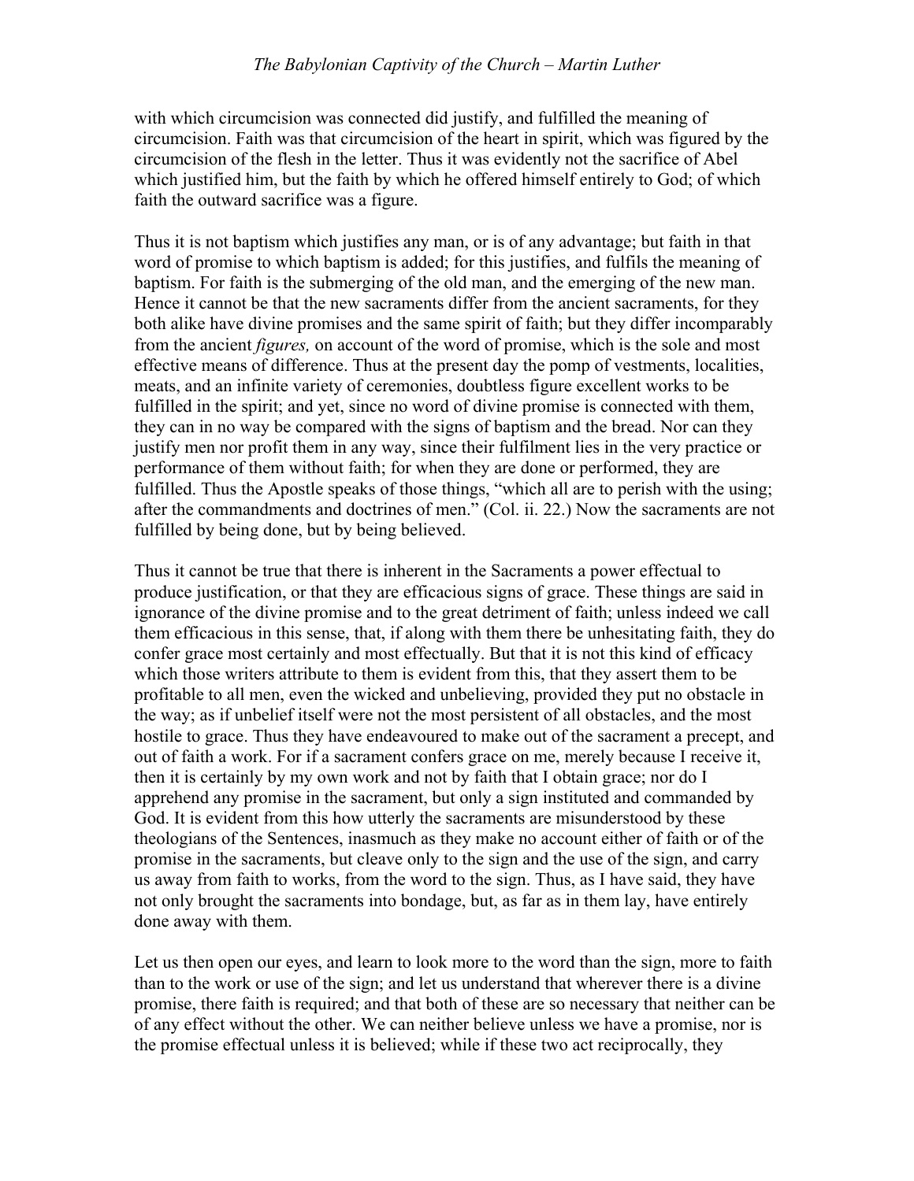with which circumcision was connected did justify, and fulfilled the meaning of circumcision. Faith was that circumcision of the heart in spirit, which was figured by the circumcision of the flesh in the letter. Thus it was evidently not the sacrifice of Abel which justified him, but the faith by which he offered himself entirely to God; of which faith the outward sacrifice was a figure.

Thus it is not baptism which justifies any man, or is of any advantage; but faith in that word of promise to which baptism is added; for this justifies, and fulfils the meaning of baptism. For faith is the submerging of the old man, and the emerging of the new man. Hence it cannot be that the new sacraments differ from the ancient sacraments, for they both alike have divine promises and the same spirit of faith; but they differ incomparably from the ancient *figures,* on account of the word of promise, which is the sole and most effective means of difference. Thus at the present day the pomp of vestments, localities, meats, and an infinite variety of ceremonies, doubtless figure excellent works to be fulfilled in the spirit; and yet, since no word of divine promise is connected with them, they can in no way be compared with the signs of baptism and the bread. Nor can they justify men nor profit them in any way, since their fulfilment lies in the very practice or performance of them without faith; for when they are done or performed, they are fulfilled. Thus the Apostle speaks of those things, "which all are to perish with the using; after the commandments and doctrines of men." (Col. ii. 22.) Now the sacraments are not fulfilled by being done, but by being believed.

Thus it cannot be true that there is inherent in the Sacraments a power effectual to produce justification, or that they are efficacious signs of grace. These things are said in ignorance of the divine promise and to the great detriment of faith; unless indeed we call them efficacious in this sense, that, if along with them there be unhesitating faith, they do confer grace most certainly and most effectually. But that it is not this kind of efficacy which those writers attribute to them is evident from this, that they assert them to be profitable to all men, even the wicked and unbelieving, provided they put no obstacle in the way; as if unbelief itself were not the most persistent of all obstacles, and the most hostile to grace. Thus they have endeavoured to make out of the sacrament a precept, and out of faith a work. For if a sacrament confers grace on me, merely because I receive it, then it is certainly by my own work and not by faith that I obtain grace; nor do I apprehend any promise in the sacrament, but only a sign instituted and commanded by God. It is evident from this how utterly the sacraments are misunderstood by these theologians of the Sentences, inasmuch as they make no account either of faith or of the promise in the sacraments, but cleave only to the sign and the use of the sign, and carry us away from faith to works, from the word to the sign. Thus, as I have said, they have not only brought the sacraments into bondage, but, as far as in them lay, have entirely done away with them.

Let us then open our eyes, and learn to look more to the word than the sign, more to faith than to the work or use of the sign; and let us understand that wherever there is a divine promise, there faith is required; and that both of these are so necessary that neither can be of any effect without the other. We can neither believe unless we have a promise, nor is the promise effectual unless it is believed; while if these two act reciprocally, they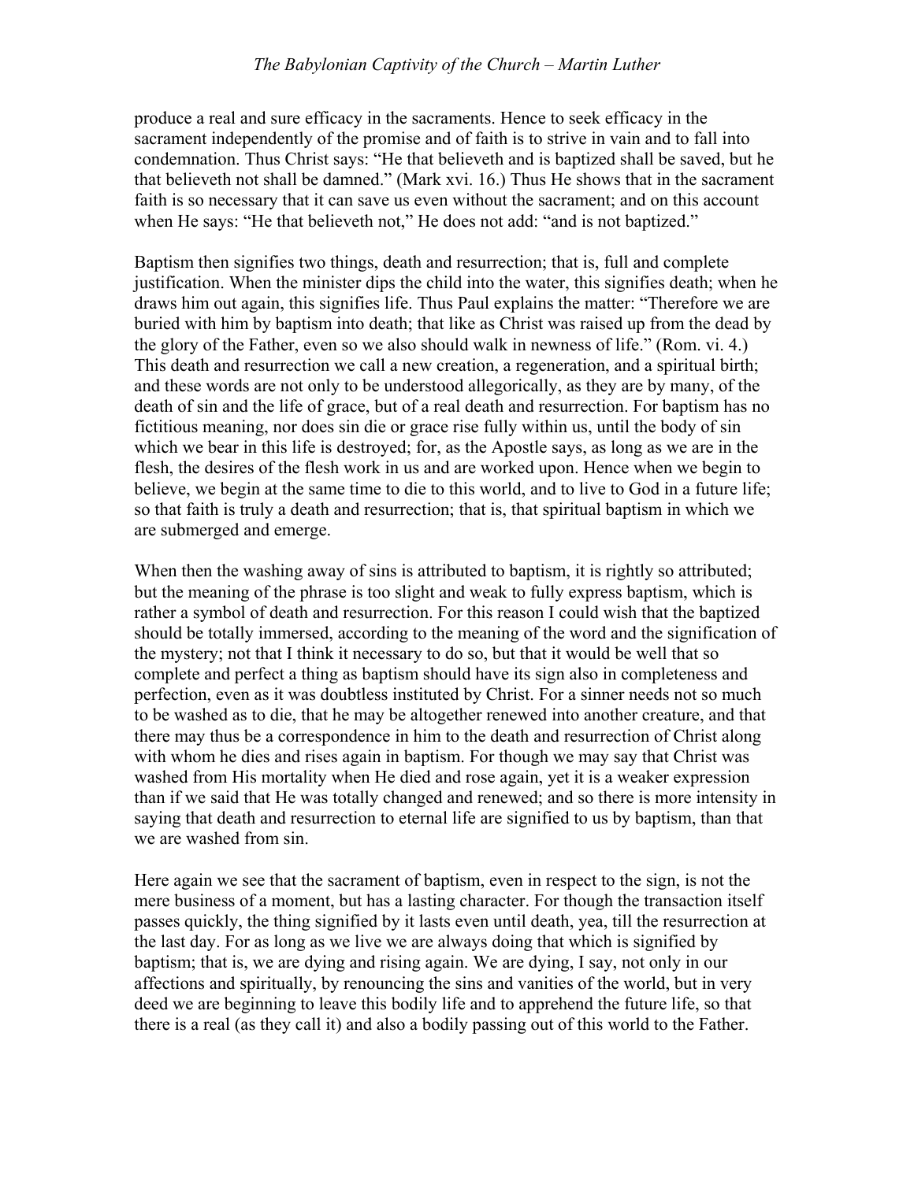produce a real and sure efficacy in the sacraments. Hence to seek efficacy in the sacrament independently of the promise and of faith is to strive in vain and to fall into condemnation. Thus Christ says: "He that believeth and is baptized shall be saved, but he that believeth not shall be damned." (Mark xvi. 16.) Thus He shows that in the sacrament faith is so necessary that it can save us even without the sacrament; and on this account when He says: "He that believeth not," He does not add: "and is not baptized."

Baptism then signifies two things, death and resurrection; that is, full and complete justification. When the minister dips the child into the water, this signifies death; when he draws him out again, this signifies life. Thus Paul explains the matter: "Therefore we are buried with him by baptism into death; that like as Christ was raised up from the dead by the glory of the Father, even so we also should walk in newness of life." (Rom. vi. 4.) This death and resurrection we call a new creation, a regeneration, and a spiritual birth; and these words are not only to be understood allegorically, as they are by many, of the death of sin and the life of grace, but of a real death and resurrection. For baptism has no fictitious meaning, nor does sin die or grace rise fully within us, until the body of sin which we bear in this life is destroyed; for, as the Apostle says, as long as we are in the flesh, the desires of the flesh work in us and are worked upon. Hence when we begin to believe, we begin at the same time to die to this world, and to live to God in a future life; so that faith is truly a death and resurrection; that is, that spiritual baptism in which we are submerged and emerge.

When then the washing away of sins is attributed to baptism, it is rightly so attributed; but the meaning of the phrase is too slight and weak to fully express baptism, which is rather a symbol of death and resurrection. For this reason I could wish that the baptized should be totally immersed, according to the meaning of the word and the signification of the mystery; not that I think it necessary to do so, but that it would be well that so complete and perfect a thing as baptism should have its sign also in completeness and perfection, even as it was doubtless instituted by Christ. For a sinner needs not so much to be washed as to die, that he may be altogether renewed into another creature, and that there may thus be a correspondence in him to the death and resurrection of Christ along with whom he dies and rises again in baptism. For though we may say that Christ was washed from His mortality when He died and rose again, yet it is a weaker expression than if we said that He was totally changed and renewed; and so there is more intensity in saying that death and resurrection to eternal life are signified to us by baptism, than that we are washed from sin.

Here again we see that the sacrament of baptism, even in respect to the sign, is not the mere business of a moment, but has a lasting character. For though the transaction itself passes quickly, the thing signified by it lasts even until death, yea, till the resurrection at the last day. For as long as we live we are always doing that which is signified by baptism; that is, we are dying and rising again. We are dying, I say, not only in our affections and spiritually, by renouncing the sins and vanities of the world, but in very deed we are beginning to leave this bodily life and to apprehend the future life, so that there is a real (as they call it) and also a bodily passing out of this world to the Father.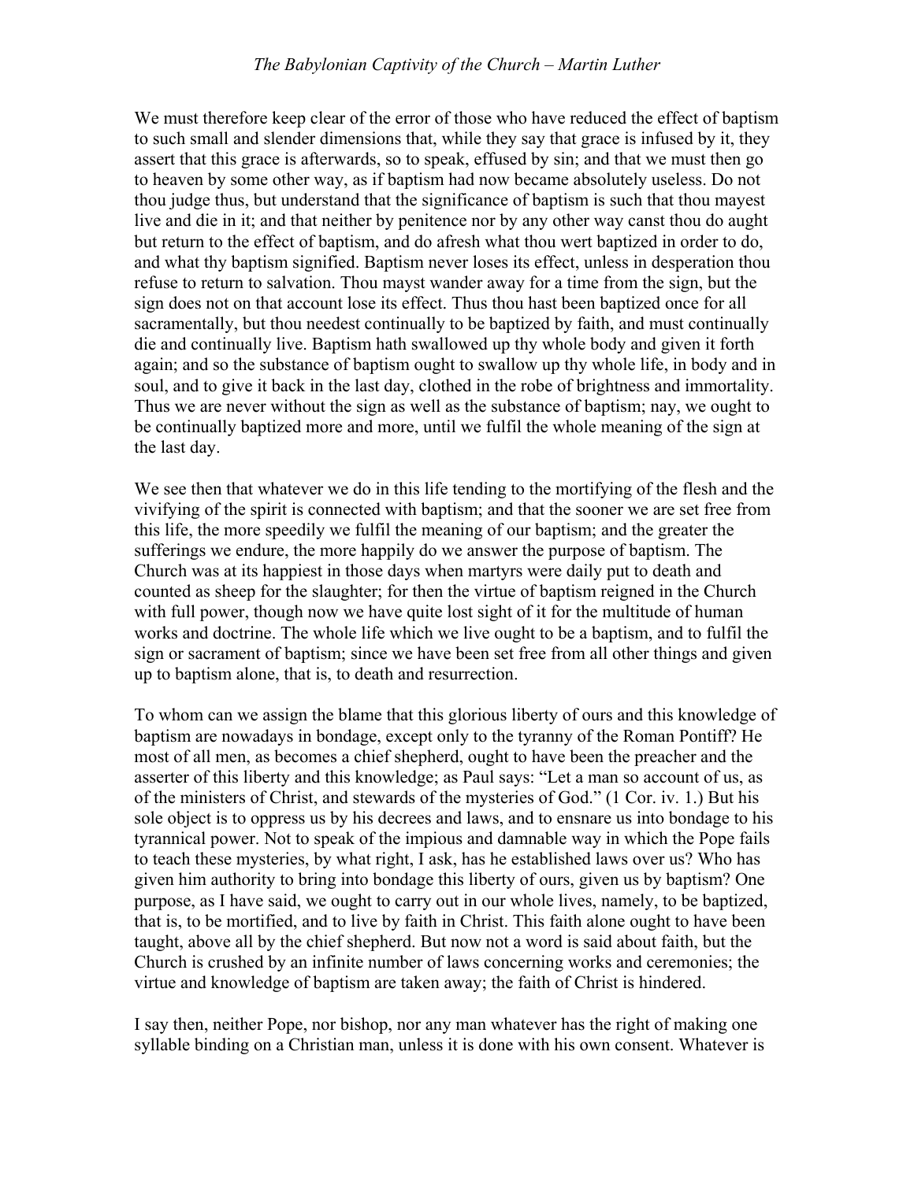We must therefore keep clear of the error of those who have reduced the effect of baptism to such small and slender dimensions that, while they say that grace is infused by it, they assert that this grace is afterwards, so to speak, effused by sin; and that we must then go to heaven by some other way, as if baptism had now became absolutely useless. Do not thou judge thus, but understand that the significance of baptism is such that thou mayest live and die in it; and that neither by penitence nor by any other way canst thou do aught but return to the effect of baptism, and do afresh what thou wert baptized in order to do, and what thy baptism signified. Baptism never loses its effect, unless in desperation thou refuse to return to salvation. Thou mayst wander away for a time from the sign, but the sign does not on that account lose its effect. Thus thou hast been baptized once for all sacramentally, but thou needest continually to be baptized by faith, and must continually die and continually live. Baptism hath swallowed up thy whole body and given it forth again; and so the substance of baptism ought to swallow up thy whole life, in body and in soul, and to give it back in the last day, clothed in the robe of brightness and immortality. Thus we are never without the sign as well as the substance of baptism; nay, we ought to be continually baptized more and more, until we fulfil the whole meaning of the sign at the last day.

We see then that whatever we do in this life tending to the mortifying of the flesh and the vivifying of the spirit is connected with baptism; and that the sooner we are set free from this life, the more speedily we fulfil the meaning of our baptism; and the greater the sufferings we endure, the more happily do we answer the purpose of baptism. The Church was at its happiest in those days when martyrs were daily put to death and counted as sheep for the slaughter; for then the virtue of baptism reigned in the Church with full power, though now we have quite lost sight of it for the multitude of human works and doctrine. The whole life which we live ought to be a baptism, and to fulfil the sign or sacrament of baptism; since we have been set free from all other things and given up to baptism alone, that is, to death and resurrection.

To whom can we assign the blame that this glorious liberty of ours and this knowledge of baptism are nowadays in bondage, except only to the tyranny of the Roman Pontiff? He most of all men, as becomes a chief shepherd, ought to have been the preacher and the asserter of this liberty and this knowledge; as Paul says: "Let a man so account of us, as of the ministers of Christ, and stewards of the mysteries of God." (1 Cor. iv. 1.) But his sole object is to oppress us by his decrees and laws, and to ensnare us into bondage to his tyrannical power. Not to speak of the impious and damnable way in which the Pope fails to teach these mysteries, by what right, I ask, has he established laws over us? Who has given him authority to bring into bondage this liberty of ours, given us by baptism? One purpose, as I have said, we ought to carry out in our whole lives, namely, to be baptized, that is, to be mortified, and to live by faith in Christ. This faith alone ought to have been taught, above all by the chief shepherd. But now not a word is said about faith, but the Church is crushed by an infinite number of laws concerning works and ceremonies; the virtue and knowledge of baptism are taken away; the faith of Christ is hindered.

I say then, neither Pope, nor bishop, nor any man whatever has the right of making one syllable binding on a Christian man, unless it is done with his own consent. Whatever is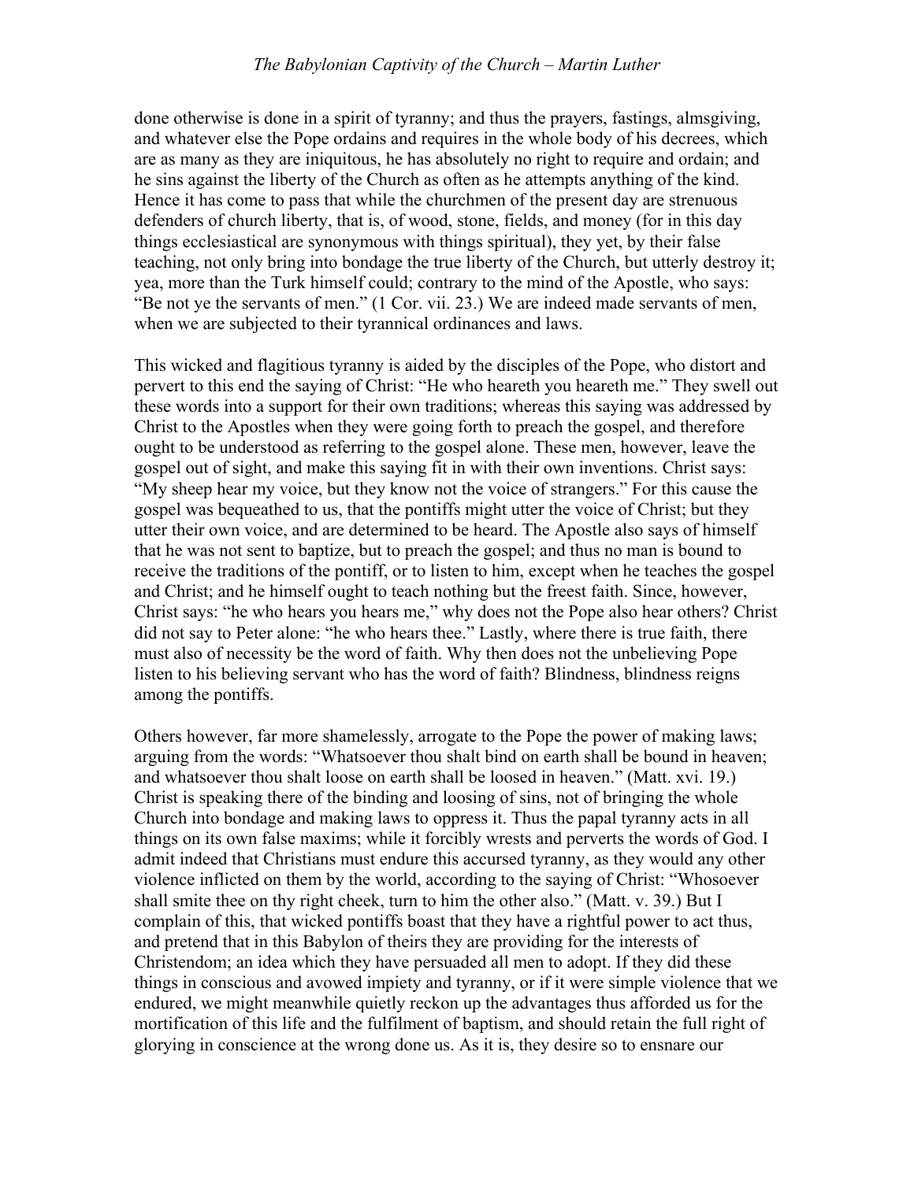done otherwise is done in a spirit of tyranny; and thus the prayers, fastings, almsgiving, and whatever else the Pope ordains and requires in the whole body of his decrees, which are as many as they are iniquitous, he has absolutely no right to require and ordain; and he sins against the liberty of the Church as often as he attempts anything of the kind. Hence it has come to pass that while the churchmen of the present day are strenuous defenders of church liberty, that is, of wood, stone, fields, and money (for in this day things ecclesiastical are synonymous with things spiritual), they yet, by their false teaching, not only bring into bondage the true liberty of the Church, but utterly destroy it; yea, more than the Turk himself could; contrary to the mind of the Apostle, who says: "Be not ye the servants of men." (1 Cor. vii. 23.) We are indeed made servants of men, when we are subjected to their tyrannical ordinances and laws.

This wicked and flagitious tyranny is aided by the disciples of the Pope, who distort and pervert to this end the saying of Christ: "He who heareth you heareth me." They swell out these words into a support for their own traditions; whereas this saying was addressed by Christ to the Apostles when they were going forth to preach the gospel, and therefore ought to be understood as referring to the gospel alone. These men, however, leave the gospel out of sight, and make this saying fit in with their own inventions. Christ says: "My sheep hear my voice, but they know not the voice of strangers." For this cause the gospel was bequeathed to us, that the pontiffs might utter the voice of Christ; but they utter their own voice, and are determined to be heard. The Apostle also says of himself that he was not sent to baptize, but to preach the gospel; and thus no man is bound to receive the traditions of the pontiff, or to listen to him, except when he teaches the gospel and Christ; and he himself ought to teach nothing but the freest faith. Since, however, Christ says: "he who hears you hears me," why does not the Pope also hear others? Christ did not say to Peter alone: "he who hears thee." Lastly, where there is true faith, there must also of necessity be the word of faith. Why then does not the unbelieving Pope listen to his believing servant who has the word of faith? Blindness, blindness reigns among the pontiffs.

Others however, far more shamelessly, arrogate to the Pope the power of making laws; arguing from the words: "Whatsoever thou shalt bind on earth shall be bound in heaven; and whatsoever thou shalt loose on earth shall be loosed in heaven." (Matt. xvi. 19.) Christ is speaking there of the binding and loosing of sins, not of bringing the whole Church into bondage and making laws to oppress it. Thus the papal tyranny acts in all things on its own false maxims; while it forcibly wrests and perverts the words of God. I admit indeed that Christians must endure this accursed tyranny, as they would any other violence inflicted on them by the world, according to the saying of Christ: "Whosoever shall smite thee on thy right cheek, turn to him the other also." (Matt. v. 39.) But I complain of this, that wicked pontiffs boast that they have a rightful power to act thus, and pretend that in this Babylon of theirs they are providing for the interests of Christendom; an idea which they have persuaded all men to adopt. If they did these things in conscious and avowed impiety and tyranny, or if it were simple violence that we endured, we might meanwhile quietly reckon up the advantages thus afforded us for the mortification of this life and the fulfilment of baptism, and should retain the full right of glorying in conscience at the wrong done us. As it is, they desire so to ensnare our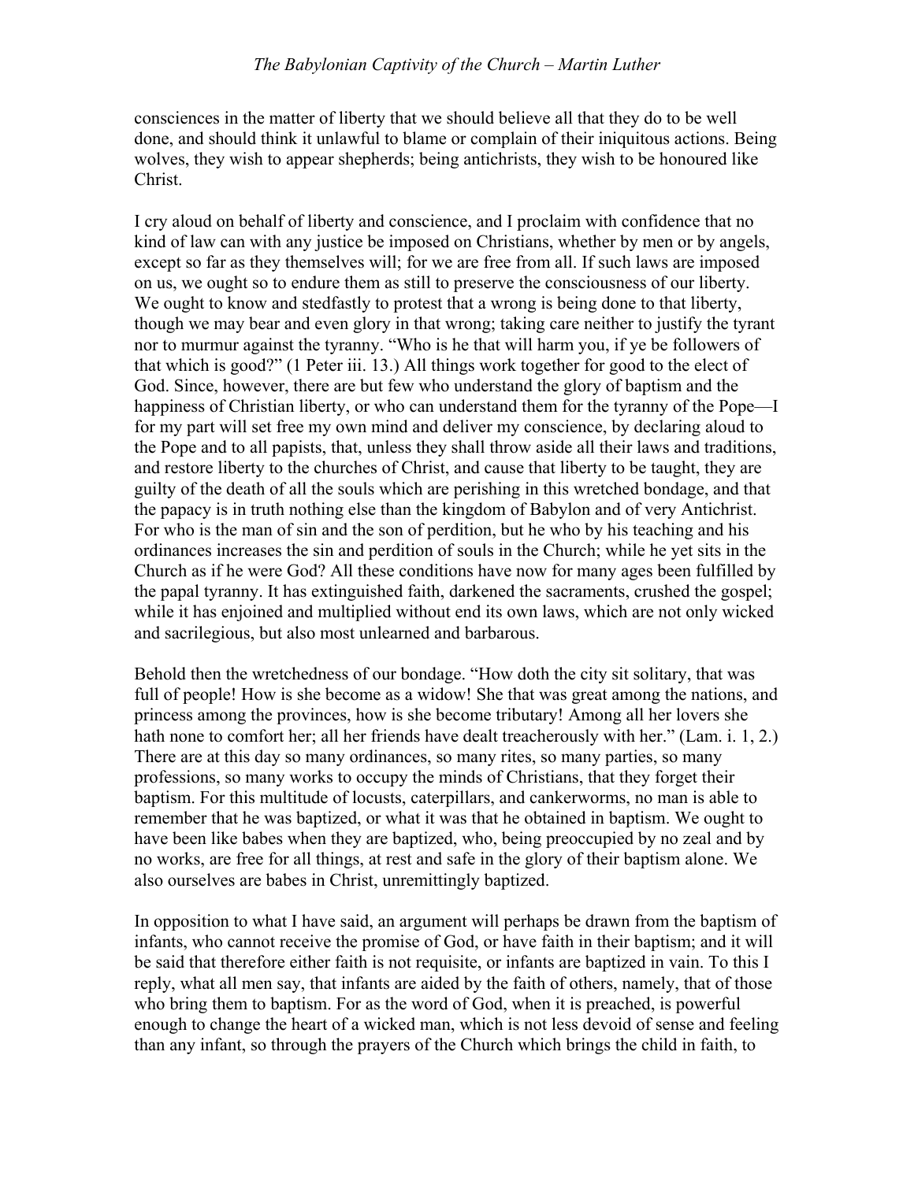consciences in the matter of liberty that we should believe all that they do to be well done, and should think it unlawful to blame or complain of their iniquitous actions. Being wolves, they wish to appear shepherds; being antichrists, they wish to be honoured like Christ.

I cry aloud on behalf of liberty and conscience, and I proclaim with confidence that no kind of law can with any justice be imposed on Christians, whether by men or by angels, except so far as they themselves will; for we are free from all. If such laws are imposed on us, we ought so to endure them as still to preserve the consciousness of our liberty. We ought to know and stedfastly to protest that a wrong is being done to that liberty, though we may bear and even glory in that wrong; taking care neither to justify the tyrant nor to murmur against the tyranny. "Who is he that will harm you, if ye be followers of that which is good?" (1 Peter iii. 13.) All things work together for good to the elect of God. Since, however, there are but few who understand the glory of baptism and the happiness of Christian liberty, or who can understand them for the tyranny of the Pope—I for my part will set free my own mind and deliver my conscience, by declaring aloud to the Pope and to all papists, that, unless they shall throw aside all their laws and traditions, and restore liberty to the churches of Christ, and cause that liberty to be taught, they are guilty of the death of all the souls which are perishing in this wretched bondage, and that the papacy is in truth nothing else than the kingdom of Babylon and of very Antichrist. For who is the man of sin and the son of perdition, but he who by his teaching and his ordinances increases the sin and perdition of souls in the Church; while he yet sits in the Church as if he were God? All these conditions have now for many ages been fulfilled by the papal tyranny. It has extinguished faith, darkened the sacraments, crushed the gospel; while it has enjoined and multiplied without end its own laws, which are not only wicked and sacrilegious, but also most unlearned and barbarous.

Behold then the wretchedness of our bondage. "How doth the city sit solitary, that was full of people! How is she become as a widow! She that was great among the nations, and princess among the provinces, how is she become tributary! Among all her lovers she hath none to comfort her; all her friends have dealt treacherously with her." (Lam. i. 1, 2.) There are at this day so many ordinances, so many rites, so many parties, so many professions, so many works to occupy the minds of Christians, that they forget their baptism. For this multitude of locusts, caterpillars, and cankerworms, no man is able to remember that he was baptized, or what it was that he obtained in baptism. We ought to have been like babes when they are baptized, who, being preoccupied by no zeal and by no works, are free for all things, at rest and safe in the glory of their baptism alone. We also ourselves are babes in Christ, unremittingly baptized.

In opposition to what I have said, an argument will perhaps be drawn from the baptism of infants, who cannot receive the promise of God, or have faith in their baptism; and it will be said that therefore either faith is not requisite, or infants are baptized in vain. To this I reply, what all men say, that infants are aided by the faith of others, namely, that of those who bring them to baptism. For as the word of God, when it is preached, is powerful enough to change the heart of a wicked man, which is not less devoid of sense and feeling than any infant, so through the prayers of the Church which brings the child in faith, to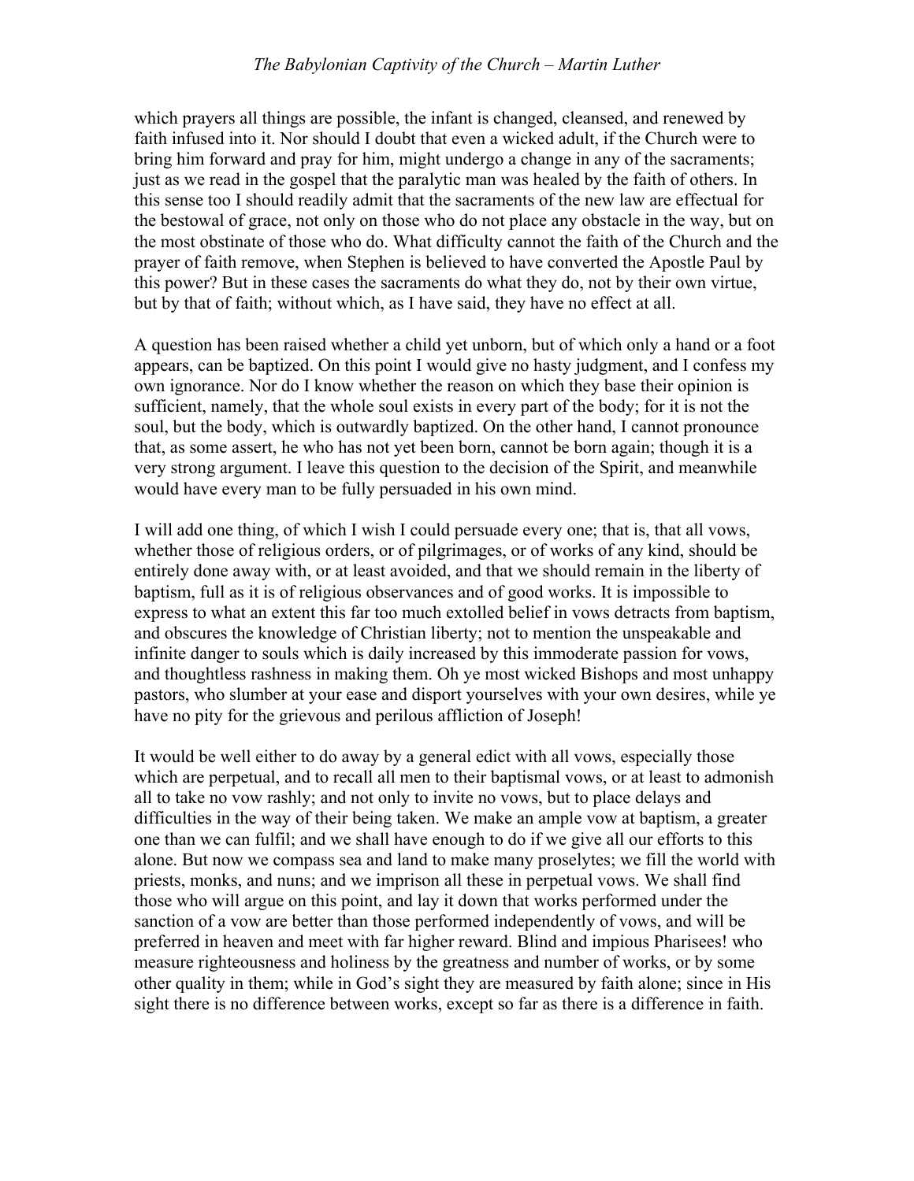which prayers all things are possible, the infant is changed, cleansed, and renewed by faith infused into it. Nor should I doubt that even a wicked adult, if the Church were to bring him forward and pray for him, might undergo a change in any of the sacraments; just as we read in the gospel that the paralytic man was healed by the faith of others. In this sense too I should readily admit that the sacraments of the new law are effectual for the bestowal of grace, not only on those who do not place any obstacle in the way, but on the most obstinate of those who do. What difficulty cannot the faith of the Church and the prayer of faith remove, when Stephen is believed to have converted the Apostle Paul by this power? But in these cases the sacraments do what they do, not by their own virtue, but by that of faith; without which, as I have said, they have no effect at all.

A question has been raised whether a child yet unborn, but of which only a hand or a foot appears, can be baptized. On this point I would give no hasty judgment, and I confess my own ignorance. Nor do I know whether the reason on which they base their opinion is sufficient, namely, that the whole soul exists in every part of the body; for it is not the soul, but the body, which is outwardly baptized. On the other hand, I cannot pronounce that, as some assert, he who has not yet been born, cannot be born again; though it is a very strong argument. I leave this question to the decision of the Spirit, and meanwhile would have every man to be fully persuaded in his own mind.

I will add one thing, of which I wish I could persuade every one; that is, that all vows, whether those of religious orders, or of pilgrimages, or of works of any kind, should be entirely done away with, or at least avoided, and that we should remain in the liberty of baptism, full as it is of religious observances and of good works. It is impossible to express to what an extent this far too much extolled belief in vows detracts from baptism, and obscures the knowledge of Christian liberty; not to mention the unspeakable and infinite danger to souls which is daily increased by this immoderate passion for vows, and thoughtless rashness in making them. Oh ye most wicked Bishops and most unhappy pastors, who slumber at your ease and disport yourselves with your own desires, while ye have no pity for the grievous and perilous affliction of Joseph!

It would be well either to do away by a general edict with all vows, especially those which are perpetual, and to recall all men to their baptismal vows, or at least to admonish all to take no vow rashly; and not only to invite no vows, but to place delays and difficulties in the way of their being taken. We make an ample vow at baptism, a greater one than we can fulfil; and we shall have enough to do if we give all our efforts to this alone. But now we compass sea and land to make many proselytes; we fill the world with priests, monks, and nuns; and we imprison all these in perpetual vows. We shall find those who will argue on this point, and lay it down that works performed under the sanction of a vow are better than those performed independently of vows, and will be preferred in heaven and meet with far higher reward. Blind and impious Pharisees! who measure righteousness and holiness by the greatness and number of works, or by some other quality in them; while in God's sight they are measured by faith alone; since in His sight there is no difference between works, except so far as there is a difference in faith.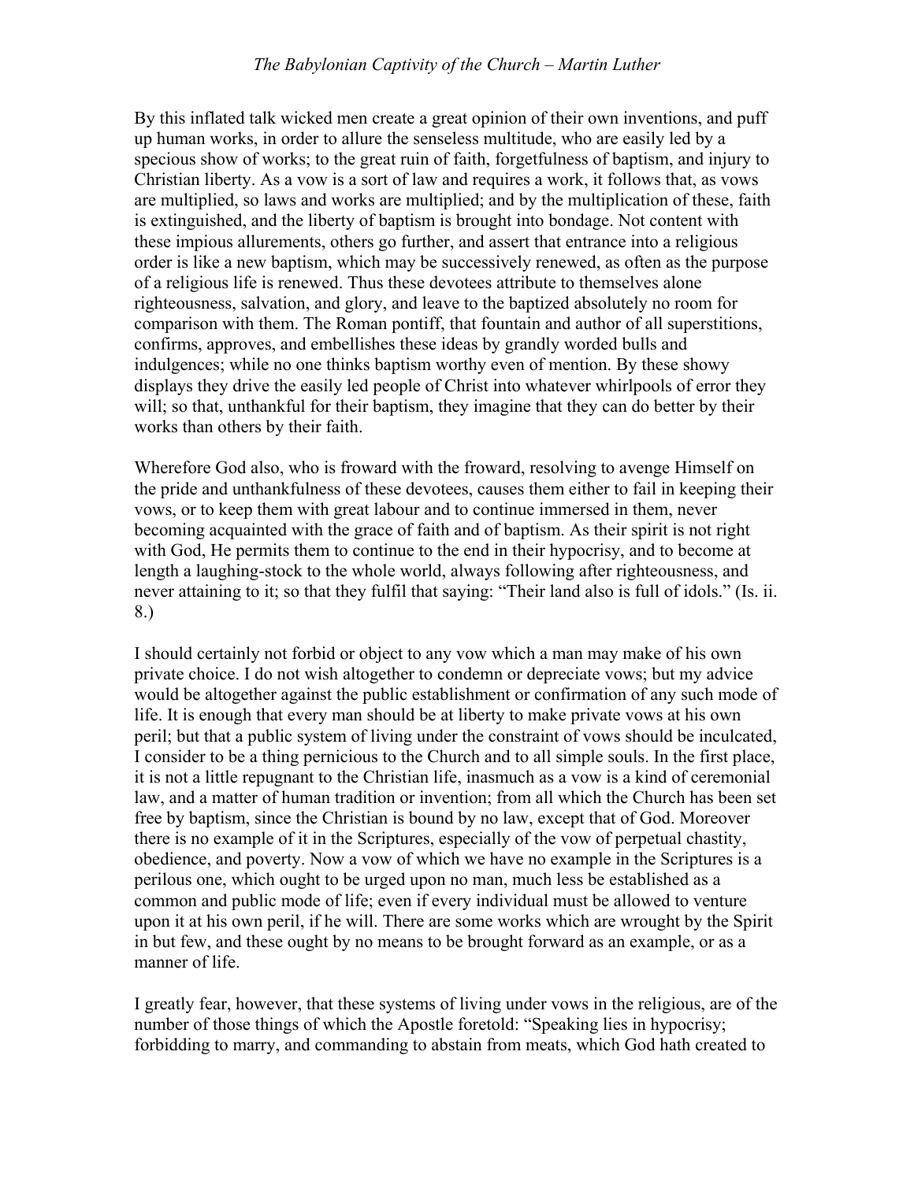By this inflated talk wicked men create a great opinion of their own inventions, and puff up human works, in order to allure the senseless multitude, who are easily led by a specious show of works; to the great ruin of faith, forgetfulness of baptism, and injury to Christian liberty. As a vow is a sort of law and requires a work, it follows that, as vows are multiplied, so laws and works are multiplied; and by the multiplication of these, faith is extinguished, and the liberty of baptism is brought into bondage. Not content with these impious allurements, others go further, and assert that entrance into a religious order is like a new baptism, which may be successively renewed, as often as the purpose of a religious life is renewed. Thus these devotees attribute to themselves alone righteousness, salvation, and glory, and leave to the baptized absolutely no room for comparison with them. The Roman pontiff, that fountain and author of all superstitions, confirms, approves, and embellishes these ideas by grandly worded bulls and indulgences; while no one thinks baptism worthy even of mention. By these showy displays they drive the easily led people of Christ into whatever whirlpools of error they will; so that, unthankful for their baptism, they imagine that they can do better by their works than others by their faith.

Wherefore God also, who is froward with the froward, resolving to avenge Himself on the pride and unthankfulness of these devotees, causes them either to fail in keeping their vows, or to keep them with great labour and to continue immersed in them, never becoming acquainted with the grace of faith and of baptism. As their spirit is not right with God, He permits them to continue to the end in their hypocrisy, and to become at length a laughing-stock to the whole world, always following after righteousness, and never attaining to it; so that they fulfil that saying: "Their land also is full of idols." (Is. ii. 8.)

I should certainly not forbid or object to any vow which a man may make of his own private choice. I do not wish altogether to condemn or depreciate vows; but my advice would be altogether against the public establishment or confirmation of any such mode of life. It is enough that every man should be at liberty to make private vows at his own peril; but that a public system of living under the constraint of vows should be inculcated, I consider to be a thing pernicious to the Church and to all simple souls. In the first place, it is not a little repugnant to the Christian life, inasmuch as a vow is a kind of ceremonial law, and a matter of human tradition or invention; from all which the Church has been set free by baptism, since the Christian is bound by no law, except that of God. Moreover there is no example of it in the Scriptures, especially of the vow of perpetual chastity, obedience, and poverty. Now a vow of which we have no example in the Scriptures is a perilous one, which ought to be urged upon no man, much less be established as a common and public mode of life; even if every individual must be allowed to venture upon it at his own peril, if he will. There are some works which are wrought by the Spirit in but few, and these ought by no means to be brought forward as an example, or as a manner of life.

I greatly fear, however, that these systems of living under vows in the religious, are of the number of those things of which the Apostle foretold: "Speaking lies in hypocrisy; forbidding to marry, and commanding to abstain from meats, which God hath created to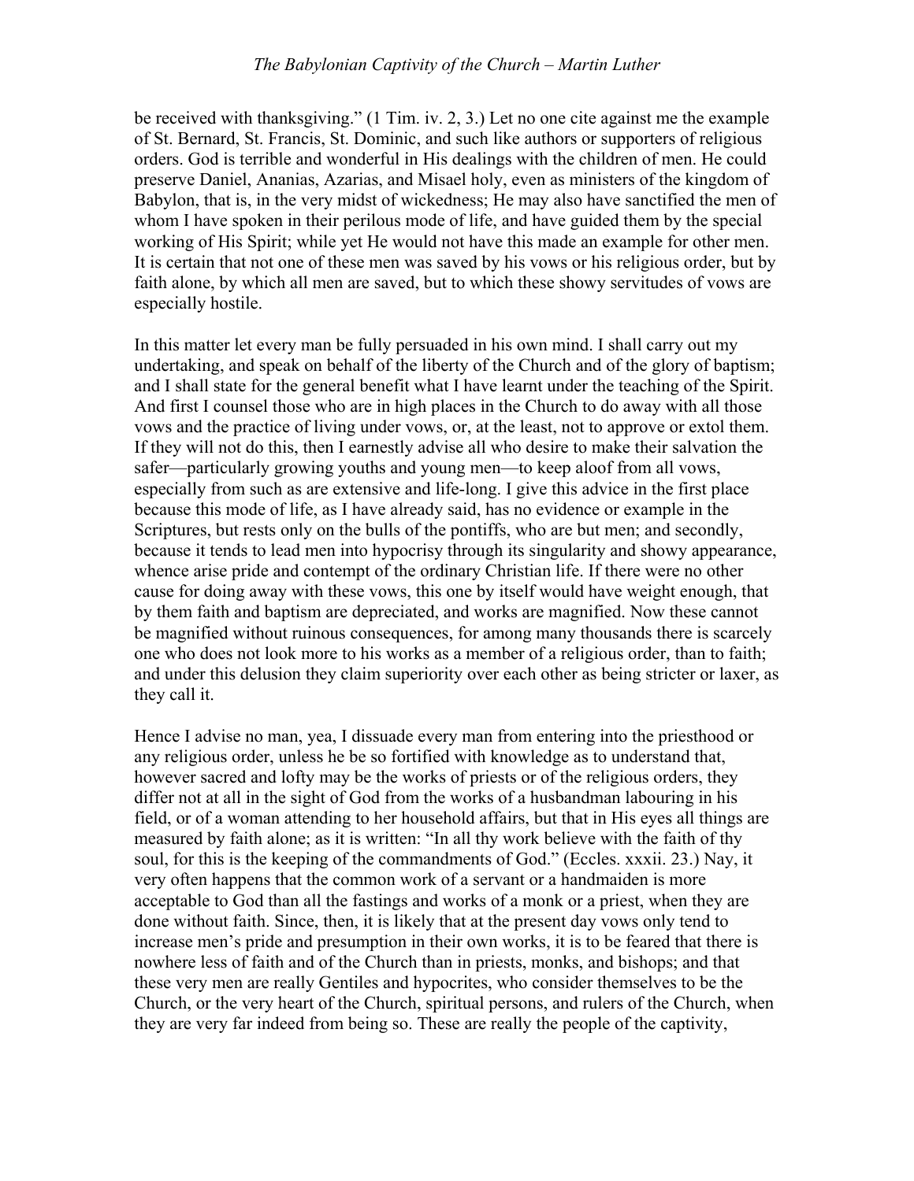be received with thanksgiving." (1 Tim. iv. 2, 3.) Let no one cite against me the example of St. Bernard, St. Francis, St. Dominic, and such like authors or supporters of religious orders. God is terrible and wonderful in His dealings with the children of men. He could preserve Daniel, Ananias, Azarias, and Misael holy, even as ministers of the kingdom of Babylon, that is, in the very midst of wickedness; He may also have sanctified the men of whom I have spoken in their perilous mode of life, and have guided them by the special working of His Spirit; while yet He would not have this made an example for other men. It is certain that not one of these men was saved by his vows or his religious order, but by faith alone, by which all men are saved, but to which these showy servitudes of vows are especially hostile.

In this matter let every man be fully persuaded in his own mind. I shall carry out my undertaking, and speak on behalf of the liberty of the Church and of the glory of baptism; and I shall state for the general benefit what I have learnt under the teaching of the Spirit. And first I counsel those who are in high places in the Church to do away with all those vows and the practice of living under vows, or, at the least, not to approve or extol them. If they will not do this, then I earnestly advise all who desire to make their salvation the safer—particularly growing youths and young men—to keep aloof from all vows, especially from such as are extensive and life-long. I give this advice in the first place because this mode of life, as I have already said, has no evidence or example in the Scriptures, but rests only on the bulls of the pontiffs, who are but men; and secondly, because it tends to lead men into hypocrisy through its singularity and showy appearance, whence arise pride and contempt of the ordinary Christian life. If there were no other cause for doing away with these vows, this one by itself would have weight enough, that by them faith and baptism are depreciated, and works are magnified. Now these cannot be magnified without ruinous consequences, for among many thousands there is scarcely one who does not look more to his works as a member of a religious order, than to faith; and under this delusion they claim superiority over each other as being stricter or laxer, as they call it.

Hence I advise no man, yea, I dissuade every man from entering into the priesthood or any religious order, unless he be so fortified with knowledge as to understand that, however sacred and lofty may be the works of priests or of the religious orders, they differ not at all in the sight of God from the works of a husbandman labouring in his field, or of a woman attending to her household affairs, but that in His eyes all things are measured by faith alone; as it is written: "In all thy work believe with the faith of thy soul, for this is the keeping of the commandments of God." (Eccles. xxxii. 23.) Nay, it very often happens that the common work of a servant or a handmaiden is more acceptable to God than all the fastings and works of a monk or a priest, when they are done without faith. Since, then, it is likely that at the present day vows only tend to increase men's pride and presumption in their own works, it is to be feared that there is nowhere less of faith and of the Church than in priests, monks, and bishops; and that these very men are really Gentiles and hypocrites, who consider themselves to be the Church, or the very heart of the Church, spiritual persons, and rulers of the Church, when they are very far indeed from being so. These are really the people of the captivity,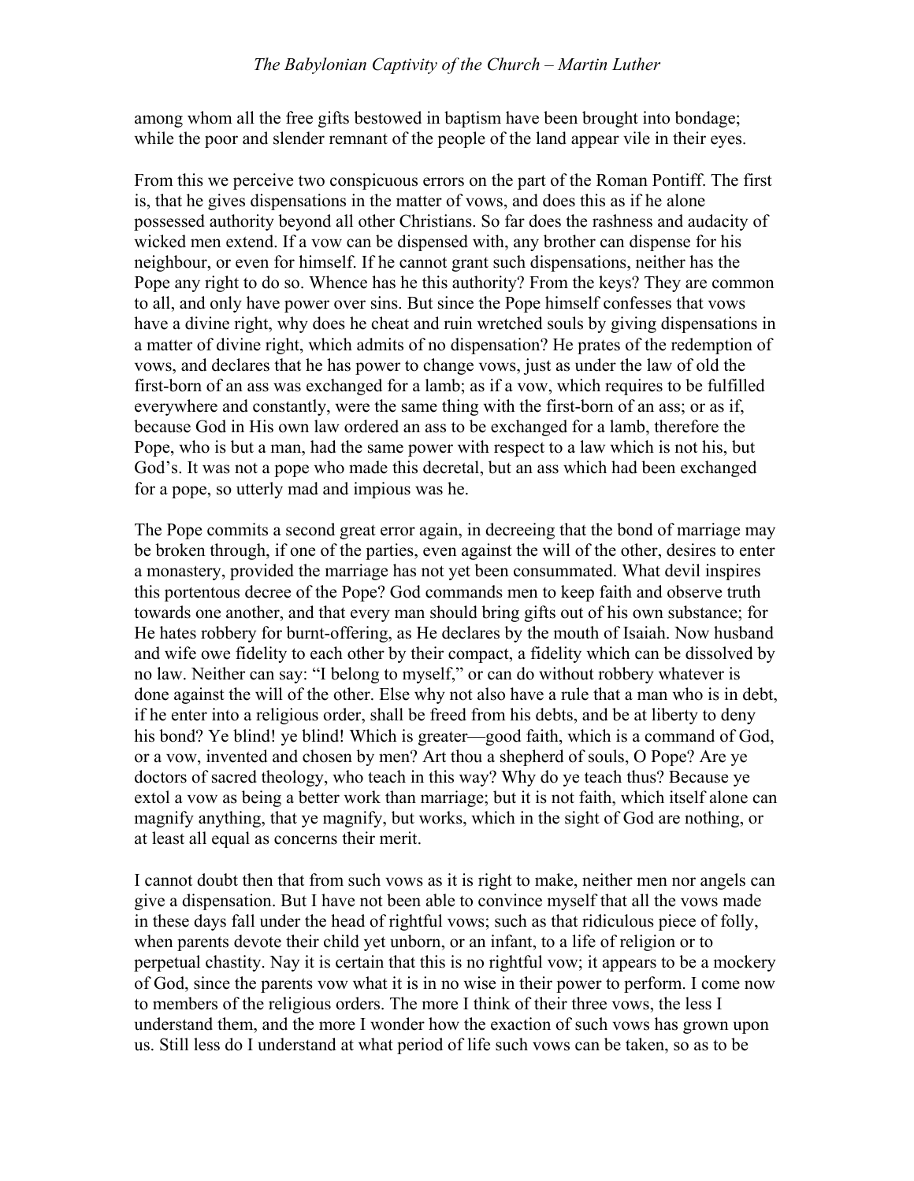among whom all the free gifts bestowed in baptism have been brought into bondage; while the poor and slender remnant of the people of the land appear vile in their eyes.

From this we perceive two conspicuous errors on the part of the Roman Pontiff. The first is, that he gives dispensations in the matter of vows, and does this as if he alone possessed authority beyond all other Christians. So far does the rashness and audacity of wicked men extend. If a vow can be dispensed with, any brother can dispense for his neighbour, or even for himself. If he cannot grant such dispensations, neither has the Pope any right to do so. Whence has he this authority? From the keys? They are common to all, and only have power over sins. But since the Pope himself confesses that vows have a divine right, why does he cheat and ruin wretched souls by giving dispensations in a matter of divine right, which admits of no dispensation? He prates of the redemption of vows, and declares that he has power to change vows, just as under the law of old the first-born of an ass was exchanged for a lamb; as if a vow, which requires to be fulfilled everywhere and constantly, were the same thing with the first-born of an ass; or as if, because God in His own law ordered an ass to be exchanged for a lamb, therefore the Pope, who is but a man, had the same power with respect to a law which is not his, but God's. It was not a pope who made this decretal, but an ass which had been exchanged for a pope, so utterly mad and impious was he.

The Pope commits a second great error again, in decreeing that the bond of marriage may be broken through, if one of the parties, even against the will of the other, desires to enter a monastery, provided the marriage has not yet been consummated. What devil inspires this portentous decree of the Pope? God commands men to keep faith and observe truth towards one another, and that every man should bring gifts out of his own substance; for He hates robbery for burnt-offering, as He declares by the mouth of Isaiah. Now husband and wife owe fidelity to each other by their compact, a fidelity which can be dissolved by no law. Neither can say: "I belong to myself," or can do without robbery whatever is done against the will of the other. Else why not also have a rule that a man who is in debt, if he enter into a religious order, shall be freed from his debts, and be at liberty to deny his bond? Ye blind! ye blind! Which is greater—good faith, which is a command of God, or a vow, invented and chosen by men? Art thou a shepherd of souls, O Pope? Are ye doctors of sacred theology, who teach in this way? Why do ye teach thus? Because ye extol a vow as being a better work than marriage; but it is not faith, which itself alone can magnify anything, that ye magnify, but works, which in the sight of God are nothing, or at least all equal as concerns their merit.

I cannot doubt then that from such vows as it is right to make, neither men nor angels can give a dispensation. But I have not been able to convince myself that all the vows made in these days fall under the head of rightful vows; such as that ridiculous piece of folly, when parents devote their child yet unborn, or an infant, to a life of religion or to perpetual chastity. Nay it is certain that this is no rightful vow; it appears to be a mockery of God, since the parents vow what it is in no wise in their power to perform. I come now to members of the religious orders. The more I think of their three vows, the less I understand them, and the more I wonder how the exaction of such vows has grown upon us. Still less do I understand at what period of life such vows can be taken, so as to be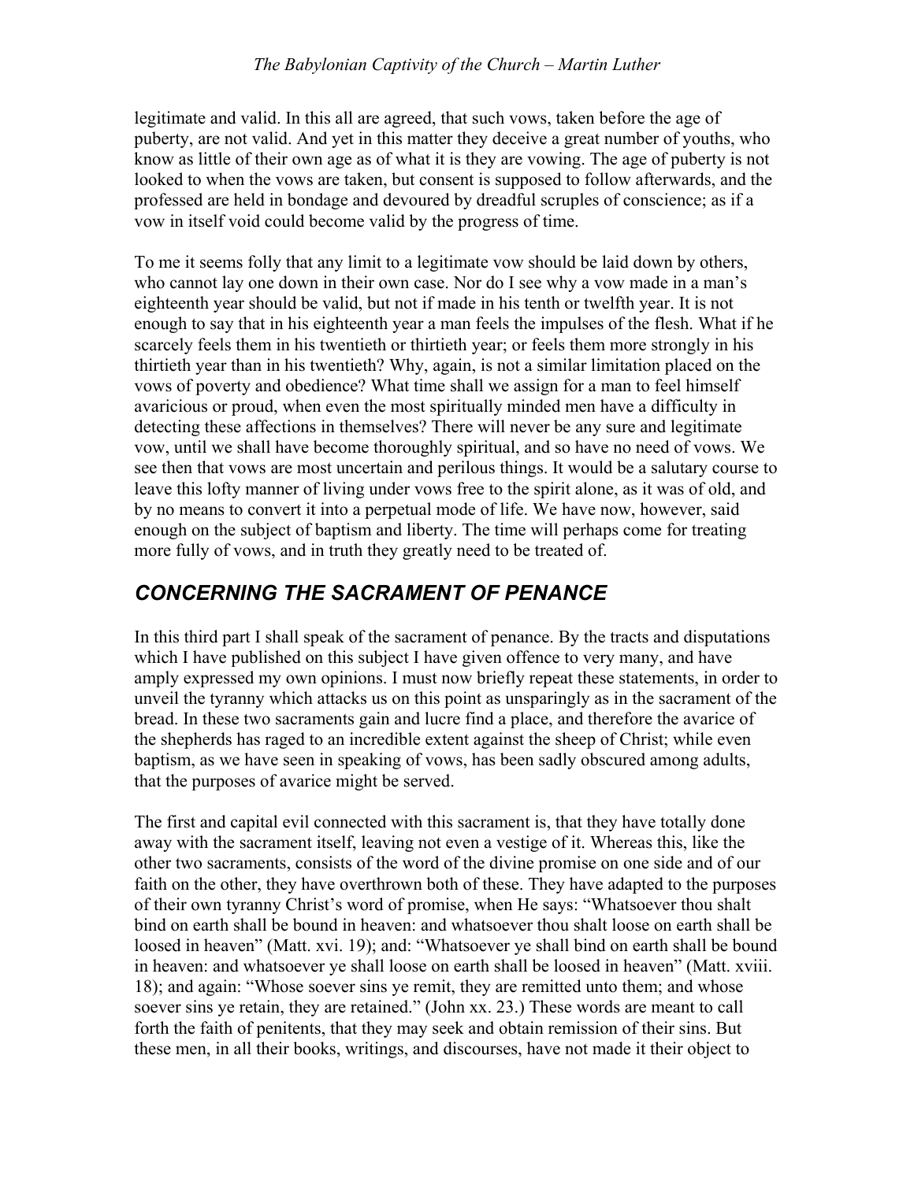legitimate and valid. In this all are agreed, that such vows, taken before the age of puberty, are not valid. And yet in this matter they deceive a great number of youths, who know as little of their own age as of what it is they are vowing. The age of puberty is not looked to when the vows are taken, but consent is supposed to follow afterwards, and the professed are held in bondage and devoured by dreadful scruples of conscience; as if a vow in itself void could become valid by the progress of time.

To me it seems folly that any limit to a legitimate vow should be laid down by others, who cannot lay one down in their own case. Nor do I see why a vow made in a man's eighteenth year should be valid, but not if made in his tenth or twelfth year. It is not enough to say that in his eighteenth year a man feels the impulses of the flesh. What if he scarcely feels them in his twentieth or thirtieth year; or feels them more strongly in his thirtieth year than in his twentieth? Why, again, is not a similar limitation placed on the vows of poverty and obedience? What time shall we assign for a man to feel himself avaricious or proud, when even the most spiritually minded men have a difficulty in detecting these affections in themselves? There will never be any sure and legitimate vow, until we shall have become thoroughly spiritual, and so have no need of vows. We see then that vows are most uncertain and perilous things. It would be a salutary course to leave this lofty manner of living under vows free to the spirit alone, as it was of old, and by no means to convert it into a perpetual mode of life. We have now, however, said enough on the subject of baptism and liberty. The time will perhaps come for treating more fully of vows, and in truth they greatly need to be treated of.

## *CONCERNING THE SACRAMENT OF PENANCE*

In this third part I shall speak of the sacrament of penance. By the tracts and disputations which I have published on this subject I have given offence to very many, and have amply expressed my own opinions. I must now briefly repeat these statements, in order to unveil the tyranny which attacks us on this point as unsparingly as in the sacrament of the bread. In these two sacraments gain and lucre find a place, and therefore the avarice of the shepherds has raged to an incredible extent against the sheep of Christ; while even baptism, as we have seen in speaking of vows, has been sadly obscured among adults, that the purposes of avarice might be served.

The first and capital evil connected with this sacrament is, that they have totally done away with the sacrament itself, leaving not even a vestige of it. Whereas this, like the other two sacraments, consists of the word of the divine promise on one side and of our faith on the other, they have overthrown both of these. They have adapted to the purposes of their own tyranny Christ's word of promise, when He says: "Whatsoever thou shalt bind on earth shall be bound in heaven: and whatsoever thou shalt loose on earth shall be loosed in heaven" (Matt. xvi. 19); and: "Whatsoever ye shall bind on earth shall be bound in heaven: and whatsoever ye shall loose on earth shall be loosed in heaven" (Matt. xviii. 18); and again: "Whose soever sins ye remit, they are remitted unto them; and whose soever sins ye retain, they are retained." (John xx. 23.) These words are meant to call forth the faith of penitents, that they may seek and obtain remission of their sins. But these men, in all their books, writings, and discourses, have not made it their object to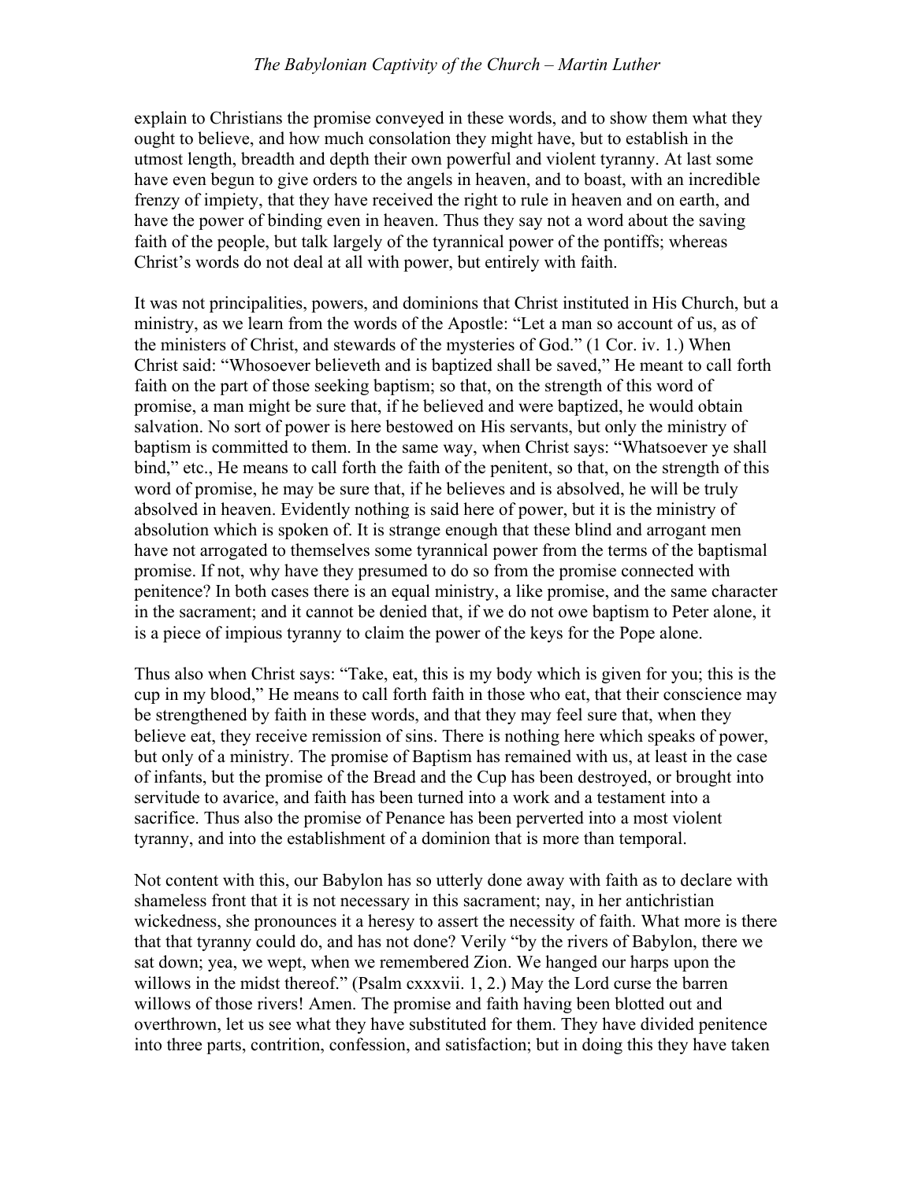explain to Christians the promise conveyed in these words, and to show them what they ought to believe, and how much consolation they might have, but to establish in the utmost length, breadth and depth their own powerful and violent tyranny. At last some have even begun to give orders to the angels in heaven, and to boast, with an incredible frenzy of impiety, that they have received the right to rule in heaven and on earth, and have the power of binding even in heaven. Thus they say not a word about the saving faith of the people, but talk largely of the tyrannical power of the pontiffs; whereas Christ's words do not deal at all with power, but entirely with faith.

It was not principalities, powers, and dominions that Christ instituted in His Church, but a ministry, as we learn from the words of the Apostle: "Let a man so account of us, as of the ministers of Christ, and stewards of the mysteries of God." (1 Cor. iv. 1.) When Christ said: "Whosoever believeth and is baptized shall be saved," He meant to call forth faith on the part of those seeking baptism; so that, on the strength of this word of promise, a man might be sure that, if he believed and were baptized, he would obtain salvation. No sort of power is here bestowed on His servants, but only the ministry of baptism is committed to them. In the same way, when Christ says: "Whatsoever ye shall bind," etc., He means to call forth the faith of the penitent, so that, on the strength of this word of promise, he may be sure that, if he believes and is absolved, he will be truly absolved in heaven. Evidently nothing is said here of power, but it is the ministry of absolution which is spoken of. It is strange enough that these blind and arrogant men have not arrogated to themselves some tyrannical power from the terms of the baptismal promise. If not, why have they presumed to do so from the promise connected with penitence? In both cases there is an equal ministry, a like promise, and the same character in the sacrament; and it cannot be denied that, if we do not owe baptism to Peter alone, it is a piece of impious tyranny to claim the power of the keys for the Pope alone.

Thus also when Christ says: "Take, eat, this is my body which is given for you; this is the cup in my blood," He means to call forth faith in those who eat, that their conscience may be strengthened by faith in these words, and that they may feel sure that, when they believe eat, they receive remission of sins. There is nothing here which speaks of power, but only of a ministry. The promise of Baptism has remained with us, at least in the case of infants, but the promise of the Bread and the Cup has been destroyed, or brought into servitude to avarice, and faith has been turned into a work and a testament into a sacrifice. Thus also the promise of Penance has been perverted into a most violent tyranny, and into the establishment of a dominion that is more than temporal.

Not content with this, our Babylon has so utterly done away with faith as to declare with shameless front that it is not necessary in this sacrament; nay, in her antichristian wickedness, she pronounces it a heresy to assert the necessity of faith. What more is there that that tyranny could do, and has not done? Verily "by the rivers of Babylon, there we sat down; yea, we wept, when we remembered Zion. We hanged our harps upon the willows in the midst thereof." (Psalm cxxxvii. 1, 2.) May the Lord curse the barren willows of those rivers! Amen. The promise and faith having been blotted out and overthrown, let us see what they have substituted for them. They have divided penitence into three parts, contrition, confession, and satisfaction; but in doing this they have taken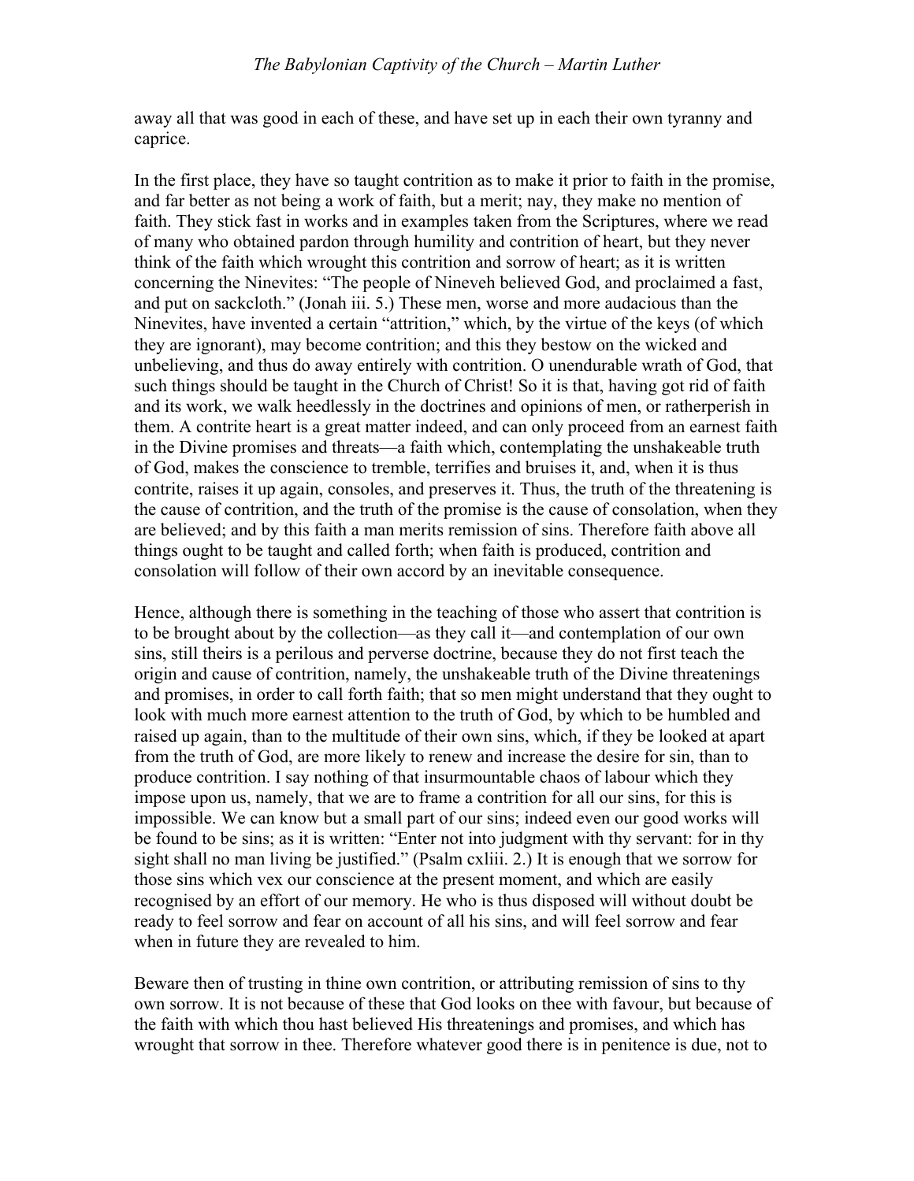away all that was good in each of these, and have set up in each their own tyranny and caprice.

In the first place, they have so taught contrition as to make it prior to faith in the promise, and far better as not being a work of faith, but a merit; nay, they make no mention of faith. They stick fast in works and in examples taken from the Scriptures, where we read of many who obtained pardon through humility and contrition of heart, but they never think of the faith which wrought this contrition and sorrow of heart; as it is written concerning the Ninevites: "The people of Nineveh believed God, and proclaimed a fast, and put on sackcloth." (Jonah iii. 5.) These men, worse and more audacious than the Ninevites, have invented a certain "attrition," which, by the virtue of the keys (of which they are ignorant), may become contrition; and this they bestow on the wicked and unbelieving, and thus do away entirely with contrition. O unendurable wrath of God, that such things should be taught in the Church of Christ! So it is that, having got rid of faith and its work, we walk heedlessly in the doctrines and opinions of men, or ratherperish in them. A contrite heart is a great matter indeed, and can only proceed from an earnest faith in the Divine promises and threats—a faith which, contemplating the unshakeable truth of God, makes the conscience to tremble, terrifies and bruises it, and, when it is thus contrite, raises it up again, consoles, and preserves it. Thus, the truth of the threatening is the cause of contrition, and the truth of the promise is the cause of consolation, when they are believed; and by this faith a man merits remission of sins. Therefore faith above all things ought to be taught and called forth; when faith is produced, contrition and consolation will follow of their own accord by an inevitable consequence.

Hence, although there is something in the teaching of those who assert that contrition is to be brought about by the collection—as they call it—and contemplation of our own sins, still theirs is a perilous and perverse doctrine, because they do not first teach the origin and cause of contrition, namely, the unshakeable truth of the Divine threatenings and promises, in order to call forth faith; that so men might understand that they ought to look with much more earnest attention to the truth of God, by which to be humbled and raised up again, than to the multitude of their own sins, which, if they be looked at apart from the truth of God, are more likely to renew and increase the desire for sin, than to produce contrition. I say nothing of that insurmountable chaos of labour which they impose upon us, namely, that we are to frame a contrition for all our sins, for this is impossible. We can know but a small part of our sins; indeed even our good works will be found to be sins; as it is written: "Enter not into judgment with thy servant: for in thy sight shall no man living be justified." (Psalm cxliii. 2.) It is enough that we sorrow for those sins which vex our conscience at the present moment, and which are easily recognised by an effort of our memory. He who is thus disposed will without doubt be ready to feel sorrow and fear on account of all his sins, and will feel sorrow and fear when in future they are revealed to him.

Beware then of trusting in thine own contrition, or attributing remission of sins to thy own sorrow. It is not because of these that God looks on thee with favour, but because of the faith with which thou hast believed His threatenings and promises, and which has wrought that sorrow in thee. Therefore whatever good there is in penitence is due, not to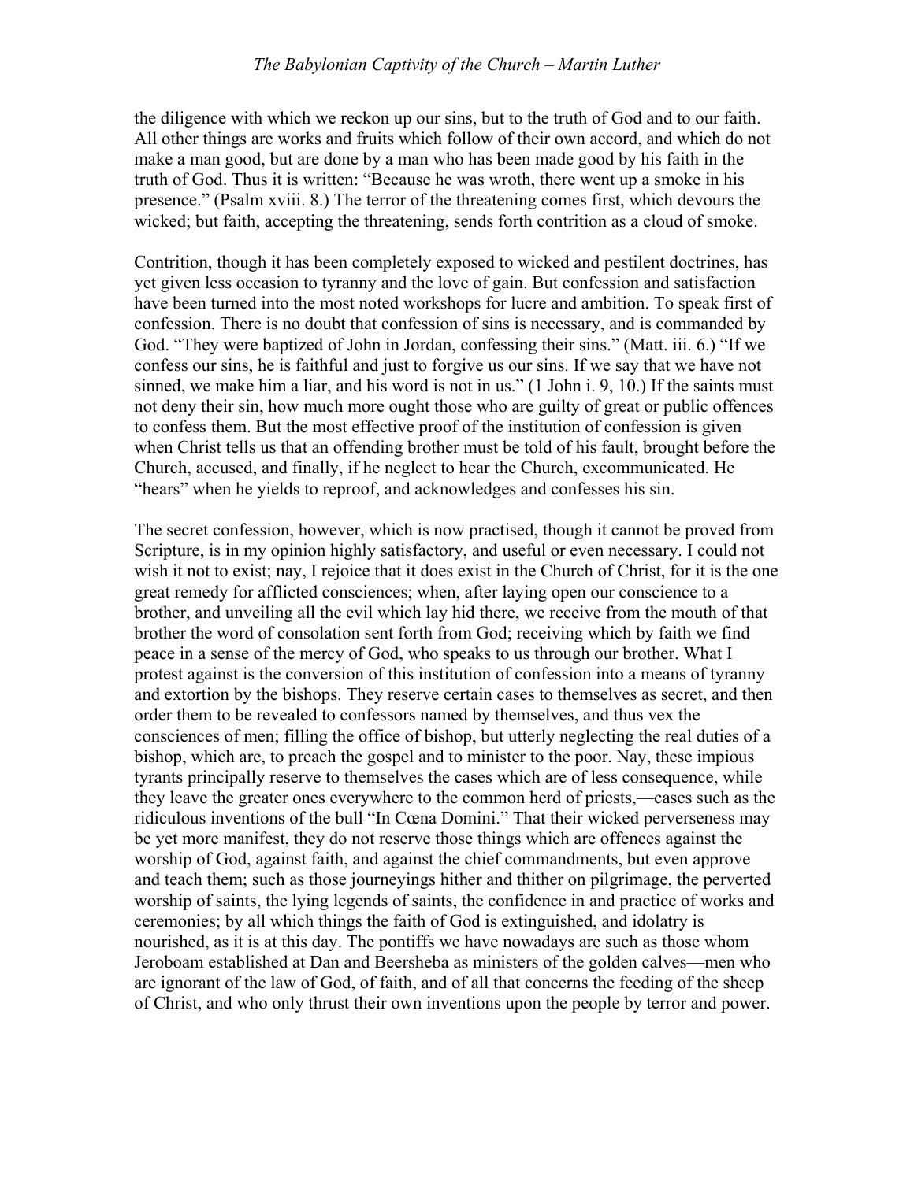the diligence with which we reckon up our sins, but to the truth of God and to our faith. All other things are works and fruits which follow of their own accord, and which do not make a man good, but are done by a man who has been made good by his faith in the truth of God. Thus it is written: "Because he was wroth, there went up a smoke in his presence." (Psalm xviii. 8.) The terror of the threatening comes first, which devours the wicked; but faith, accepting the threatening, sends forth contrition as a cloud of smoke.

Contrition, though it has been completely exposed to wicked and pestilent doctrines, has yet given less occasion to tyranny and the love of gain. But confession and satisfaction have been turned into the most noted workshops for lucre and ambition. To speak first of confession. There is no doubt that confession of sins is necessary, and is commanded by God. "They were baptized of John in Jordan, confessing their sins." (Matt. iii. 6.) "If we confess our sins, he is faithful and just to forgive us our sins. If we say that we have not sinned, we make him a liar, and his word is not in us." (1 John i. 9, 10.) If the saints must not deny their sin, how much more ought those who are guilty of great or public offences to confess them. But the most effective proof of the institution of confession is given when Christ tells us that an offending brother must be told of his fault, brought before the Church, accused, and finally, if he neglect to hear the Church, excommunicated. He "hears" when he yields to reproof, and acknowledges and confesses his sin.

The secret confession, however, which is now practised, though it cannot be proved from Scripture, is in my opinion highly satisfactory, and useful or even necessary. I could not wish it not to exist; nay, I rejoice that it does exist in the Church of Christ, for it is the one great remedy for afflicted consciences; when, after laying open our conscience to a brother, and unveiling all the evil which lay hid there, we receive from the mouth of that brother the word of consolation sent forth from God; receiving which by faith we find peace in a sense of the mercy of God, who speaks to us through our brother. What I protest against is the conversion of this institution of confession into a means of tyranny and extortion by the bishops. They reserve certain cases to themselves as secret, and then order them to be revealed to confessors named by themselves, and thus vex the consciences of men; filling the office of bishop, but utterly neglecting the real duties of a bishop, which are, to preach the gospel and to minister to the poor. Nay, these impious tyrants principally reserve to themselves the cases which are of less consequence, while they leave the greater ones everywhere to the common herd of priests,—cases such as the ridiculous inventions of the bull "In Cœna Domini." That their wicked perverseness may be yet more manifest, they do not reserve those things which are offences against the worship of God, against faith, and against the chief commandments, but even approve and teach them; such as those journeyings hither and thither on pilgrimage, the perverted worship of saints, the lying legends of saints, the confidence in and practice of works and ceremonies; by all which things the faith of God is extinguished, and idolatry is nourished, as it is at this day. The pontiffs we have nowadays are such as those whom Jeroboam established at Dan and Beersheba as ministers of the golden calves—men who are ignorant of the law of God, of faith, and of all that concerns the feeding of the sheep of Christ, and who only thrust their own inventions upon the people by terror and power.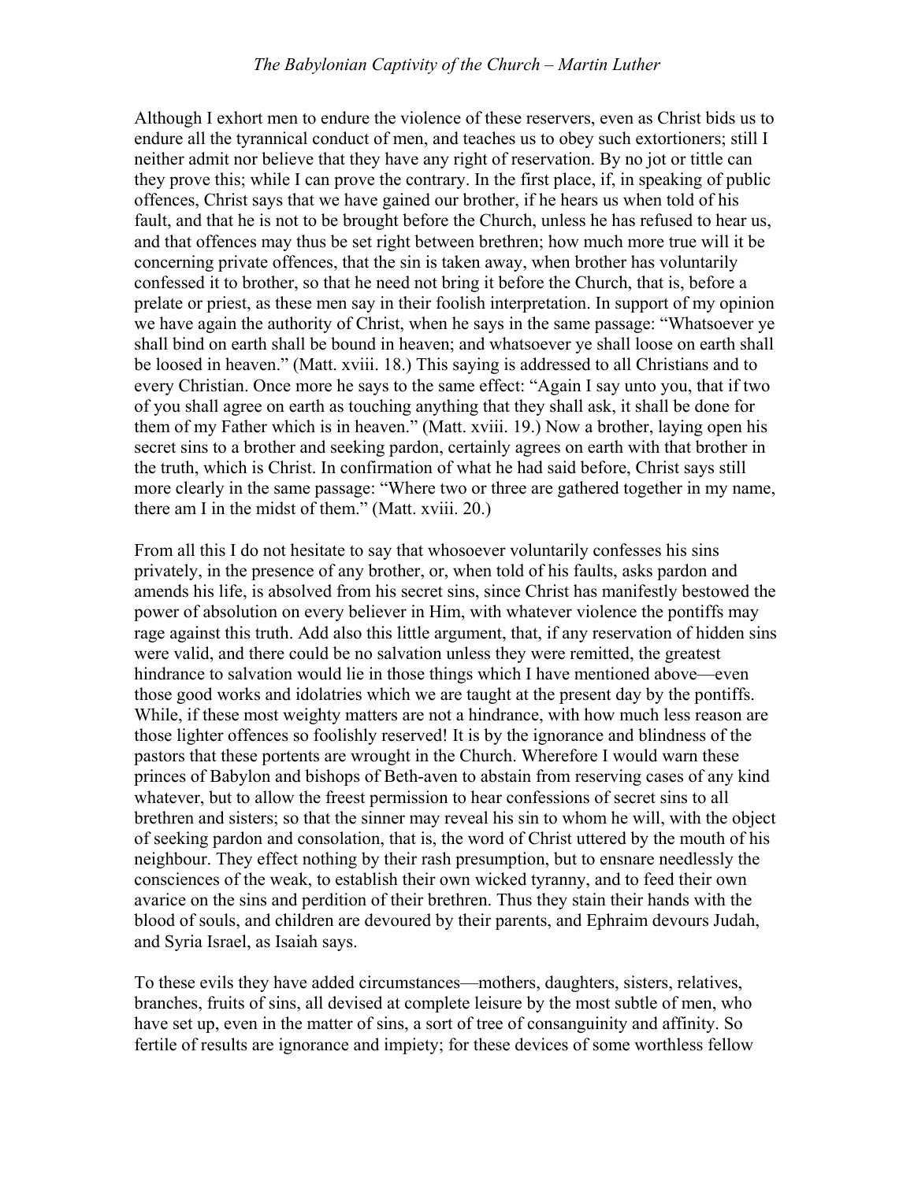Although I exhort men to endure the violence of these reservers, even as Christ bids us to endure all the tyrannical conduct of men, and teaches us to obey such extortioners; still I neither admit nor believe that they have any right of reservation. By no jot or tittle can they prove this; while I can prove the contrary. In the first place, if, in speaking of public offences, Christ says that we have gained our brother, if he hears us when told of his fault, and that he is not to be brought before the Church, unless he has refused to hear us, and that offences may thus be set right between brethren; how much more true will it be concerning private offences, that the sin is taken away, when brother has voluntarily confessed it to brother, so that he need not bring it before the Church, that is, before a prelate or priest, as these men say in their foolish interpretation. In support of my opinion we have again the authority of Christ, when he says in the same passage: "Whatsoever ye shall bind on earth shall be bound in heaven; and whatsoever ye shall loose on earth shall be loosed in heaven." (Matt. xviii. 18.) This saying is addressed to all Christians and to every Christian. Once more he says to the same effect: "Again I say unto you, that if two of you shall agree on earth as touching anything that they shall ask, it shall be done for them of my Father which is in heaven." (Matt. xviii. 19.) Now a brother, laying open his secret sins to a brother and seeking pardon, certainly agrees on earth with that brother in the truth, which is Christ. In confirmation of what he had said before, Christ says still more clearly in the same passage: "Where two or three are gathered together in my name, there am I in the midst of them." (Matt. xviii. 20.)

From all this I do not hesitate to say that whosoever voluntarily confesses his sins privately, in the presence of any brother, or, when told of his faults, asks pardon and amends his life, is absolved from his secret sins, since Christ has manifestly bestowed the power of absolution on every believer in Him, with whatever violence the pontiffs may rage against this truth. Add also this little argument, that, if any reservation of hidden sins were valid, and there could be no salvation unless they were remitted, the greatest hindrance to salvation would lie in those things which I have mentioned above—even those good works and idolatries which we are taught at the present day by the pontiffs. While, if these most weighty matters are not a hindrance, with how much less reason are those lighter offences so foolishly reserved! It is by the ignorance and blindness of the pastors that these portents are wrought in the Church. Wherefore I would warn these princes of Babylon and bishops of Beth-aven to abstain from reserving cases of any kind whatever, but to allow the freest permission to hear confessions of secret sins to all brethren and sisters; so that the sinner may reveal his sin to whom he will, with the object of seeking pardon and consolation, that is, the word of Christ uttered by the mouth of his neighbour. They effect nothing by their rash presumption, but to ensnare needlessly the consciences of the weak, to establish their own wicked tyranny, and to feed their own avarice on the sins and perdition of their brethren. Thus they stain their hands with the blood of souls, and children are devoured by their parents, and Ephraim devours Judah, and Syria Israel, as Isaiah says.

To these evils they have added circumstances—mothers, daughters, sisters, relatives, branches, fruits of sins, all devised at complete leisure by the most subtle of men, who have set up, even in the matter of sins, a sort of tree of consanguinity and affinity. So fertile of results are ignorance and impiety; for these devices of some worthless fellow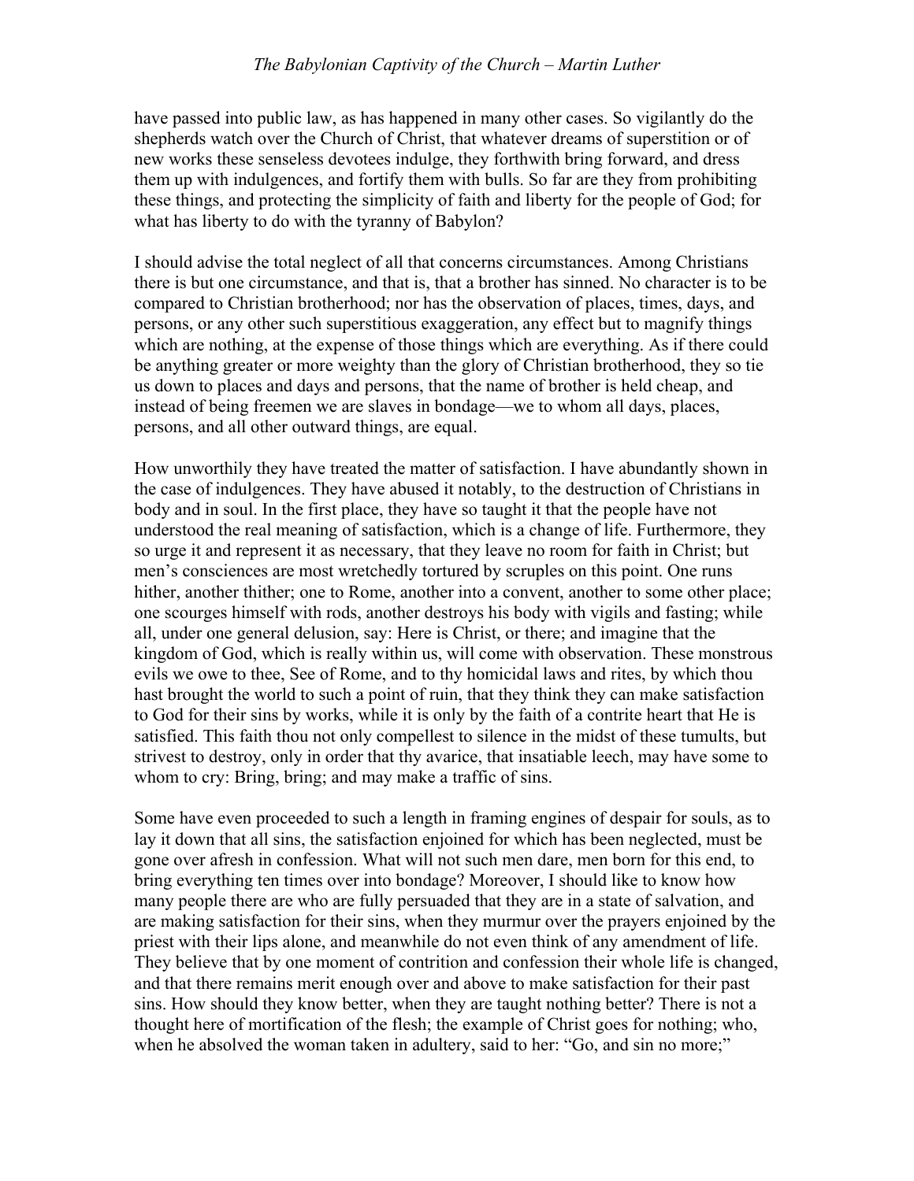have passed into public law, as has happened in many other cases. So vigilantly do the shepherds watch over the Church of Christ, that whatever dreams of superstition or of new works these senseless devotees indulge, they forthwith bring forward, and dress them up with indulgences, and fortify them with bulls. So far are they from prohibiting these things, and protecting the simplicity of faith and liberty for the people of God; for what has liberty to do with the tyranny of Babylon?

I should advise the total neglect of all that concerns circumstances. Among Christians there is but one circumstance, and that is, that a brother has sinned. No character is to be compared to Christian brotherhood; nor has the observation of places, times, days, and persons, or any other such superstitious exaggeration, any effect but to magnify things which are nothing, at the expense of those things which are everything. As if there could be anything greater or more weighty than the glory of Christian brotherhood, they so tie us down to places and days and persons, that the name of brother is held cheap, and instead of being freemen we are slaves in bondage—we to whom all days, places, persons, and all other outward things, are equal.

How unworthily they have treated the matter of satisfaction. I have abundantly shown in the case of indulgences. They have abused it notably, to the destruction of Christians in body and in soul. In the first place, they have so taught it that the people have not understood the real meaning of satisfaction, which is a change of life. Furthermore, they so urge it and represent it as necessary, that they leave no room for faith in Christ; but men's consciences are most wretchedly tortured by scruples on this point. One runs hither, another thither; one to Rome, another into a convent, another to some other place; one scourges himself with rods, another destroys his body with vigils and fasting; while all, under one general delusion, say: Here is Christ, or there; and imagine that the kingdom of God, which is really within us, will come with observation. These monstrous evils we owe to thee, See of Rome, and to thy homicidal laws and rites, by which thou hast brought the world to such a point of ruin, that they think they can make satisfaction to God for their sins by works, while it is only by the faith of a contrite heart that He is satisfied. This faith thou not only compellest to silence in the midst of these tumults, but strivest to destroy, only in order that thy avarice, that insatiable leech, may have some to whom to cry: Bring, bring; and may make a traffic of sins.

Some have even proceeded to such a length in framing engines of despair for souls, as to lay it down that all sins, the satisfaction enjoined for which has been neglected, must be gone over afresh in confession. What will not such men dare, men born for this end, to bring everything ten times over into bondage? Moreover, I should like to know how many people there are who are fully persuaded that they are in a state of salvation, and are making satisfaction for their sins, when they murmur over the prayers enjoined by the priest with their lips alone, and meanwhile do not even think of any amendment of life. They believe that by one moment of contrition and confession their whole life is changed, and that there remains merit enough over and above to make satisfaction for their past sins. How should they know better, when they are taught nothing better? There is not a thought here of mortification of the flesh; the example of Christ goes for nothing; who, when he absolved the woman taken in adultery, said to her: "Go, and sin no more;"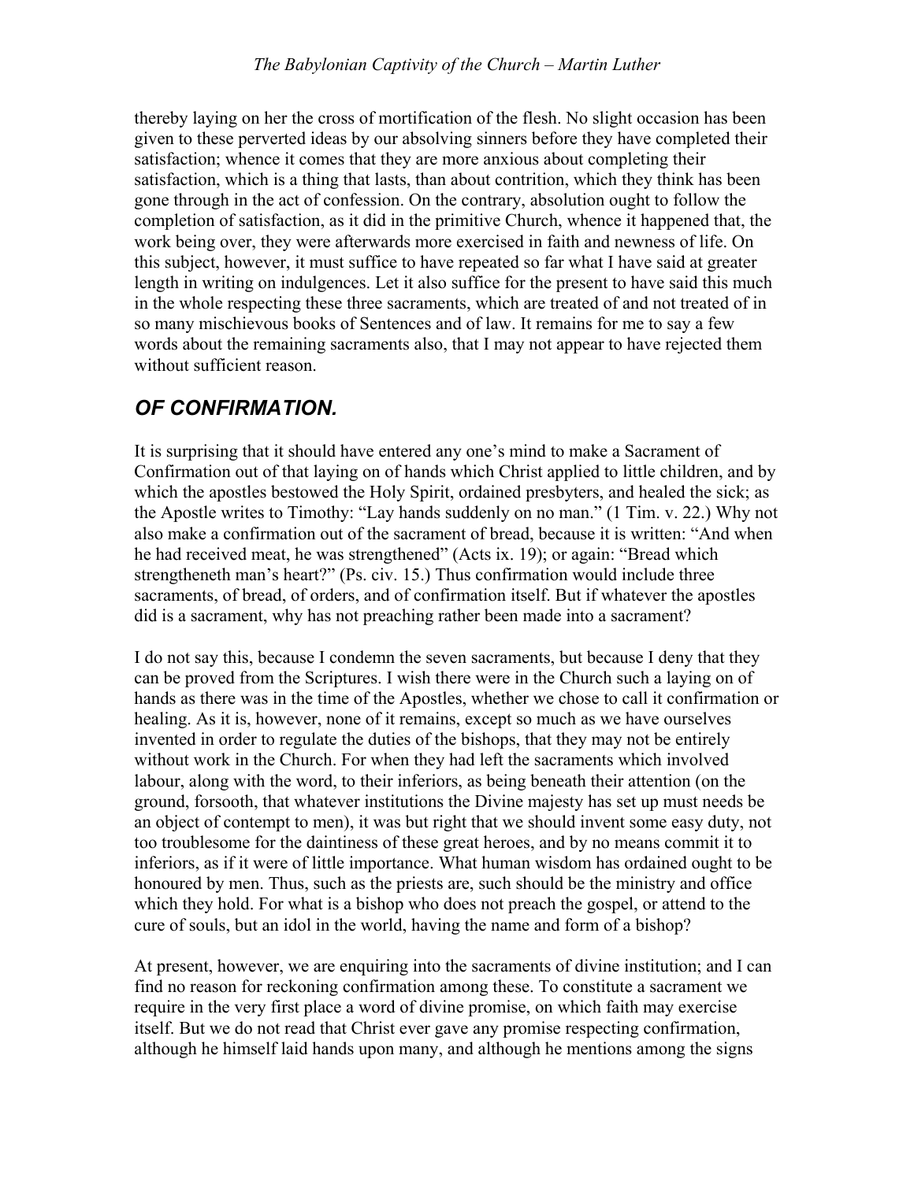thereby laying on her the cross of mortification of the flesh. No slight occasion has been given to these perverted ideas by our absolving sinners before they have completed their satisfaction; whence it comes that they are more anxious about completing their satisfaction, which is a thing that lasts, than about contrition, which they think has been gone through in the act of confession. On the contrary, absolution ought to follow the completion of satisfaction, as it did in the primitive Church, whence it happened that, the work being over, they were afterwards more exercised in faith and newness of life. On this subject, however, it must suffice to have repeated so far what I have said at greater length in writing on indulgences. Let it also suffice for the present to have said this much in the whole respecting these three sacraments, which are treated of and not treated of in so many mischievous books of Sentences and of law. It remains for me to say a few words about the remaining sacraments also, that I may not appear to have rejected them without sufficient reason.

# *OF CONFIRMATION.*

It is surprising that it should have entered any one's mind to make a Sacrament of Confirmation out of that laying on of hands which Christ applied to little children, and by which the apostles bestowed the Holy Spirit, ordained presbyters, and healed the sick; as the Apostle writes to Timothy: "Lay hands suddenly on no man." (1 Tim. v. 22.) Why not also make a confirmation out of the sacrament of bread, because it is written: "And when he had received meat, he was strengthened" (Acts ix. 19); or again: "Bread which strengtheneth man's heart?" (Ps. civ. 15.) Thus confirmation would include three sacraments, of bread, of orders, and of confirmation itself. But if whatever the apostles did is a sacrament, why has not preaching rather been made into a sacrament?

I do not say this, because I condemn the seven sacraments, but because I deny that they can be proved from the Scriptures. I wish there were in the Church such a laying on of hands as there was in the time of the Apostles, whether we chose to call it confirmation or healing. As it is, however, none of it remains, except so much as we have ourselves invented in order to regulate the duties of the bishops, that they may not be entirely without work in the Church. For when they had left the sacraments which involved labour, along with the word, to their inferiors, as being beneath their attention (on the ground, forsooth, that whatever institutions the Divine majesty has set up must needs be an object of contempt to men), it was but right that we should invent some easy duty, not too troublesome for the daintiness of these great heroes, and by no means commit it to inferiors, as if it were of little importance. What human wisdom has ordained ought to be honoured by men. Thus, such as the priests are, such should be the ministry and office which they hold. For what is a bishop who does not preach the gospel, or attend to the cure of souls, but an idol in the world, having the name and form of a bishop?

At present, however, we are enquiring into the sacraments of divine institution; and I can find no reason for reckoning confirmation among these. To constitute a sacrament we require in the very first place a word of divine promise, on which faith may exercise itself. But we do not read that Christ ever gave any promise respecting confirmation, although he himself laid hands upon many, and although he mentions among the signs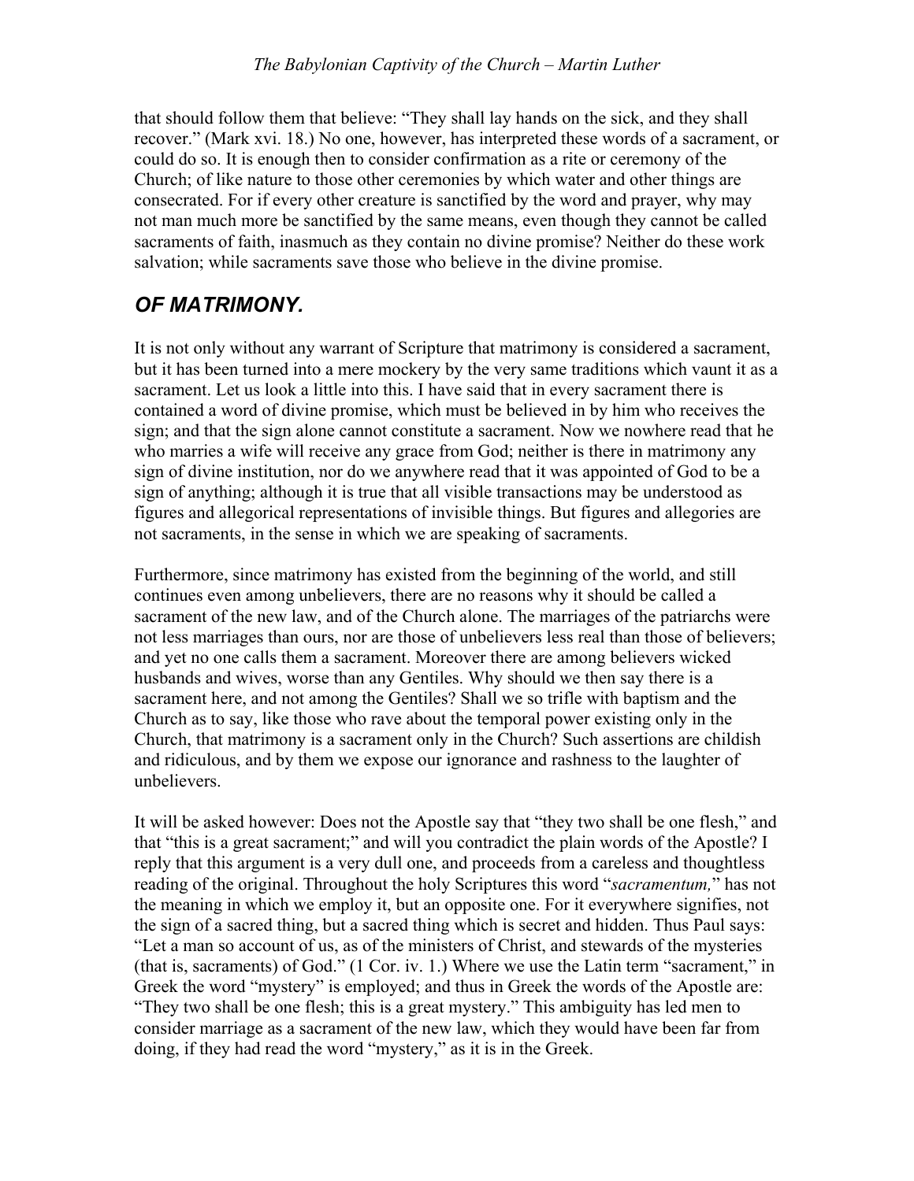that should follow them that believe: "They shall lay hands on the sick, and they shall recover." (Mark xvi. 18.) No one, however, has interpreted these words of a sacrament, or could do so. It is enough then to consider confirmation as a rite or ceremony of the Church; of like nature to those other ceremonies by which water and other things are consecrated. For if every other creature is sanctified by the word and prayer, why may not man much more be sanctified by the same means, even though they cannot be called sacraments of faith, inasmuch as they contain no divine promise? Neither do these work salvation; while sacraments save those who believe in the divine promise.

# *OF MATRIMONY.*

It is not only without any warrant of Scripture that matrimony is considered a sacrament, but it has been turned into a mere mockery by the very same traditions which vaunt it as a sacrament. Let us look a little into this. I have said that in every sacrament there is contained a word of divine promise, which must be believed in by him who receives the sign; and that the sign alone cannot constitute a sacrament. Now we nowhere read that he who marries a wife will receive any grace from God; neither is there in matrimony any sign of divine institution, nor do we anywhere read that it was appointed of God to be a sign of anything; although it is true that all visible transactions may be understood as figures and allegorical representations of invisible things. But figures and allegories are not sacraments, in the sense in which we are speaking of sacraments.

Furthermore, since matrimony has existed from the beginning of the world, and still continues even among unbelievers, there are no reasons why it should be called a sacrament of the new law, and of the Church alone. The marriages of the patriarchs were not less marriages than ours, nor are those of unbelievers less real than those of believers; and yet no one calls them a sacrament. Moreover there are among believers wicked husbands and wives, worse than any Gentiles. Why should we then say there is a sacrament here, and not among the Gentiles? Shall we so trifle with baptism and the Church as to say, like those who rave about the temporal power existing only in the Church, that matrimony is a sacrament only in the Church? Such assertions are childish and ridiculous, and by them we expose our ignorance and rashness to the laughter of unbelievers.

It will be asked however: Does not the Apostle say that "they two shall be one flesh," and that "this is a great sacrament;" and will you contradict the plain words of the Apostle? I reply that this argument is a very dull one, and proceeds from a careless and thoughtless reading of the original. Throughout the holy Scriptures this word "*sacramentum,*" has not the meaning in which we employ it, but an opposite one. For it everywhere signifies, not the sign of a sacred thing, but a sacred thing which is secret and hidden. Thus Paul says: "Let a man so account of us, as of the ministers of Christ, and stewards of the mysteries (that is, sacraments) of God." (1 Cor. iv. 1.) Where we use the Latin term "sacrament," in Greek the word "mystery" is employed; and thus in Greek the words of the Apostle are: "They two shall be one flesh; this is a great mystery." This ambiguity has led men to consider marriage as a sacrament of the new law, which they would have been far from doing, if they had read the word "mystery," as it is in the Greek.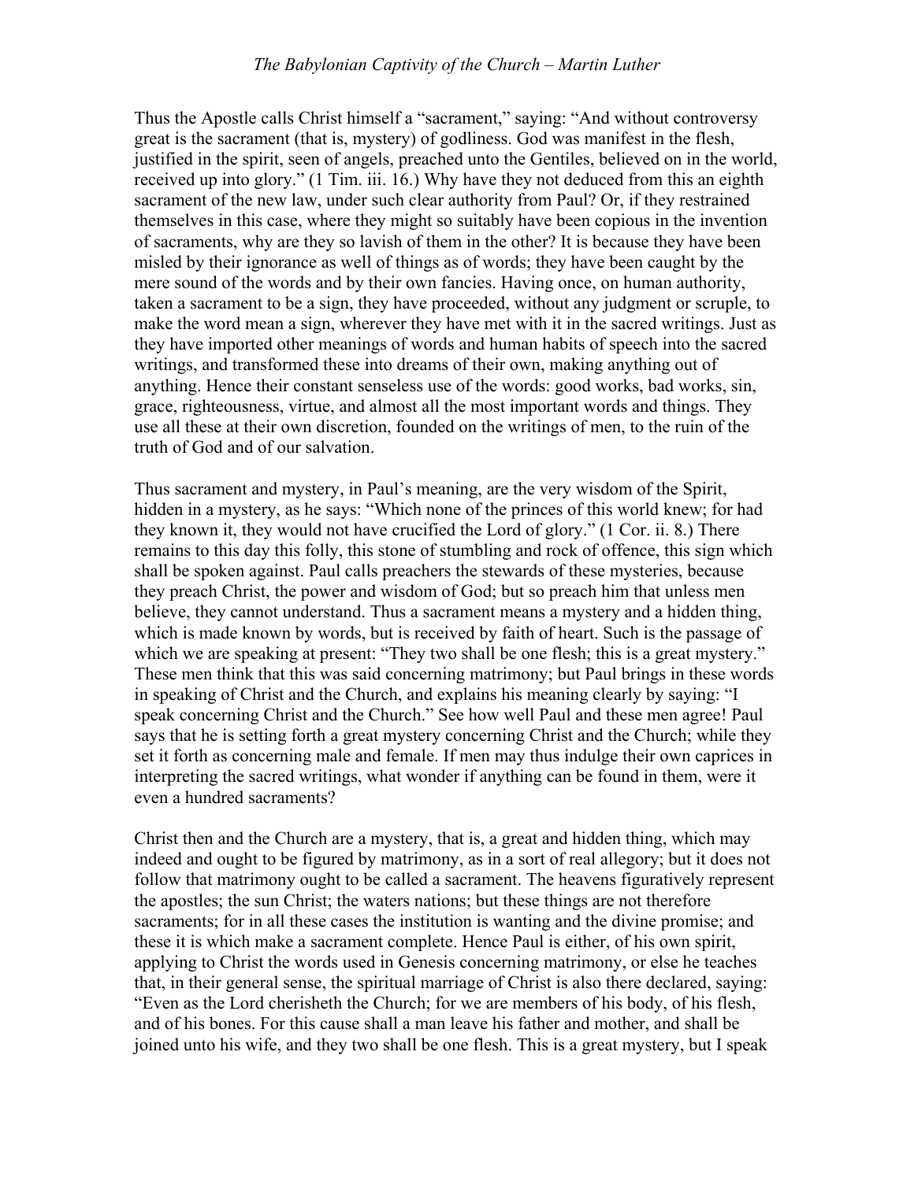Thus the Apostle calls Christ himself a "sacrament," saying: "And without controversy great is the sacrament (that is, mystery) of godliness. God was manifest in the flesh, justified in the spirit, seen of angels, preached unto the Gentiles, believed on in the world, received up into glory." (1 Tim. iii. 16.) Why have they not deduced from this an eighth sacrament of the new law, under such clear authority from Paul? Or, if they restrained themselves in this case, where they might so suitably have been copious in the invention of sacraments, why are they so lavish of them in the other? It is because they have been misled by their ignorance as well of things as of words; they have been caught by the mere sound of the words and by their own fancies. Having once, on human authority, taken a sacrament to be a sign, they have proceeded, without any judgment or scruple, to make the word mean a sign, wherever they have met with it in the sacred writings. Just as they have imported other meanings of words and human habits of speech into the sacred writings, and transformed these into dreams of their own, making anything out of anything. Hence their constant senseless use of the words: good works, bad works, sin, grace, righteousness, virtue, and almost all the most important words and things. They use all these at their own discretion, founded on the writings of men, to the ruin of the truth of God and of our salvation.

Thus sacrament and mystery, in Paul's meaning, are the very wisdom of the Spirit, hidden in a mystery, as he says: "Which none of the princes of this world knew; for had they known it, they would not have crucified the Lord of glory." (1 Cor. ii. 8.) There remains to this day this folly, this stone of stumbling and rock of offence, this sign which shall be spoken against. Paul calls preachers the stewards of these mysteries, because they preach Christ, the power and wisdom of God; but so preach him that unless men believe, they cannot understand. Thus a sacrament means a mystery and a hidden thing, which is made known by words, but is received by faith of heart. Such is the passage of which we are speaking at present: "They two shall be one flesh; this is a great mystery." These men think that this was said concerning matrimony; but Paul brings in these words in speaking of Christ and the Church, and explains his meaning clearly by saying: "I speak concerning Christ and the Church." See how well Paul and these men agree! Paul says that he is setting forth a great mystery concerning Christ and the Church; while they set it forth as concerning male and female. If men may thus indulge their own caprices in interpreting the sacred writings, what wonder if anything can be found in them, were it even a hundred sacraments?

Christ then and the Church are a mystery, that is, a great and hidden thing, which may indeed and ought to be figured by matrimony, as in a sort of real allegory; but it does not follow that matrimony ought to be called a sacrament. The heavens figuratively represent the apostles; the sun Christ; the waters nations; but these things are not therefore sacraments; for in all these cases the institution is wanting and the divine promise; and these it is which make a sacrament complete. Hence Paul is either, of his own spirit, applying to Christ the words used in Genesis concerning matrimony, or else he teaches that, in their general sense, the spiritual marriage of Christ is also there declared, saying: "Even as the Lord cherisheth the Church; for we are members of his body, of his flesh, and of his bones. For this cause shall a man leave his father and mother, and shall be joined unto his wife, and they two shall be one flesh. This is a great mystery, but I speak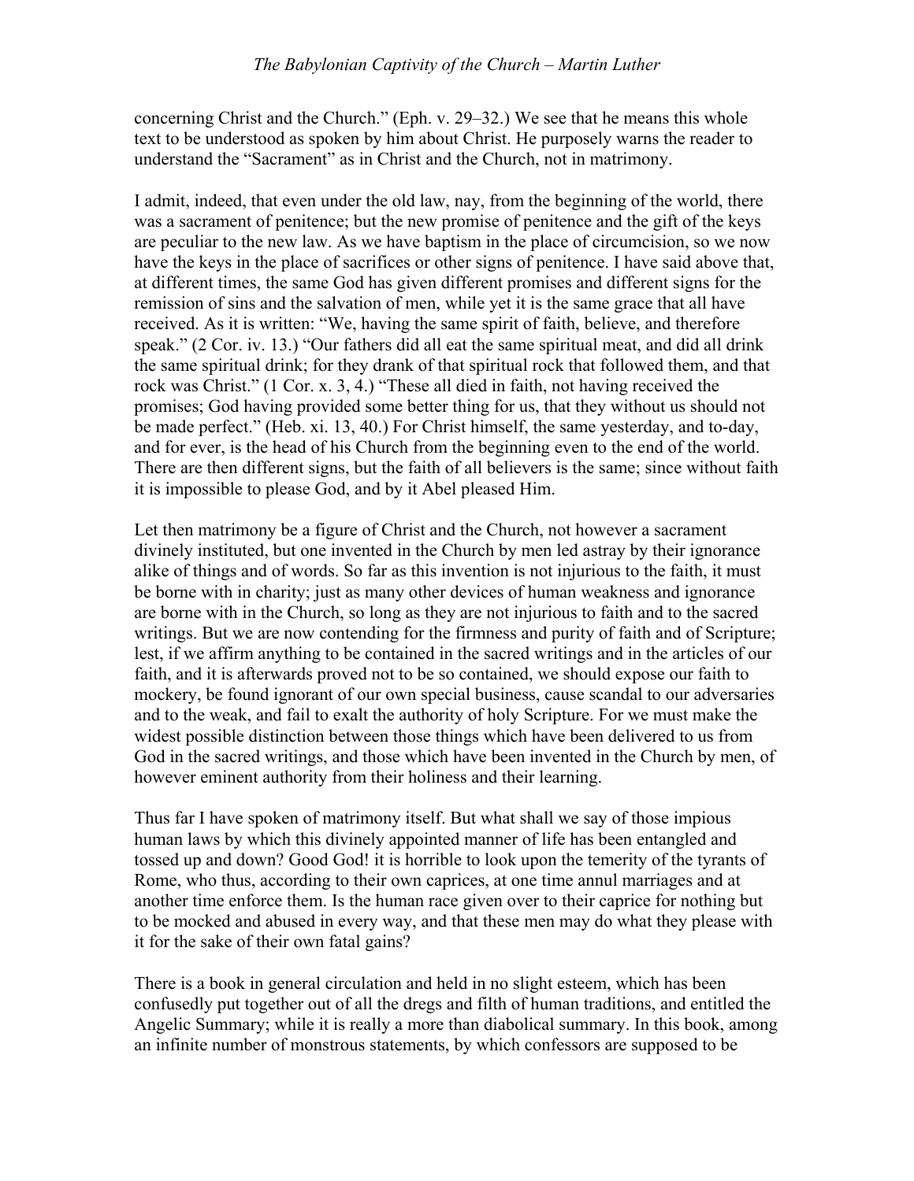concerning Christ and the Church." (Eph. v. 29–32.) We see that he means this whole text to be understood as spoken by him about Christ. He purposely warns the reader to understand the "Sacrament" as in Christ and the Church, not in matrimony.

I admit, indeed, that even under the old law, nay, from the beginning of the world, there was a sacrament of penitence; but the new promise of penitence and the gift of the keys are peculiar to the new law. As we have baptism in the place of circumcision, so we now have the keys in the place of sacrifices or other signs of penitence. I have said above that, at different times, the same God has given different promises and different signs for the remission of sins and the salvation of men, while yet it is the same grace that all have received. As it is written: "We, having the same spirit of faith, believe, and therefore speak." (2 Cor. iv. 13.) "Our fathers did all eat the same spiritual meat, and did all drink the same spiritual drink; for they drank of that spiritual rock that followed them, and that rock was Christ." (1 Cor. x. 3, 4.) "These all died in faith, not having received the promises; God having provided some better thing for us, that they without us should not be made perfect." (Heb. xi. 13, 40.) For Christ himself, the same yesterday, and to-day, and for ever, is the head of his Church from the beginning even to the end of the world. There are then different signs, but the faith of all believers is the same; since without faith it is impossible to please God, and by it Abel pleased Him.

Let then matrimony be a figure of Christ and the Church, not however a sacrament divinely instituted, but one invented in the Church by men led astray by their ignorance alike of things and of words. So far as this invention is not injurious to the faith, it must be borne with in charity; just as many other devices of human weakness and ignorance are borne with in the Church, so long as they are not injurious to faith and to the sacred writings. But we are now contending for the firmness and purity of faith and of Scripture; lest, if we affirm anything to be contained in the sacred writings and in the articles of our faith, and it is afterwards proved not to be so contained, we should expose our faith to mockery, be found ignorant of our own special business, cause scandal to our adversaries and to the weak, and fail to exalt the authority of holy Scripture. For we must make the widest possible distinction between those things which have been delivered to us from God in the sacred writings, and those which have been invented in the Church by men, of however eminent authority from their holiness and their learning.

Thus far I have spoken of matrimony itself. But what shall we say of those impious human laws by which this divinely appointed manner of life has been entangled and tossed up and down? Good God! it is horrible to look upon the temerity of the tyrants of Rome, who thus, according to their own caprices, at one time annul marriages and at another time enforce them. Is the human race given over to their caprice for nothing but to be mocked and abused in every way, and that these men may do what they please with it for the sake of their own fatal gains?

There is a book in general circulation and held in no slight esteem, which has been confusedly put together out of all the dregs and filth of human traditions, and entitled the Angelic Summary; while it is really a more than diabolical summary. In this book, among an infinite number of monstrous statements, by which confessors are supposed to be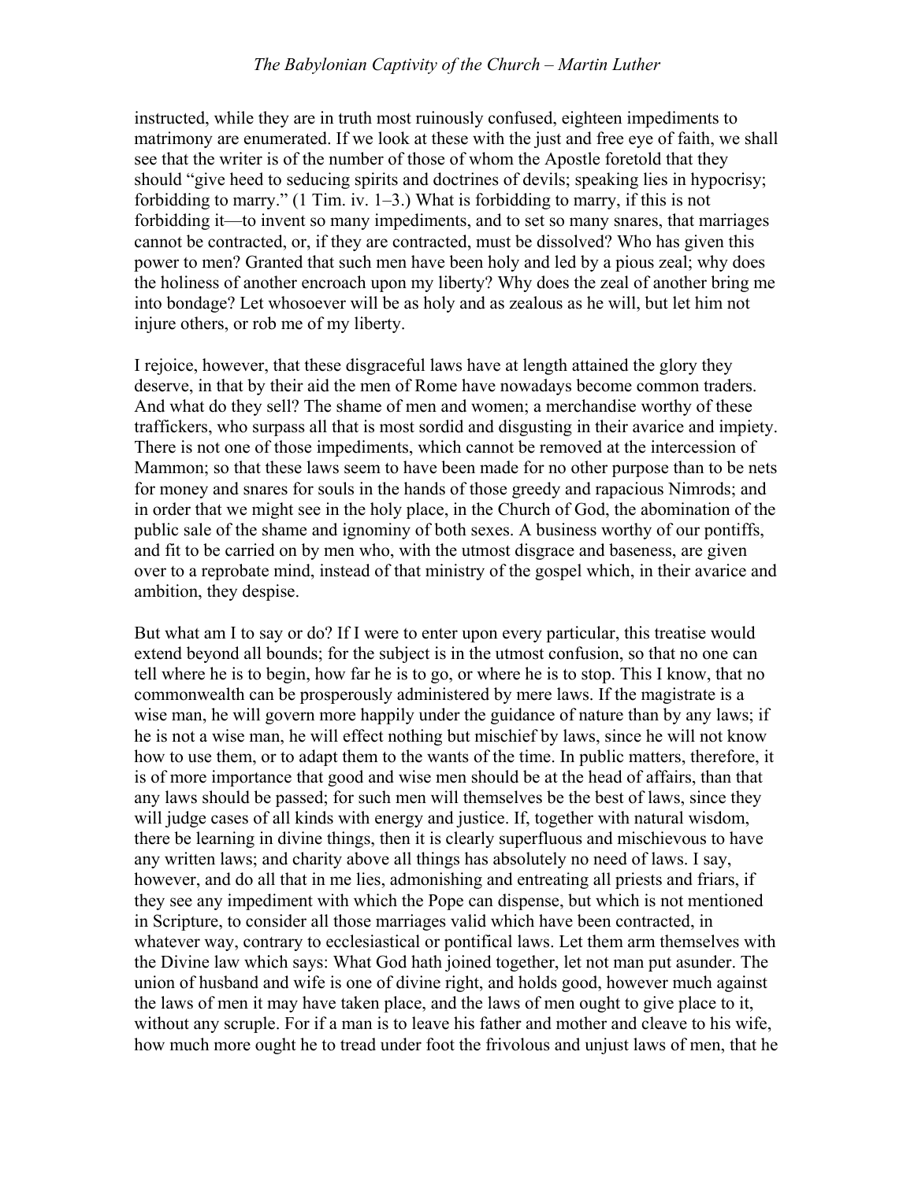instructed, while they are in truth most ruinously confused, eighteen impediments to matrimony are enumerated. If we look at these with the just and free eye of faith, we shall see that the writer is of the number of those of whom the Apostle foretold that they should "give heed to seducing spirits and doctrines of devils; speaking lies in hypocrisy; forbidding to marry." (1 Tim. iv.  $1-3$ .) What is forbidding to marry, if this is not forbidding it—to invent so many impediments, and to set so many snares, that marriages cannot be contracted, or, if they are contracted, must be dissolved? Who has given this power to men? Granted that such men have been holy and led by a pious zeal; why does the holiness of another encroach upon my liberty? Why does the zeal of another bring me into bondage? Let whosoever will be as holy and as zealous as he will, but let him not injure others, or rob me of my liberty.

I rejoice, however, that these disgraceful laws have at length attained the glory they deserve, in that by their aid the men of Rome have nowadays become common traders. And what do they sell? The shame of men and women; a merchandise worthy of these traffickers, who surpass all that is most sordid and disgusting in their avarice and impiety. There is not one of those impediments, which cannot be removed at the intercession of Mammon; so that these laws seem to have been made for no other purpose than to be nets for money and snares for souls in the hands of those greedy and rapacious Nimrods; and in order that we might see in the holy place, in the Church of God, the abomination of the public sale of the shame and ignominy of both sexes. A business worthy of our pontiffs, and fit to be carried on by men who, with the utmost disgrace and baseness, are given over to a reprobate mind, instead of that ministry of the gospel which, in their avarice and ambition, they despise.

But what am I to say or do? If I were to enter upon every particular, this treatise would extend beyond all bounds; for the subject is in the utmost confusion, so that no one can tell where he is to begin, how far he is to go, or where he is to stop. This I know, that no commonwealth can be prosperously administered by mere laws. If the magistrate is a wise man, he will govern more happily under the guidance of nature than by any laws; if he is not a wise man, he will effect nothing but mischief by laws, since he will not know how to use them, or to adapt them to the wants of the time. In public matters, therefore, it is of more importance that good and wise men should be at the head of affairs, than that any laws should be passed; for such men will themselves be the best of laws, since they will judge cases of all kinds with energy and justice. If, together with natural wisdom, there be learning in divine things, then it is clearly superfluous and mischievous to have any written laws; and charity above all things has absolutely no need of laws. I say, however, and do all that in me lies, admonishing and entreating all priests and friars, if they see any impediment with which the Pope can dispense, but which is not mentioned in Scripture, to consider all those marriages valid which have been contracted, in whatever way, contrary to ecclesiastical or pontifical laws. Let them arm themselves with the Divine law which says: What God hath joined together, let not man put asunder. The union of husband and wife is one of divine right, and holds good, however much against the laws of men it may have taken place, and the laws of men ought to give place to it, without any scruple. For if a man is to leave his father and mother and cleave to his wife, how much more ought he to tread under foot the frivolous and unjust laws of men, that he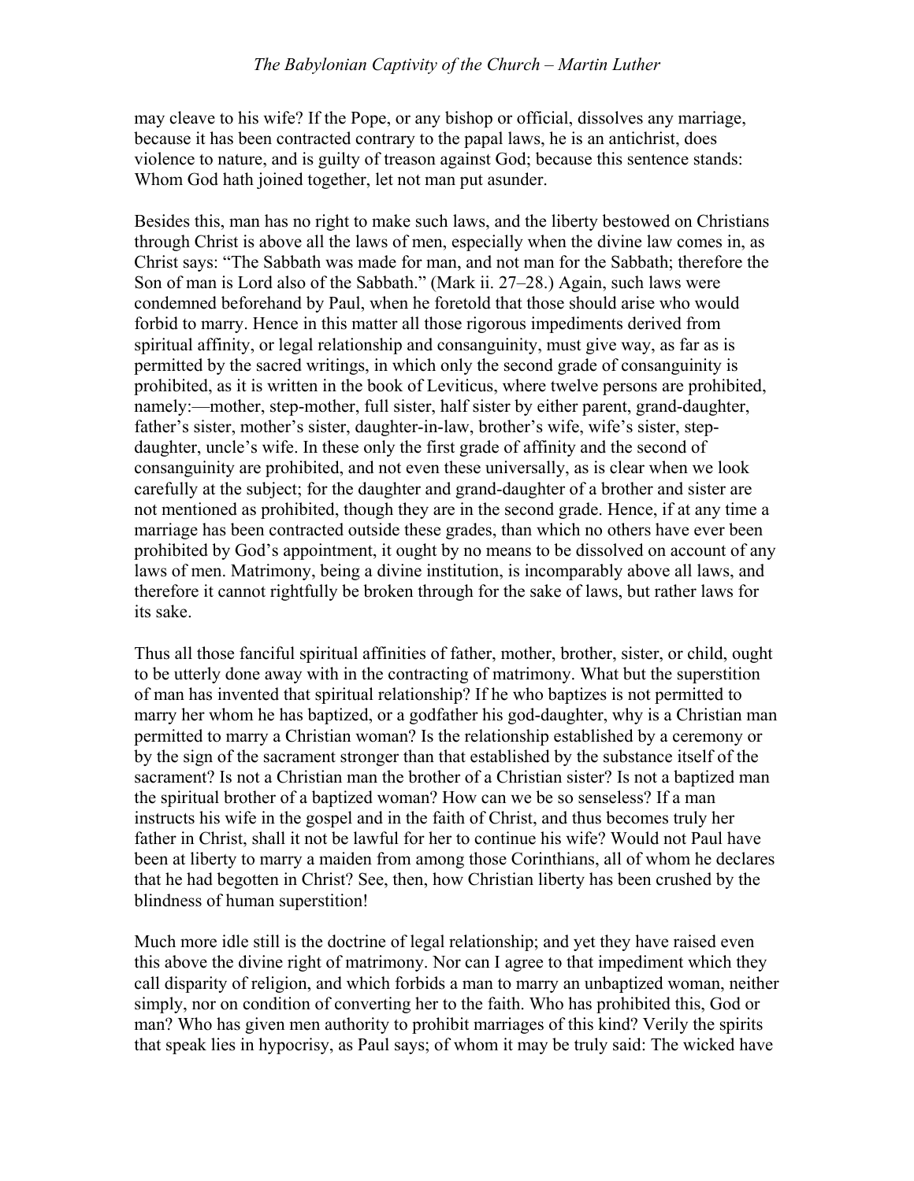may cleave to his wife? If the Pope, or any bishop or official, dissolves any marriage, because it has been contracted contrary to the papal laws, he is an antichrist, does violence to nature, and is guilty of treason against God; because this sentence stands: Whom God hath joined together, let not man put asunder.

Besides this, man has no right to make such laws, and the liberty bestowed on Christians through Christ is above all the laws of men, especially when the divine law comes in, as Christ says: "The Sabbath was made for man, and not man for the Sabbath; therefore the Son of man is Lord also of the Sabbath." (Mark ii. 27–28.) Again, such laws were condemned beforehand by Paul, when he foretold that those should arise who would forbid to marry. Hence in this matter all those rigorous impediments derived from spiritual affinity, or legal relationship and consanguinity, must give way, as far as is permitted by the sacred writings, in which only the second grade of consanguinity is prohibited, as it is written in the book of Leviticus, where twelve persons are prohibited, namely:—mother, step-mother, full sister, half sister by either parent, grand-daughter, father's sister, mother's sister, daughter-in-law, brother's wife, wife's sister, stepdaughter, uncle's wife. In these only the first grade of affinity and the second of consanguinity are prohibited, and not even these universally, as is clear when we look carefully at the subject; for the daughter and grand-daughter of a brother and sister are not mentioned as prohibited, though they are in the second grade. Hence, if at any time a marriage has been contracted outside these grades, than which no others have ever been prohibited by God's appointment, it ought by no means to be dissolved on account of any laws of men. Matrimony, being a divine institution, is incomparably above all laws, and therefore it cannot rightfully be broken through for the sake of laws, but rather laws for its sake.

Thus all those fanciful spiritual affinities of father, mother, brother, sister, or child, ought to be utterly done away with in the contracting of matrimony. What but the superstition of man has invented that spiritual relationship? If he who baptizes is not permitted to marry her whom he has baptized, or a godfather his god-daughter, why is a Christian man permitted to marry a Christian woman? Is the relationship established by a ceremony or by the sign of the sacrament stronger than that established by the substance itself of the sacrament? Is not a Christian man the brother of a Christian sister? Is not a baptized man the spiritual brother of a baptized woman? How can we be so senseless? If a man instructs his wife in the gospel and in the faith of Christ, and thus becomes truly her father in Christ, shall it not be lawful for her to continue his wife? Would not Paul have been at liberty to marry a maiden from among those Corinthians, all of whom he declares that he had begotten in Christ? See, then, how Christian liberty has been crushed by the blindness of human superstition!

Much more idle still is the doctrine of legal relationship; and yet they have raised even this above the divine right of matrimony. Nor can I agree to that impediment which they call disparity of religion, and which forbids a man to marry an unbaptized woman, neither simply, nor on condition of converting her to the faith. Who has prohibited this, God or man? Who has given men authority to prohibit marriages of this kind? Verily the spirits that speak lies in hypocrisy, as Paul says; of whom it may be truly said: The wicked have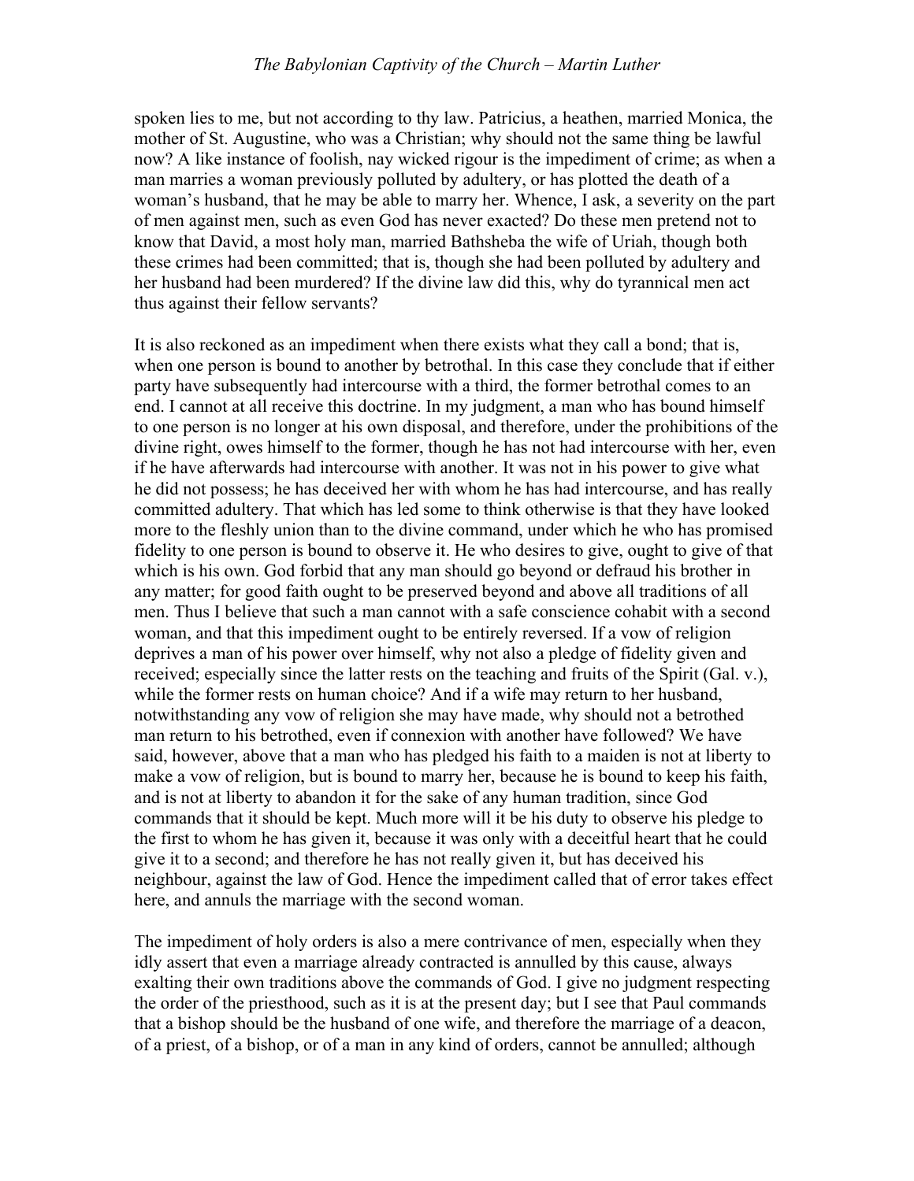spoken lies to me, but not according to thy law. Patricius, a heathen, married Monica, the mother of St. Augustine, who was a Christian; why should not the same thing be lawful now? A like instance of foolish, nay wicked rigour is the impediment of crime; as when a man marries a woman previously polluted by adultery, or has plotted the death of a woman's husband, that he may be able to marry her. Whence, I ask, a severity on the part of men against men, such as even God has never exacted? Do these men pretend not to know that David, a most holy man, married Bathsheba the wife of Uriah, though both these crimes had been committed; that is, though she had been polluted by adultery and her husband had been murdered? If the divine law did this, why do tyrannical men act thus against their fellow servants?

It is also reckoned as an impediment when there exists what they call a bond; that is, when one person is bound to another by betrothal. In this case they conclude that if either party have subsequently had intercourse with a third, the former betrothal comes to an end. I cannot at all receive this doctrine. In my judgment, a man who has bound himself to one person is no longer at his own disposal, and therefore, under the prohibitions of the divine right, owes himself to the former, though he has not had intercourse with her, even if he have afterwards had intercourse with another. It was not in his power to give what he did not possess; he has deceived her with whom he has had intercourse, and has really committed adultery. That which has led some to think otherwise is that they have looked more to the fleshly union than to the divine command, under which he who has promised fidelity to one person is bound to observe it. He who desires to give, ought to give of that which is his own. God forbid that any man should go beyond or defraud his brother in any matter; for good faith ought to be preserved beyond and above all traditions of all men. Thus I believe that such a man cannot with a safe conscience cohabit with a second woman, and that this impediment ought to be entirely reversed. If a vow of religion deprives a man of his power over himself, why not also a pledge of fidelity given and received; especially since the latter rests on the teaching and fruits of the Spirit (Gal. v.), while the former rests on human choice? And if a wife may return to her husband, notwithstanding any vow of religion she may have made, why should not a betrothed man return to his betrothed, even if connexion with another have followed? We have said, however, above that a man who has pledged his faith to a maiden is not at liberty to make a vow of religion, but is bound to marry her, because he is bound to keep his faith, and is not at liberty to abandon it for the sake of any human tradition, since God commands that it should be kept. Much more will it be his duty to observe his pledge to the first to whom he has given it, because it was only with a deceitful heart that he could give it to a second; and therefore he has not really given it, but has deceived his neighbour, against the law of God. Hence the impediment called that of error takes effect here, and annuls the marriage with the second woman.

The impediment of holy orders is also a mere contrivance of men, especially when they idly assert that even a marriage already contracted is annulled by this cause, always exalting their own traditions above the commands of God. I give no judgment respecting the order of the priesthood, such as it is at the present day; but I see that Paul commands that a bishop should be the husband of one wife, and therefore the marriage of a deacon, of a priest, of a bishop, or of a man in any kind of orders, cannot be annulled; although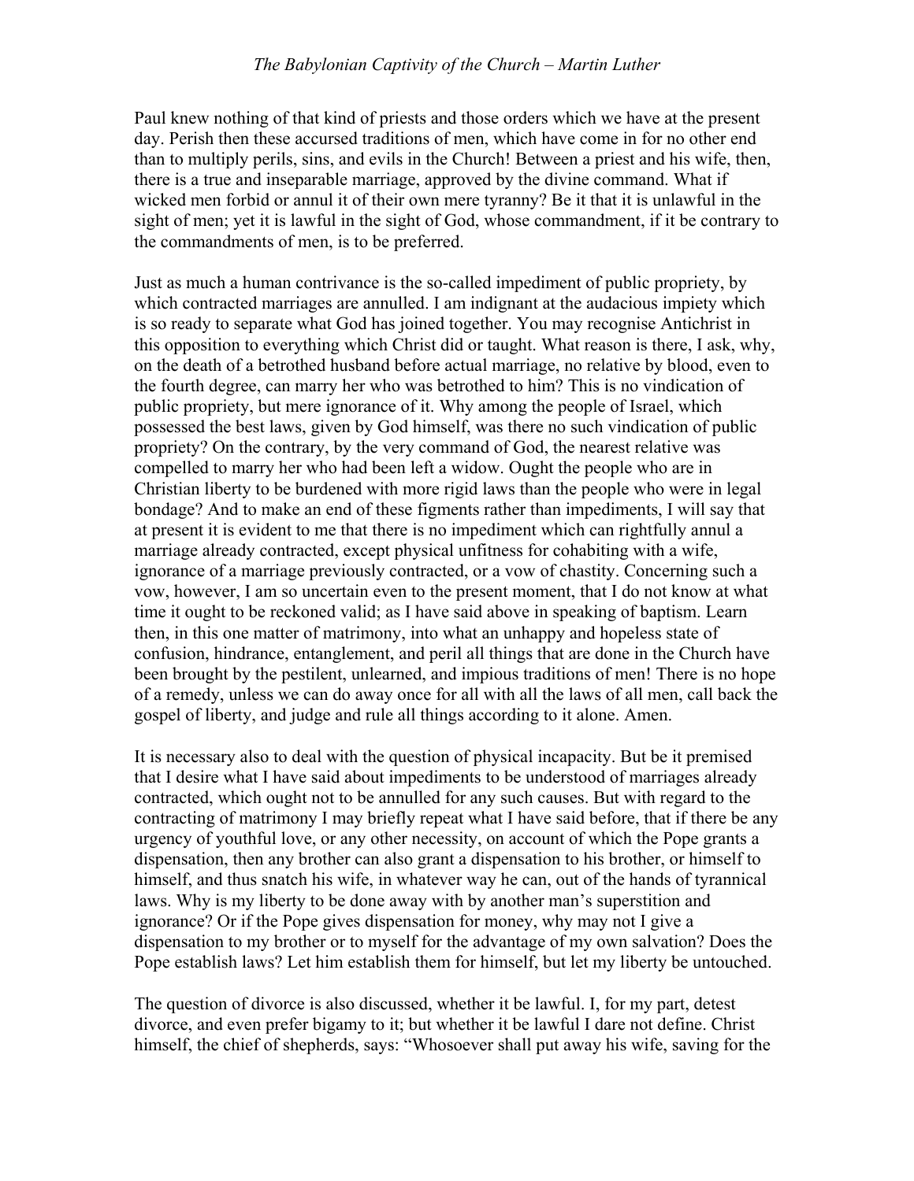Paul knew nothing of that kind of priests and those orders which we have at the present day. Perish then these accursed traditions of men, which have come in for no other end than to multiply perils, sins, and evils in the Church! Between a priest and his wife, then, there is a true and inseparable marriage, approved by the divine command. What if wicked men forbid or annul it of their own mere tyranny? Be it that it is unlawful in the sight of men; yet it is lawful in the sight of God, whose commandment, if it be contrary to the commandments of men, is to be preferred.

Just as much a human contrivance is the so-called impediment of public propriety, by which contracted marriages are annulled. I am indignant at the audacious impiety which is so ready to separate what God has joined together. You may recognise Antichrist in this opposition to everything which Christ did or taught. What reason is there, I ask, why, on the death of a betrothed husband before actual marriage, no relative by blood, even to the fourth degree, can marry her who was betrothed to him? This is no vindication of public propriety, but mere ignorance of it. Why among the people of Israel, which possessed the best laws, given by God himself, was there no such vindication of public propriety? On the contrary, by the very command of God, the nearest relative was compelled to marry her who had been left a widow. Ought the people who are in Christian liberty to be burdened with more rigid laws than the people who were in legal bondage? And to make an end of these figments rather than impediments, I will say that at present it is evident to me that there is no impediment which can rightfully annul a marriage already contracted, except physical unfitness for cohabiting with a wife, ignorance of a marriage previously contracted, or a vow of chastity. Concerning such a vow, however, I am so uncertain even to the present moment, that I do not know at what time it ought to be reckoned valid; as I have said above in speaking of baptism. Learn then, in this one matter of matrimony, into what an unhappy and hopeless state of confusion, hindrance, entanglement, and peril all things that are done in the Church have been brought by the pestilent, unlearned, and impious traditions of men! There is no hope of a remedy, unless we can do away once for all with all the laws of all men, call back the gospel of liberty, and judge and rule all things according to it alone. Amen.

It is necessary also to deal with the question of physical incapacity. But be it premised that I desire what I have said about impediments to be understood of marriages already contracted, which ought not to be annulled for any such causes. But with regard to the contracting of matrimony I may briefly repeat what I have said before, that if there be any urgency of youthful love, or any other necessity, on account of which the Pope grants a dispensation, then any brother can also grant a dispensation to his brother, or himself to himself, and thus snatch his wife, in whatever way he can, out of the hands of tyrannical laws. Why is my liberty to be done away with by another man's superstition and ignorance? Or if the Pope gives dispensation for money, why may not I give a dispensation to my brother or to myself for the advantage of my own salvation? Does the Pope establish laws? Let him establish them for himself, but let my liberty be untouched.

The question of divorce is also discussed, whether it be lawful. I, for my part, detest divorce, and even prefer bigamy to it; but whether it be lawful I dare not define. Christ himself, the chief of shepherds, says: "Whosoever shall put away his wife, saving for the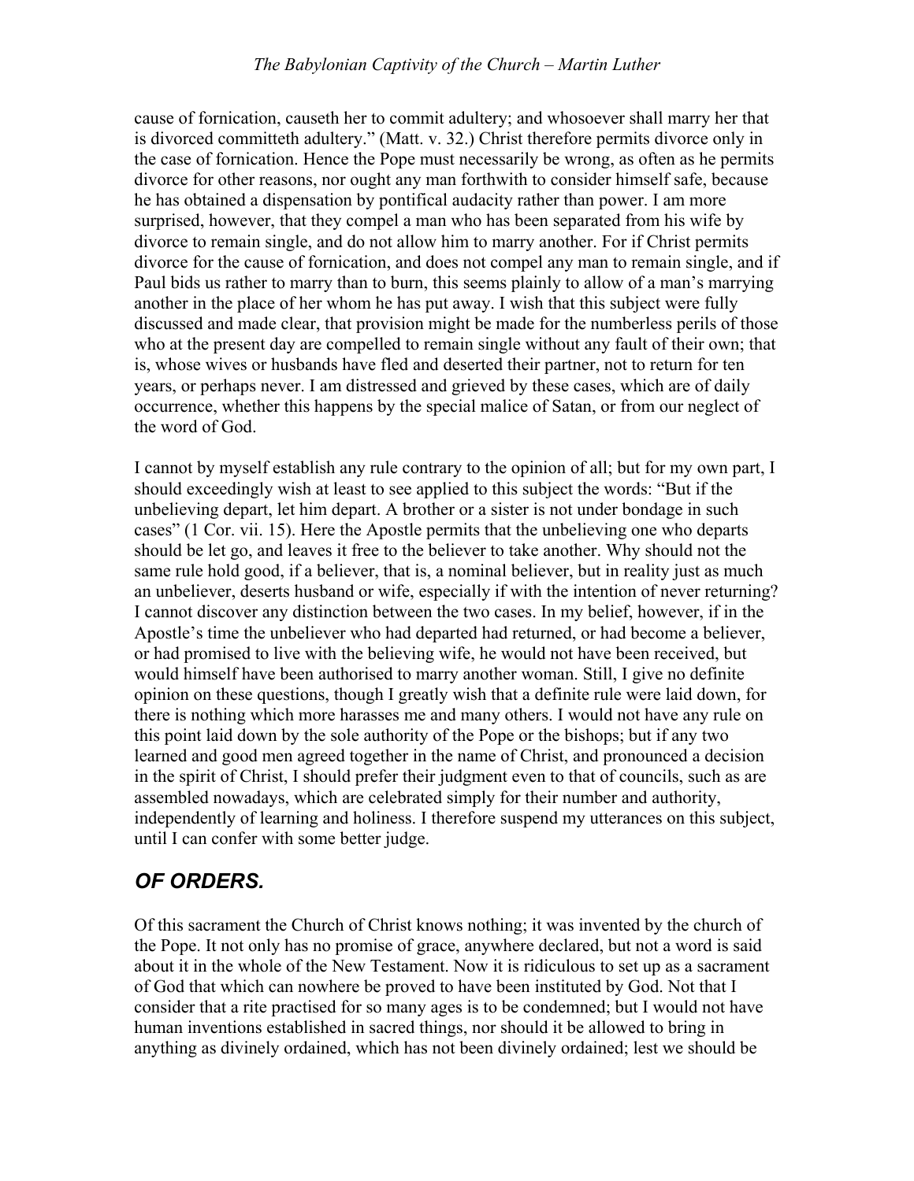cause of fornication, causeth her to commit adultery; and whosoever shall marry her that is divorced committeth adultery." (Matt. v. 32.) Christ therefore permits divorce only in the case of fornication. Hence the Pope must necessarily be wrong, as often as he permits divorce for other reasons, nor ought any man forthwith to consider himself safe, because he has obtained a dispensation by pontifical audacity rather than power. I am more surprised, however, that they compel a man who has been separated from his wife by divorce to remain single, and do not allow him to marry another. For if Christ permits divorce for the cause of fornication, and does not compel any man to remain single, and if Paul bids us rather to marry than to burn, this seems plainly to allow of a man's marrying another in the place of her whom he has put away. I wish that this subject were fully discussed and made clear, that provision might be made for the numberless perils of those who at the present day are compelled to remain single without any fault of their own; that is, whose wives or husbands have fled and deserted their partner, not to return for ten years, or perhaps never. I am distressed and grieved by these cases, which are of daily occurrence, whether this happens by the special malice of Satan, or from our neglect of the word of God.

I cannot by myself establish any rule contrary to the opinion of all; but for my own part, I should exceedingly wish at least to see applied to this subject the words: "But if the unbelieving depart, let him depart. A brother or a sister is not under bondage in such cases" (1 Cor. vii. 15). Here the Apostle permits that the unbelieving one who departs should be let go, and leaves it free to the believer to take another. Why should not the same rule hold good, if a believer, that is, a nominal believer, but in reality just as much an unbeliever, deserts husband or wife, especially if with the intention of never returning? I cannot discover any distinction between the two cases. In my belief, however, if in the Apostle's time the unbeliever who had departed had returned, or had become a believer, or had promised to live with the believing wife, he would not have been received, but would himself have been authorised to marry another woman. Still, I give no definite opinion on these questions, though I greatly wish that a definite rule were laid down, for there is nothing which more harasses me and many others. I would not have any rule on this point laid down by the sole authority of the Pope or the bishops; but if any two learned and good men agreed together in the name of Christ, and pronounced a decision in the spirit of Christ, I should prefer their judgment even to that of councils, such as are assembled nowadays, which are celebrated simply for their number and authority, independently of learning and holiness. I therefore suspend my utterances on this subject, until I can confer with some better judge.

# *OF ORDERS.*

Of this sacrament the Church of Christ knows nothing; it was invented by the church of the Pope. It not only has no promise of grace, anywhere declared, but not a word is said about it in the whole of the New Testament. Now it is ridiculous to set up as a sacrament of God that which can nowhere be proved to have been instituted by God. Not that I consider that a rite practised for so many ages is to be condemned; but I would not have human inventions established in sacred things, nor should it be allowed to bring in anything as divinely ordained, which has not been divinely ordained; lest we should be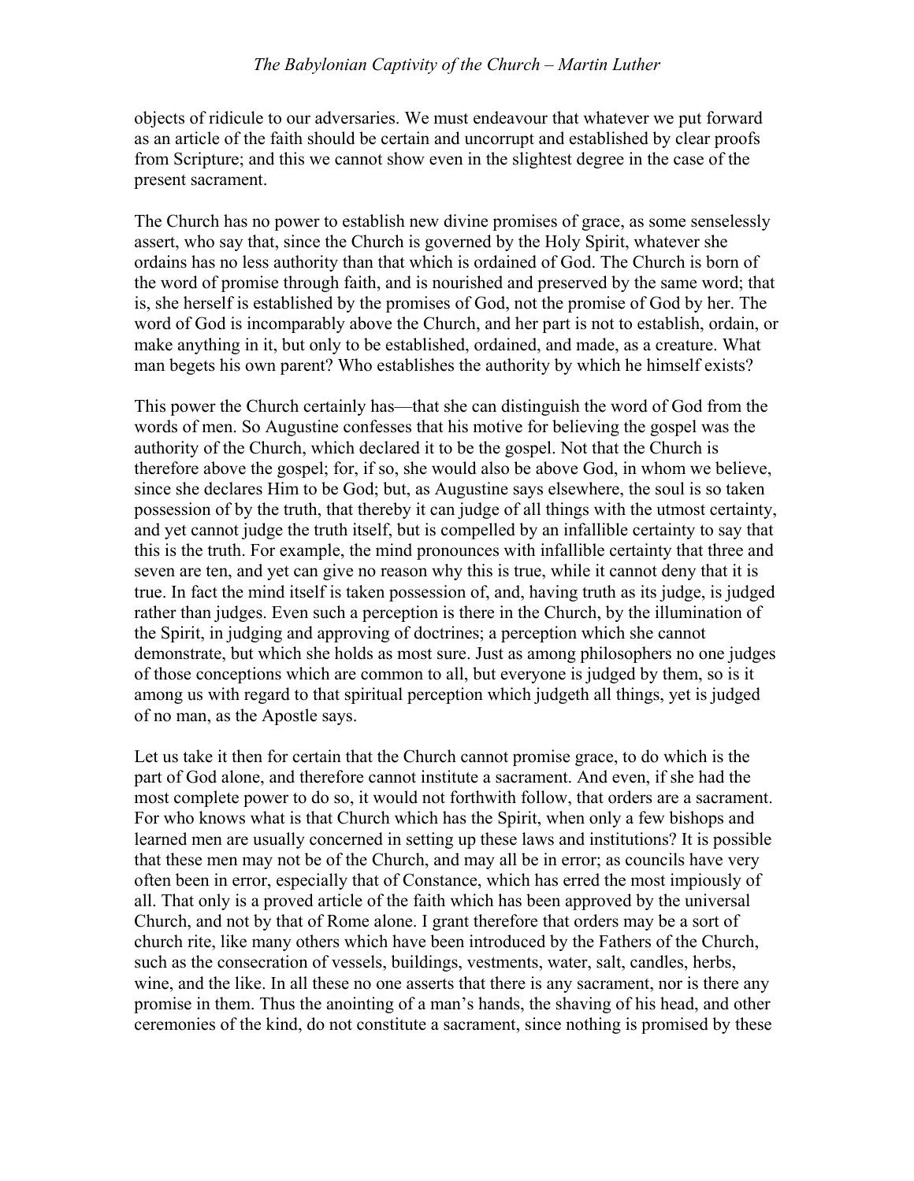objects of ridicule to our adversaries. We must endeavour that whatever we put forward as an article of the faith should be certain and uncorrupt and established by clear proofs from Scripture; and this we cannot show even in the slightest degree in the case of the present sacrament.

The Church has no power to establish new divine promises of grace, as some senselessly assert, who say that, since the Church is governed by the Holy Spirit, whatever she ordains has no less authority than that which is ordained of God. The Church is born of the word of promise through faith, and is nourished and preserved by the same word; that is, she herself is established by the promises of God, not the promise of God by her. The word of God is incomparably above the Church, and her part is not to establish, ordain, or make anything in it, but only to be established, ordained, and made, as a creature. What man begets his own parent? Who establishes the authority by which he himself exists?

This power the Church certainly has—that she can distinguish the word of God from the words of men. So Augustine confesses that his motive for believing the gospel was the authority of the Church, which declared it to be the gospel. Not that the Church is therefore above the gospel; for, if so, she would also be above God, in whom we believe, since she declares Him to be God; but, as Augustine says elsewhere, the soul is so taken possession of by the truth, that thereby it can judge of all things with the utmost certainty, and yet cannot judge the truth itself, but is compelled by an infallible certainty to say that this is the truth. For example, the mind pronounces with infallible certainty that three and seven are ten, and yet can give no reason why this is true, while it cannot deny that it is true. In fact the mind itself is taken possession of, and, having truth as its judge, is judged rather than judges. Even such a perception is there in the Church, by the illumination of the Spirit, in judging and approving of doctrines; a perception which she cannot demonstrate, but which she holds as most sure. Just as among philosophers no one judges of those conceptions which are common to all, but everyone is judged by them, so is it among us with regard to that spiritual perception which judgeth all things, yet is judged of no man, as the Apostle says.

Let us take it then for certain that the Church cannot promise grace, to do which is the part of God alone, and therefore cannot institute a sacrament. And even, if she had the most complete power to do so, it would not forthwith follow, that orders are a sacrament. For who knows what is that Church which has the Spirit, when only a few bishops and learned men are usually concerned in setting up these laws and institutions? It is possible that these men may not be of the Church, and may all be in error; as councils have very often been in error, especially that of Constance, which has erred the most impiously of all. That only is a proved article of the faith which has been approved by the universal Church, and not by that of Rome alone. I grant therefore that orders may be a sort of church rite, like many others which have been introduced by the Fathers of the Church, such as the consecration of vessels, buildings, vestments, water, salt, candles, herbs, wine, and the like. In all these no one asserts that there is any sacrament, nor is there any promise in them. Thus the anointing of a man's hands, the shaving of his head, and other ceremonies of the kind, do not constitute a sacrament, since nothing is promised by these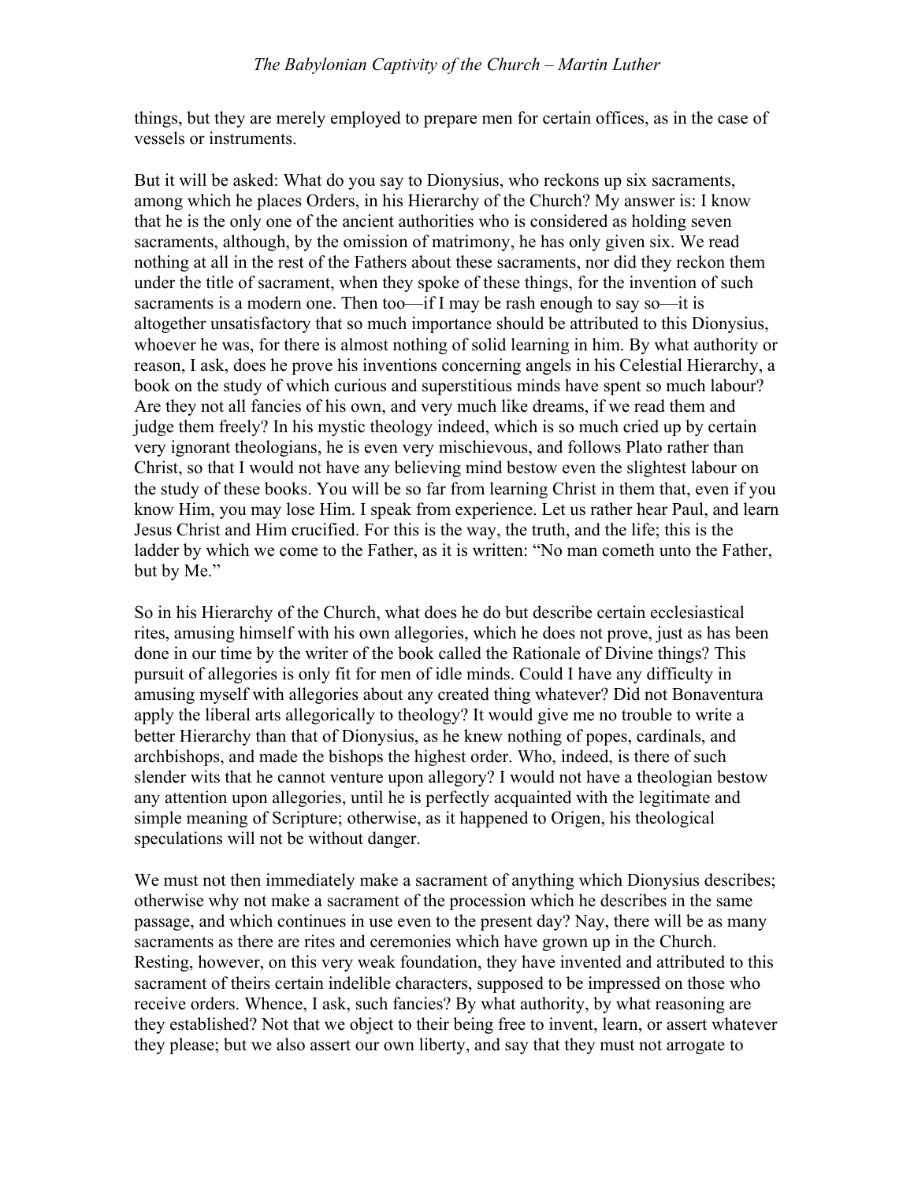things, but they are merely employed to prepare men for certain offices, as in the case of vessels or instruments.

But it will be asked: What do you say to Dionysius, who reckons up six sacraments, among which he places Orders, in his Hierarchy of the Church? My answer is: I know that he is the only one of the ancient authorities who is considered as holding seven sacraments, although, by the omission of matrimony, he has only given six. We read nothing at all in the rest of the Fathers about these sacraments, nor did they reckon them under the title of sacrament, when they spoke of these things, for the invention of such sacraments is a modern one. Then too—if I may be rash enough to say so—it is altogether unsatisfactory that so much importance should be attributed to this Dionysius, whoever he was, for there is almost nothing of solid learning in him. By what authority or reason, I ask, does he prove his inventions concerning angels in his Celestial Hierarchy, a book on the study of which curious and superstitious minds have spent so much labour? Are they not all fancies of his own, and very much like dreams, if we read them and judge them freely? In his mystic theology indeed, which is so much cried up by certain very ignorant theologians, he is even very mischievous, and follows Plato rather than Christ, so that I would not have any believing mind bestow even the slightest labour on the study of these books. You will be so far from learning Christ in them that, even if you know Him, you may lose Him. I speak from experience. Let us rather hear Paul, and learn Jesus Christ and Him crucified. For this is the way, the truth, and the life; this is the ladder by which we come to the Father, as it is written: "No man cometh unto the Father, but by Me."

So in his Hierarchy of the Church, what does he do but describe certain ecclesiastical rites, amusing himself with his own allegories, which he does not prove, just as has been done in our time by the writer of the book called the Rationale of Divine things? This pursuit of allegories is only fit for men of idle minds. Could I have any difficulty in amusing myself with allegories about any created thing whatever? Did not Bonaventura apply the liberal arts allegorically to theology? It would give me no trouble to write a better Hierarchy than that of Dionysius, as he knew nothing of popes, cardinals, and archbishops, and made the bishops the highest order. Who, indeed, is there of such slender wits that he cannot venture upon allegory? I would not have a theologian bestow any attention upon allegories, until he is perfectly acquainted with the legitimate and simple meaning of Scripture; otherwise, as it happened to Origen, his theological speculations will not be without danger.

We must not then immediately make a sacrament of anything which Dionysius describes; otherwise why not make a sacrament of the procession which he describes in the same passage, and which continues in use even to the present day? Nay, there will be as many sacraments as there are rites and ceremonies which have grown up in the Church. Resting, however, on this very weak foundation, they have invented and attributed to this sacrament of theirs certain indelible characters, supposed to be impressed on those who receive orders. Whence, I ask, such fancies? By what authority, by what reasoning are they established? Not that we object to their being free to invent, learn, or assert whatever they please; but we also assert our own liberty, and say that they must not arrogate to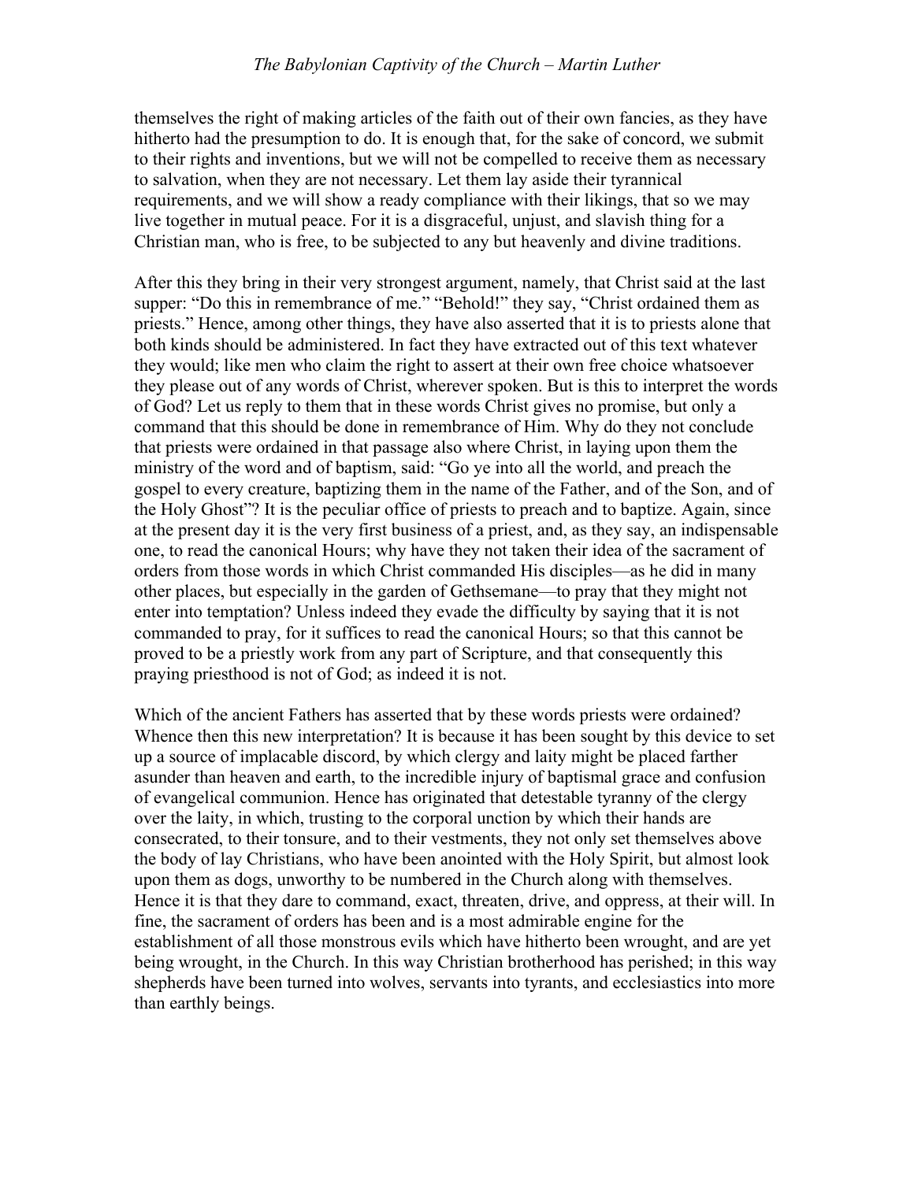themselves the right of making articles of the faith out of their own fancies, as they have hitherto had the presumption to do. It is enough that, for the sake of concord, we submit to their rights and inventions, but we will not be compelled to receive them as necessary to salvation, when they are not necessary. Let them lay aside their tyrannical requirements, and we will show a ready compliance with their likings, that so we may live together in mutual peace. For it is a disgraceful, unjust, and slavish thing for a Christian man, who is free, to be subjected to any but heavenly and divine traditions.

After this they bring in their very strongest argument, namely, that Christ said at the last supper: "Do this in remembrance of me." "Behold!" they say, "Christ ordained them as priests." Hence, among other things, they have also asserted that it is to priests alone that both kinds should be administered. In fact they have extracted out of this text whatever they would; like men who claim the right to assert at their own free choice whatsoever they please out of any words of Christ, wherever spoken. But is this to interpret the words of God? Let us reply to them that in these words Christ gives no promise, but only a command that this should be done in remembrance of Him. Why do they not conclude that priests were ordained in that passage also where Christ, in laying upon them the ministry of the word and of baptism, said: "Go ye into all the world, and preach the gospel to every creature, baptizing them in the name of the Father, and of the Son, and of the Holy Ghost"? It is the peculiar office of priests to preach and to baptize. Again, since at the present day it is the very first business of a priest, and, as they say, an indispensable one, to read the canonical Hours; why have they not taken their idea of the sacrament of orders from those words in which Christ commanded His disciples—as he did in many other places, but especially in the garden of Gethsemane—to pray that they might not enter into temptation? Unless indeed they evade the difficulty by saying that it is not commanded to pray, for it suffices to read the canonical Hours; so that this cannot be proved to be a priestly work from any part of Scripture, and that consequently this praying priesthood is not of God; as indeed it is not.

Which of the ancient Fathers has asserted that by these words priests were ordained? Whence then this new interpretation? It is because it has been sought by this device to set up a source of implacable discord, by which clergy and laity might be placed farther asunder than heaven and earth, to the incredible injury of baptismal grace and confusion of evangelical communion. Hence has originated that detestable tyranny of the clergy over the laity, in which, trusting to the corporal unction by which their hands are consecrated, to their tonsure, and to their vestments, they not only set themselves above the body of lay Christians, who have been anointed with the Holy Spirit, but almost look upon them as dogs, unworthy to be numbered in the Church along with themselves. Hence it is that they dare to command, exact, threaten, drive, and oppress, at their will. In fine, the sacrament of orders has been and is a most admirable engine for the establishment of all those monstrous evils which have hitherto been wrought, and are yet being wrought, in the Church. In this way Christian brotherhood has perished; in this way shepherds have been turned into wolves, servants into tyrants, and ecclesiastics into more than earthly beings.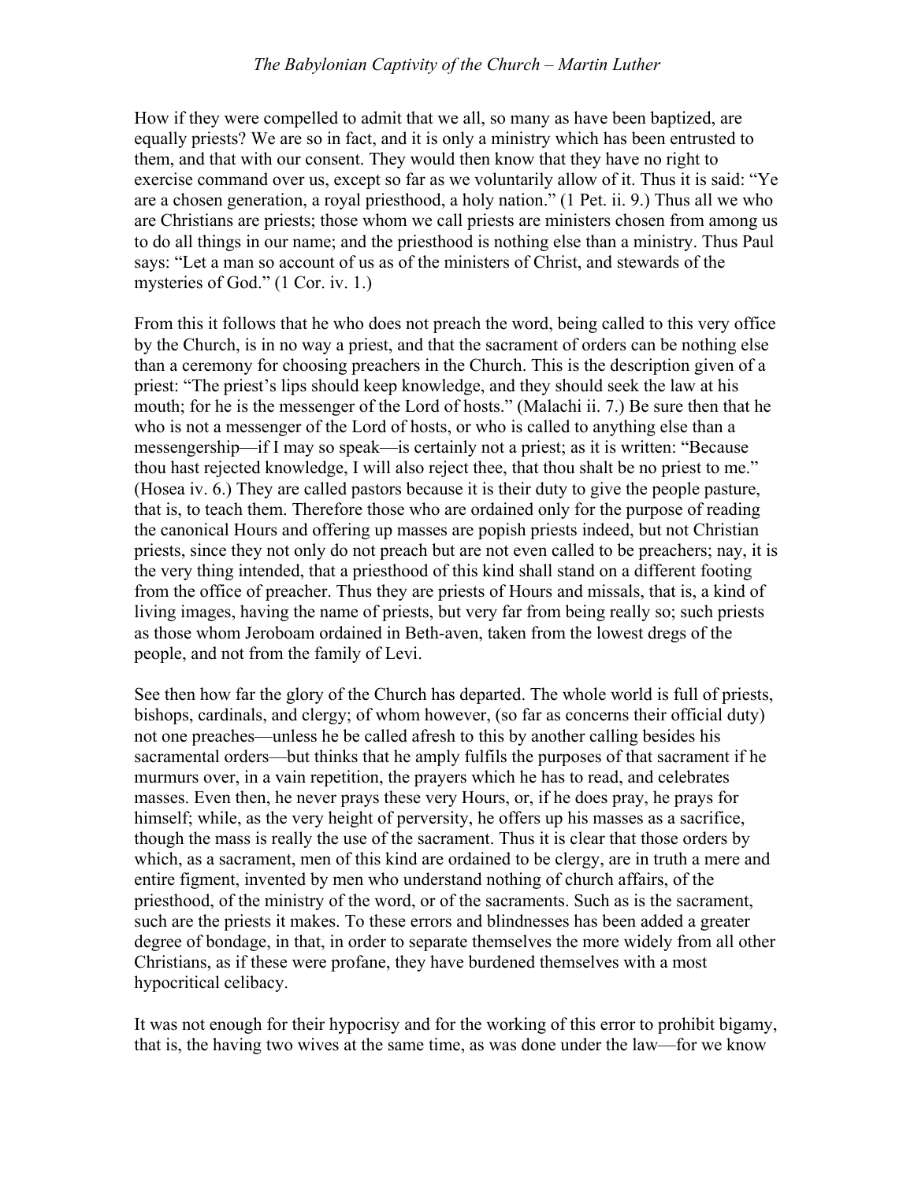How if they were compelled to admit that we all, so many as have been baptized, are equally priests? We are so in fact, and it is only a ministry which has been entrusted to them, and that with our consent. They would then know that they have no right to exercise command over us, except so far as we voluntarily allow of it. Thus it is said: "Ye are a chosen generation, a royal priesthood, a holy nation." (1 Pet. ii. 9.) Thus all we who are Christians are priests; those whom we call priests are ministers chosen from among us to do all things in our name; and the priesthood is nothing else than a ministry. Thus Paul says: "Let a man so account of us as of the ministers of Christ, and stewards of the mysteries of God." (1 Cor. iv. 1.)

From this it follows that he who does not preach the word, being called to this very office by the Church, is in no way a priest, and that the sacrament of orders can be nothing else than a ceremony for choosing preachers in the Church. This is the description given of a priest: "The priest's lips should keep knowledge, and they should seek the law at his mouth; for he is the messenger of the Lord of hosts." (Malachi ii. 7.) Be sure then that he who is not a messenger of the Lord of hosts, or who is called to anything else than a messengership—if I may so speak—is certainly not a priest; as it is written: "Because thou hast rejected knowledge, I will also reject thee, that thou shalt be no priest to me." (Hosea iv. 6.) They are called pastors because it is their duty to give the people pasture, that is, to teach them. Therefore those who are ordained only for the purpose of reading the canonical Hours and offering up masses are popish priests indeed, but not Christian priests, since they not only do not preach but are not even called to be preachers; nay, it is the very thing intended, that a priesthood of this kind shall stand on a different footing from the office of preacher. Thus they are priests of Hours and missals, that is, a kind of living images, having the name of priests, but very far from being really so; such priests as those whom Jeroboam ordained in Beth-aven, taken from the lowest dregs of the people, and not from the family of Levi.

See then how far the glory of the Church has departed. The whole world is full of priests, bishops, cardinals, and clergy; of whom however, (so far as concerns their official duty) not one preaches—unless he be called afresh to this by another calling besides his sacramental orders—but thinks that he amply fulfils the purposes of that sacrament if he murmurs over, in a vain repetition, the prayers which he has to read, and celebrates masses. Even then, he never prays these very Hours, or, if he does pray, he prays for himself; while, as the very height of perversity, he offers up his masses as a sacrifice, though the mass is really the use of the sacrament. Thus it is clear that those orders by which, as a sacrament, men of this kind are ordained to be clergy, are in truth a mere and entire figment, invented by men who understand nothing of church affairs, of the priesthood, of the ministry of the word, or of the sacraments. Such as is the sacrament, such are the priests it makes. To these errors and blindnesses has been added a greater degree of bondage, in that, in order to separate themselves the more widely from all other Christians, as if these were profane, they have burdened themselves with a most hypocritical celibacy.

It was not enough for their hypocrisy and for the working of this error to prohibit bigamy, that is, the having two wives at the same time, as was done under the law—for we know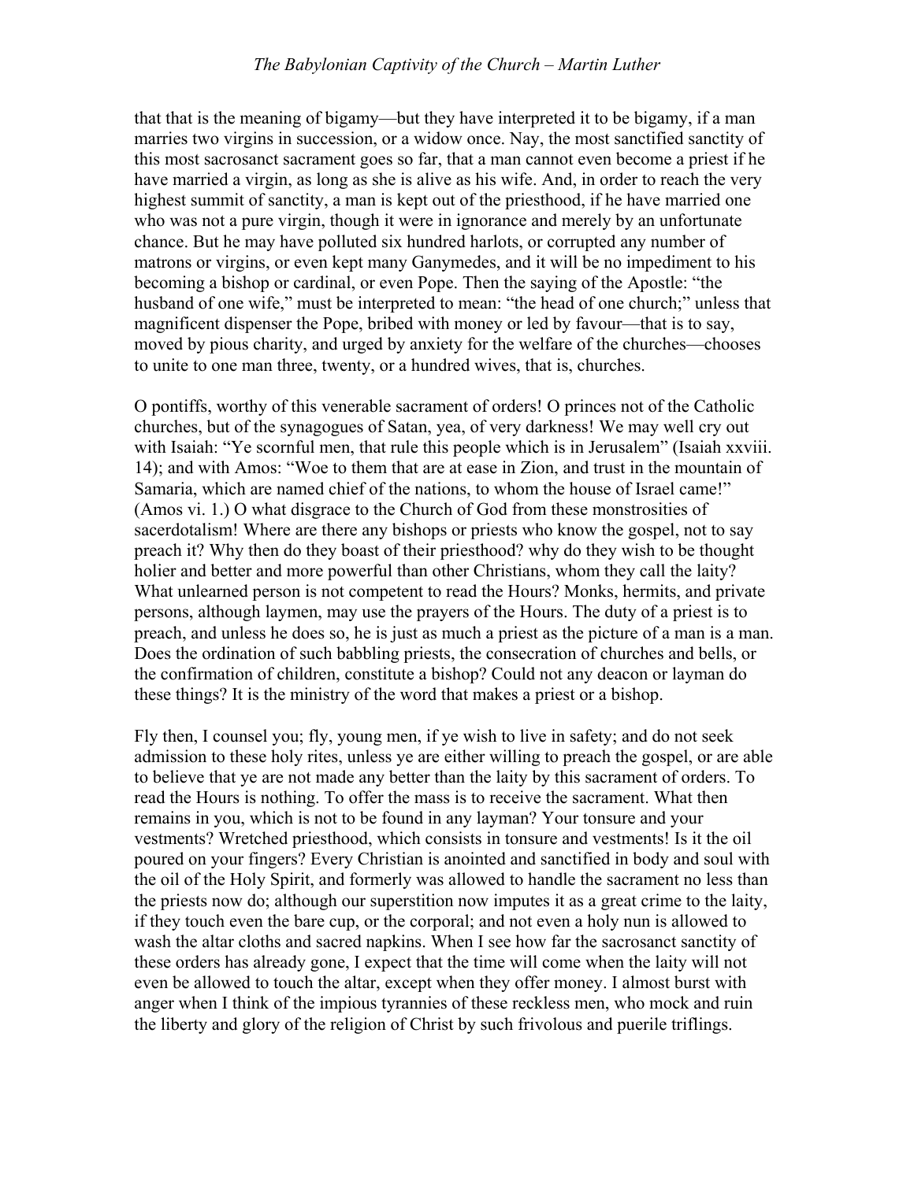that that is the meaning of bigamy—but they have interpreted it to be bigamy, if a man marries two virgins in succession, or a widow once. Nay, the most sanctified sanctity of this most sacrosanct sacrament goes so far, that a man cannot even become a priest if he have married a virgin, as long as she is alive as his wife. And, in order to reach the very highest summit of sanctity, a man is kept out of the priesthood, if he have married one who was not a pure virgin, though it were in ignorance and merely by an unfortunate chance. But he may have polluted six hundred harlots, or corrupted any number of matrons or virgins, or even kept many Ganymedes, and it will be no impediment to his becoming a bishop or cardinal, or even Pope. Then the saying of the Apostle: "the husband of one wife," must be interpreted to mean: "the head of one church;" unless that magnificent dispenser the Pope, bribed with money or led by favour—that is to say, moved by pious charity, and urged by anxiety for the welfare of the churches—chooses to unite to one man three, twenty, or a hundred wives, that is, churches.

O pontiffs, worthy of this venerable sacrament of orders! O princes not of the Catholic churches, but of the synagogues of Satan, yea, of very darkness! We may well cry out with Isaiah: "Ye scornful men, that rule this people which is in Jerusalem" (Isaiah xxviii. 14); and with Amos: "Woe to them that are at ease in Zion, and trust in the mountain of Samaria, which are named chief of the nations, to whom the house of Israel came!" (Amos vi. 1.) O what disgrace to the Church of God from these monstrosities of sacerdotalism! Where are there any bishops or priests who know the gospel, not to say preach it? Why then do they boast of their priesthood? why do they wish to be thought holier and better and more powerful than other Christians, whom they call the laity? What unlearned person is not competent to read the Hours? Monks, hermits, and private persons, although laymen, may use the prayers of the Hours. The duty of a priest is to preach, and unless he does so, he is just as much a priest as the picture of a man is a man. Does the ordination of such babbling priests, the consecration of churches and bells, or the confirmation of children, constitute a bishop? Could not any deacon or layman do these things? It is the ministry of the word that makes a priest or a bishop.

Fly then, I counsel you; fly, young men, if ye wish to live in safety; and do not seek admission to these holy rites, unless ye are either willing to preach the gospel, or are able to believe that ye are not made any better than the laity by this sacrament of orders. To read the Hours is nothing. To offer the mass is to receive the sacrament. What then remains in you, which is not to be found in any layman? Your tonsure and your vestments? Wretched priesthood, which consists in tonsure and vestments! Is it the oil poured on your fingers? Every Christian is anointed and sanctified in body and soul with the oil of the Holy Spirit, and formerly was allowed to handle the sacrament no less than the priests now do; although our superstition now imputes it as a great crime to the laity, if they touch even the bare cup, or the corporal; and not even a holy nun is allowed to wash the altar cloths and sacred napkins. When I see how far the sacrosanct sanctity of these orders has already gone, I expect that the time will come when the laity will not even be allowed to touch the altar, except when they offer money. I almost burst with anger when I think of the impious tyrannies of these reckless men, who mock and ruin the liberty and glory of the religion of Christ by such frivolous and puerile triflings.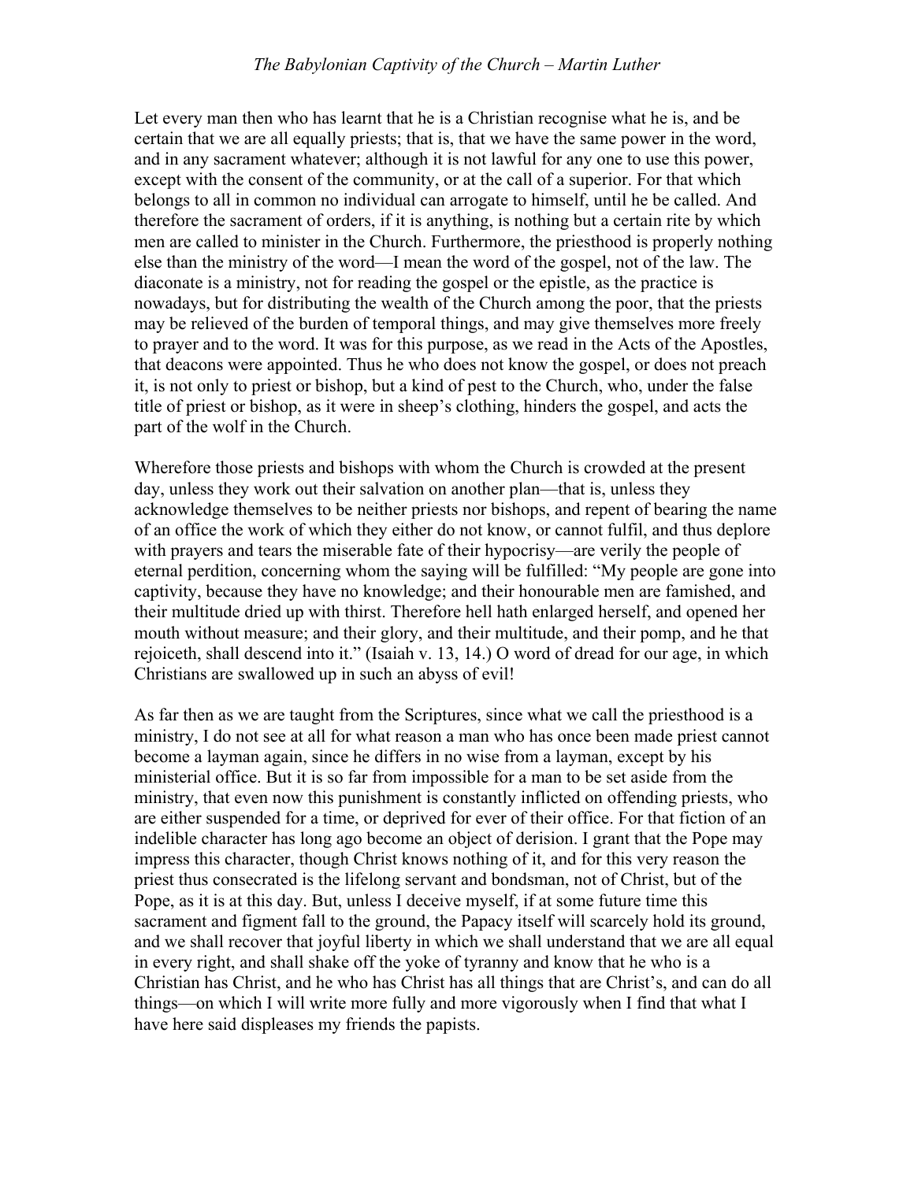Let every man then who has learnt that he is a Christian recognise what he is, and be certain that we are all equally priests; that is, that we have the same power in the word, and in any sacrament whatever; although it is not lawful for any one to use this power, except with the consent of the community, or at the call of a superior. For that which belongs to all in common no individual can arrogate to himself, until he be called. And therefore the sacrament of orders, if it is anything, is nothing but a certain rite by which men are called to minister in the Church. Furthermore, the priesthood is properly nothing else than the ministry of the word—I mean the word of the gospel, not of the law. The diaconate is a ministry, not for reading the gospel or the epistle, as the practice is nowadays, but for distributing the wealth of the Church among the poor, that the priests may be relieved of the burden of temporal things, and may give themselves more freely to prayer and to the word. It was for this purpose, as we read in the Acts of the Apostles, that deacons were appointed. Thus he who does not know the gospel, or does not preach it, is not only to priest or bishop, but a kind of pest to the Church, who, under the false title of priest or bishop, as it were in sheep's clothing, hinders the gospel, and acts the part of the wolf in the Church.

Wherefore those priests and bishops with whom the Church is crowded at the present day, unless they work out their salvation on another plan—that is, unless they acknowledge themselves to be neither priests nor bishops, and repent of bearing the name of an office the work of which they either do not know, or cannot fulfil, and thus deplore with prayers and tears the miserable fate of their hypocrisy—are verily the people of eternal perdition, concerning whom the saying will be fulfilled: "My people are gone into captivity, because they have no knowledge; and their honourable men are famished, and their multitude dried up with thirst. Therefore hell hath enlarged herself, and opened her mouth without measure; and their glory, and their multitude, and their pomp, and he that rejoiceth, shall descend into it." (Isaiah v. 13, 14.) O word of dread for our age, in which Christians are swallowed up in such an abyss of evil!

As far then as we are taught from the Scriptures, since what we call the priesthood is a ministry, I do not see at all for what reason a man who has once been made priest cannot become a layman again, since he differs in no wise from a layman, except by his ministerial office. But it is so far from impossible for a man to be set aside from the ministry, that even now this punishment is constantly inflicted on offending priests, who are either suspended for a time, or deprived for ever of their office. For that fiction of an indelible character has long ago become an object of derision. I grant that the Pope may impress this character, though Christ knows nothing of it, and for this very reason the priest thus consecrated is the lifelong servant and bondsman, not of Christ, but of the Pope, as it is at this day. But, unless I deceive myself, if at some future time this sacrament and figment fall to the ground, the Papacy itself will scarcely hold its ground, and we shall recover that joyful liberty in which we shall understand that we are all equal in every right, and shall shake off the yoke of tyranny and know that he who is a Christian has Christ, and he who has Christ has all things that are Christ's, and can do all things—on which I will write more fully and more vigorously when I find that what I have here said displeases my friends the papists.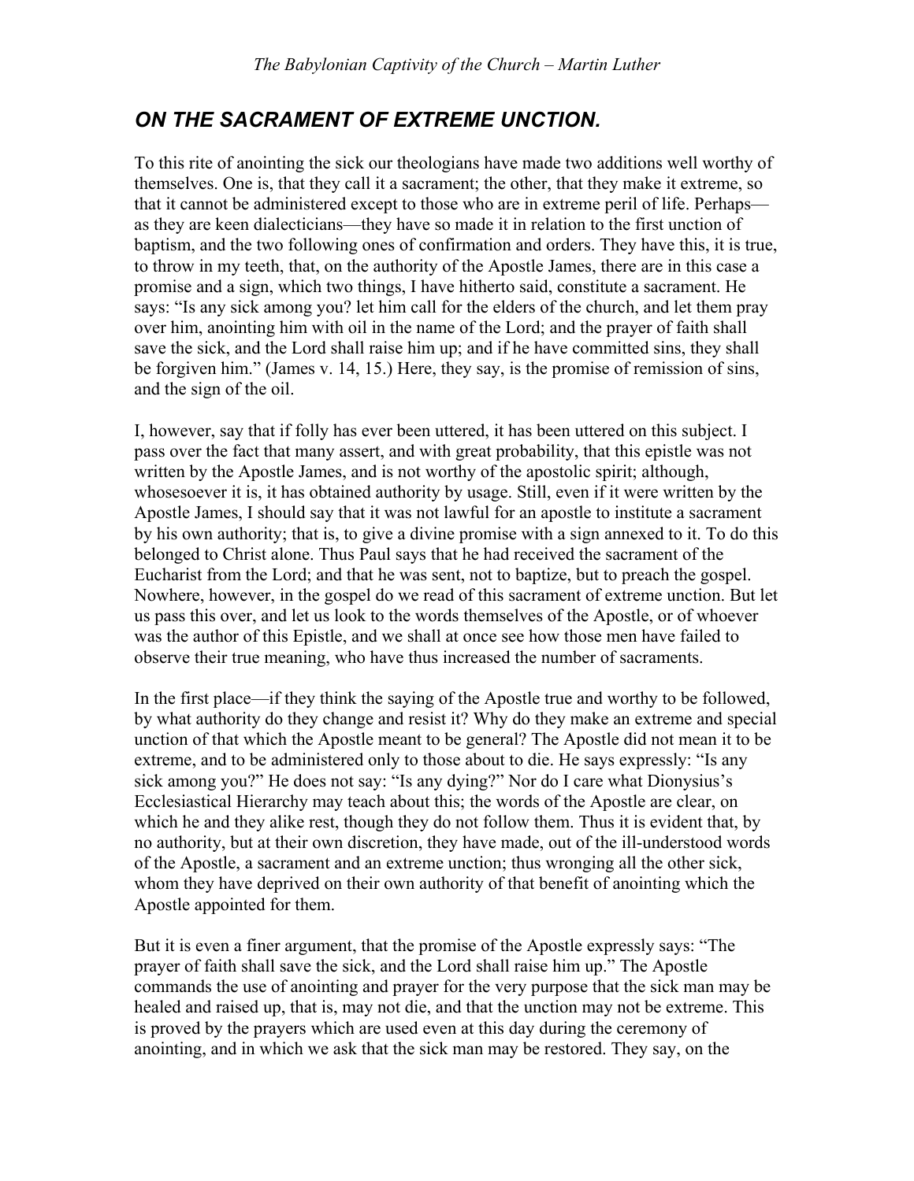### *ON THE SACRAMENT OF EXTREME UNCTION.*

To this rite of anointing the sick our theologians have made two additions well worthy of themselves. One is, that they call it a sacrament; the other, that they make it extreme, so that it cannot be administered except to those who are in extreme peril of life. Perhaps as they are keen dialecticians—they have so made it in relation to the first unction of baptism, and the two following ones of confirmation and orders. They have this, it is true, to throw in my teeth, that, on the authority of the Apostle James, there are in this case a promise and a sign, which two things, I have hitherto said, constitute a sacrament. He says: "Is any sick among you? let him call for the elders of the church, and let them pray over him, anointing him with oil in the name of the Lord; and the prayer of faith shall save the sick, and the Lord shall raise him up; and if he have committed sins, they shall be forgiven him." (James v. 14, 15.) Here, they say, is the promise of remission of sins, and the sign of the oil.

I, however, say that if folly has ever been uttered, it has been uttered on this subject. I pass over the fact that many assert, and with great probability, that this epistle was not written by the Apostle James, and is not worthy of the apostolic spirit; although, whosesoever it is, it has obtained authority by usage. Still, even if it were written by the Apostle James, I should say that it was not lawful for an apostle to institute a sacrament by his own authority; that is, to give a divine promise with a sign annexed to it. To do this belonged to Christ alone. Thus Paul says that he had received the sacrament of the Eucharist from the Lord; and that he was sent, not to baptize, but to preach the gospel. Nowhere, however, in the gospel do we read of this sacrament of extreme unction. But let us pass this over, and let us look to the words themselves of the Apostle, or of whoever was the author of this Epistle, and we shall at once see how those men have failed to observe their true meaning, who have thus increased the number of sacraments.

In the first place—if they think the saying of the Apostle true and worthy to be followed, by what authority do they change and resist it? Why do they make an extreme and special unction of that which the Apostle meant to be general? The Apostle did not mean it to be extreme, and to be administered only to those about to die. He says expressly: "Is any sick among you?" He does not say: "Is any dying?" Nor do I care what Dionysius's Ecclesiastical Hierarchy may teach about this; the words of the Apostle are clear, on which he and they alike rest, though they do not follow them. Thus it is evident that, by no authority, but at their own discretion, they have made, out of the ill-understood words of the Apostle, a sacrament and an extreme unction; thus wronging all the other sick, whom they have deprived on their own authority of that benefit of anointing which the Apostle appointed for them.

But it is even a finer argument, that the promise of the Apostle expressly says: "The prayer of faith shall save the sick, and the Lord shall raise him up." The Apostle commands the use of anointing and prayer for the very purpose that the sick man may be healed and raised up, that is, may not die, and that the unction may not be extreme. This is proved by the prayers which are used even at this day during the ceremony of anointing, and in which we ask that the sick man may be restored. They say, on the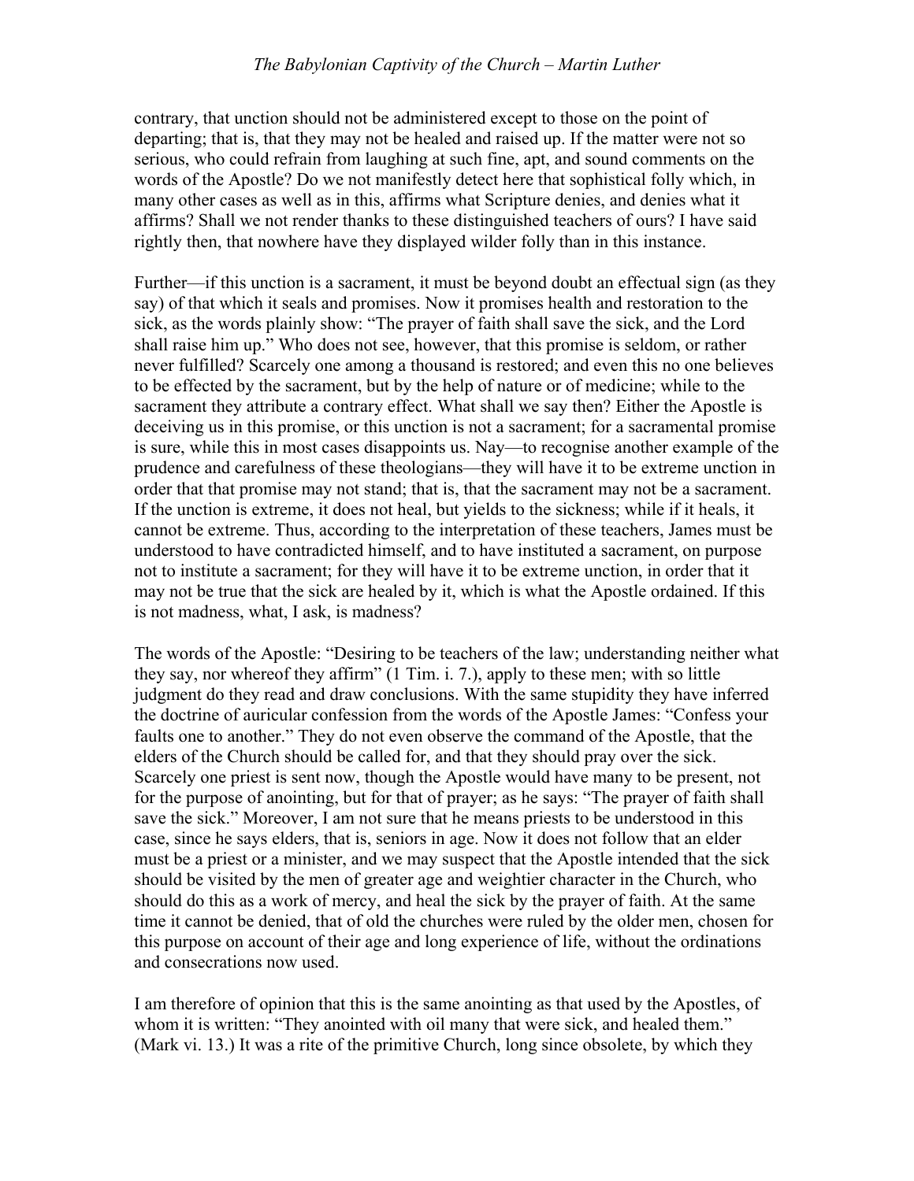contrary, that unction should not be administered except to those on the point of departing; that is, that they may not be healed and raised up. If the matter were not so serious, who could refrain from laughing at such fine, apt, and sound comments on the words of the Apostle? Do we not manifestly detect here that sophistical folly which, in many other cases as well as in this, affirms what Scripture denies, and denies what it affirms? Shall we not render thanks to these distinguished teachers of ours? I have said rightly then, that nowhere have they displayed wilder folly than in this instance.

Further—if this unction is a sacrament, it must be beyond doubt an effectual sign (as they say) of that which it seals and promises. Now it promises health and restoration to the sick, as the words plainly show: "The prayer of faith shall save the sick, and the Lord shall raise him up." Who does not see, however, that this promise is seldom, or rather never fulfilled? Scarcely one among a thousand is restored; and even this no one believes to be effected by the sacrament, but by the help of nature or of medicine; while to the sacrament they attribute a contrary effect. What shall we say then? Either the Apostle is deceiving us in this promise, or this unction is not a sacrament; for a sacramental promise is sure, while this in most cases disappoints us. Nay—to recognise another example of the prudence and carefulness of these theologians—they will have it to be extreme unction in order that that promise may not stand; that is, that the sacrament may not be a sacrament. If the unction is extreme, it does not heal, but yields to the sickness; while if it heals, it cannot be extreme. Thus, according to the interpretation of these teachers, James must be understood to have contradicted himself, and to have instituted a sacrament, on purpose not to institute a sacrament; for they will have it to be extreme unction, in order that it may not be true that the sick are healed by it, which is what the Apostle ordained. If this is not madness, what, I ask, is madness?

The words of the Apostle: "Desiring to be teachers of the law; understanding neither what they say, nor whereof they affirm" (1 Tim. i. 7.), apply to these men; with so little judgment do they read and draw conclusions. With the same stupidity they have inferred the doctrine of auricular confession from the words of the Apostle James: "Confess your faults one to another." They do not even observe the command of the Apostle, that the elders of the Church should be called for, and that they should pray over the sick. Scarcely one priest is sent now, though the Apostle would have many to be present, not for the purpose of anointing, but for that of prayer; as he says: "The prayer of faith shall save the sick." Moreover, I am not sure that he means priests to be understood in this case, since he says elders, that is, seniors in age. Now it does not follow that an elder must be a priest or a minister, and we may suspect that the Apostle intended that the sick should be visited by the men of greater age and weightier character in the Church, who should do this as a work of mercy, and heal the sick by the prayer of faith. At the same time it cannot be denied, that of old the churches were ruled by the older men, chosen for this purpose on account of their age and long experience of life, without the ordinations and consecrations now used.

I am therefore of opinion that this is the same anointing as that used by the Apostles, of whom it is written: "They anointed with oil many that were sick, and healed them." (Mark vi. 13.) It was a rite of the primitive Church, long since obsolete, by which they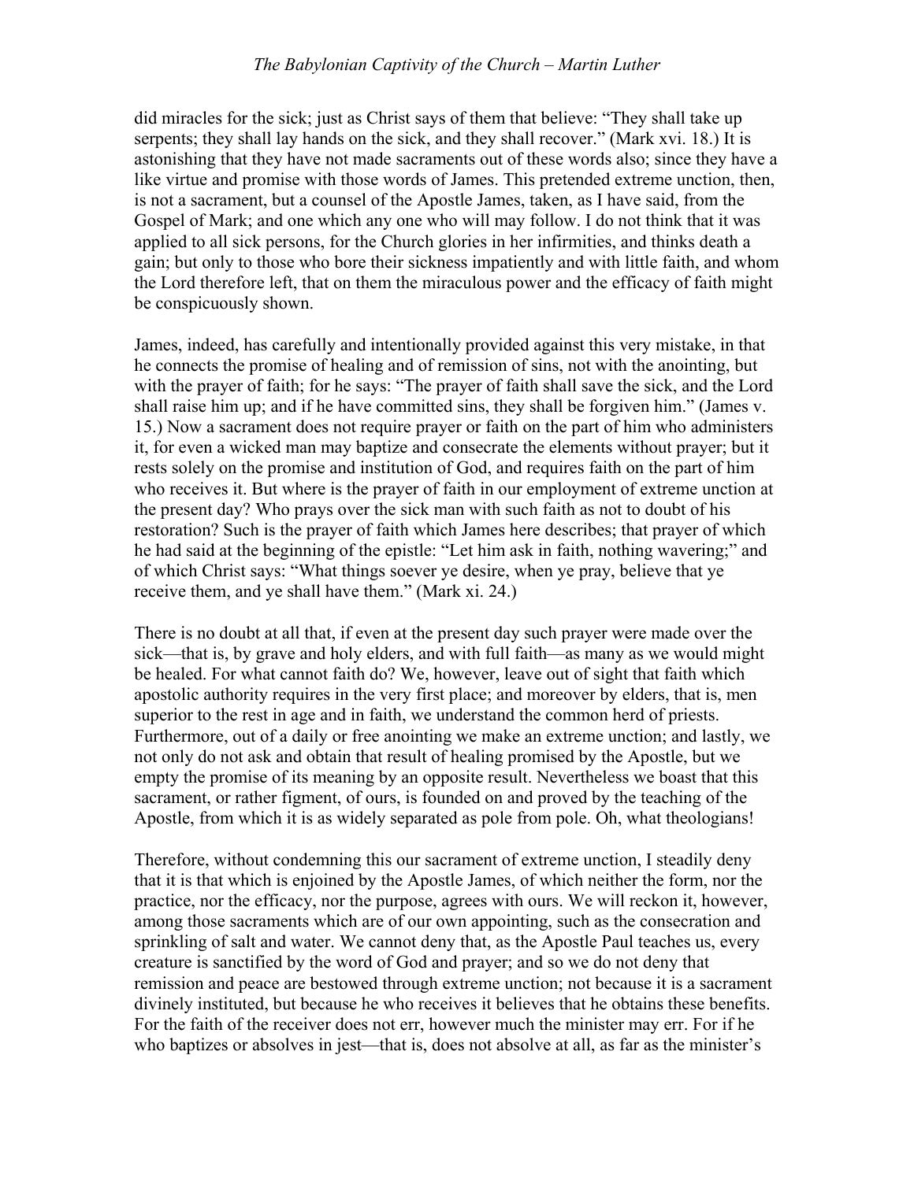did miracles for the sick; just as Christ says of them that believe: "They shall take up serpents; they shall lay hands on the sick, and they shall recover." (Mark xvi. 18.) It is astonishing that they have not made sacraments out of these words also; since they have a like virtue and promise with those words of James. This pretended extreme unction, then, is not a sacrament, but a counsel of the Apostle James, taken, as I have said, from the Gospel of Mark; and one which any one who will may follow. I do not think that it was applied to all sick persons, for the Church glories in her infirmities, and thinks death a gain; but only to those who bore their sickness impatiently and with little faith, and whom the Lord therefore left, that on them the miraculous power and the efficacy of faith might be conspicuously shown.

James, indeed, has carefully and intentionally provided against this very mistake, in that he connects the promise of healing and of remission of sins, not with the anointing, but with the prayer of faith; for he says: "The prayer of faith shall save the sick, and the Lord shall raise him up; and if he have committed sins, they shall be forgiven him." (James v. 15.) Now a sacrament does not require prayer or faith on the part of him who administers it, for even a wicked man may baptize and consecrate the elements without prayer; but it rests solely on the promise and institution of God, and requires faith on the part of him who receives it. But where is the prayer of faith in our employment of extreme unction at the present day? Who prays over the sick man with such faith as not to doubt of his restoration? Such is the prayer of faith which James here describes; that prayer of which he had said at the beginning of the epistle: "Let him ask in faith, nothing wavering;" and of which Christ says: "What things soever ye desire, when ye pray, believe that ye receive them, and ye shall have them." (Mark xi. 24.)

There is no doubt at all that, if even at the present day such prayer were made over the sick—that is, by grave and holy elders, and with full faith—as many as we would might be healed. For what cannot faith do? We, however, leave out of sight that faith which apostolic authority requires in the very first place; and moreover by elders, that is, men superior to the rest in age and in faith, we understand the common herd of priests. Furthermore, out of a daily or free anointing we make an extreme unction; and lastly, we not only do not ask and obtain that result of healing promised by the Apostle, but we empty the promise of its meaning by an opposite result. Nevertheless we boast that this sacrament, or rather figment, of ours, is founded on and proved by the teaching of the Apostle, from which it is as widely separated as pole from pole. Oh, what theologians!

Therefore, without condemning this our sacrament of extreme unction, I steadily deny that it is that which is enjoined by the Apostle James, of which neither the form, nor the practice, nor the efficacy, nor the purpose, agrees with ours. We will reckon it, however, among those sacraments which are of our own appointing, such as the consecration and sprinkling of salt and water. We cannot deny that, as the Apostle Paul teaches us, every creature is sanctified by the word of God and prayer; and so we do not deny that remission and peace are bestowed through extreme unction; not because it is a sacrament divinely instituted, but because he who receives it believes that he obtains these benefits. For the faith of the receiver does not err, however much the minister may err. For if he who baptizes or absolves in jest—that is, does not absolve at all, as far as the minister's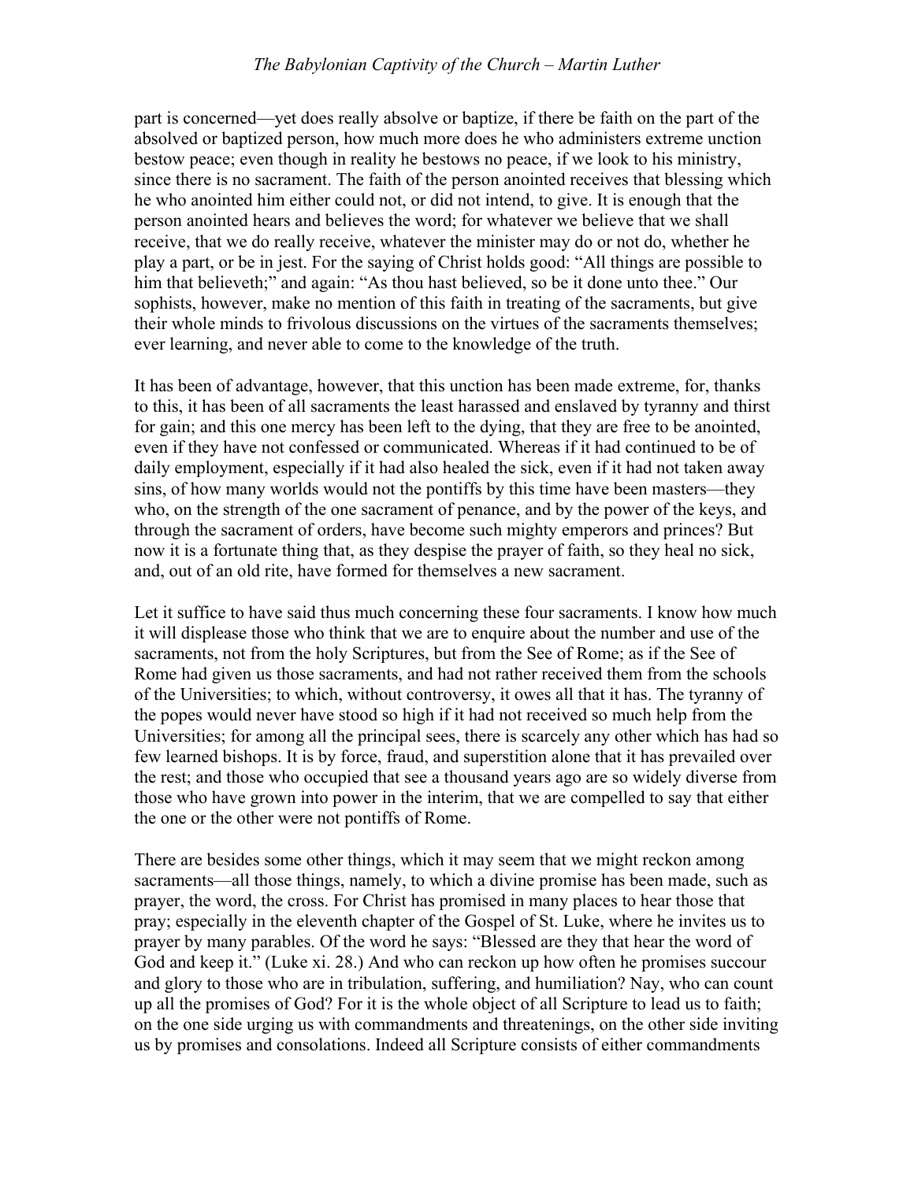part is concerned—yet does really absolve or baptize, if there be faith on the part of the absolved or baptized person, how much more does he who administers extreme unction bestow peace; even though in reality he bestows no peace, if we look to his ministry, since there is no sacrament. The faith of the person anointed receives that blessing which he who anointed him either could not, or did not intend, to give. It is enough that the person anointed hears and believes the word; for whatever we believe that we shall receive, that we do really receive, whatever the minister may do or not do, whether he play a part, or be in jest. For the saying of Christ holds good: "All things are possible to him that believeth;" and again: "As thou hast believed, so be it done unto thee." Our sophists, however, make no mention of this faith in treating of the sacraments, but give their whole minds to frivolous discussions on the virtues of the sacraments themselves; ever learning, and never able to come to the knowledge of the truth.

It has been of advantage, however, that this unction has been made extreme, for, thanks to this, it has been of all sacraments the least harassed and enslaved by tyranny and thirst for gain; and this one mercy has been left to the dying, that they are free to be anointed, even if they have not confessed or communicated. Whereas if it had continued to be of daily employment, especially if it had also healed the sick, even if it had not taken away sins, of how many worlds would not the pontiffs by this time have been masters—they who, on the strength of the one sacrament of penance, and by the power of the keys, and through the sacrament of orders, have become such mighty emperors and princes? But now it is a fortunate thing that, as they despise the prayer of faith, so they heal no sick, and, out of an old rite, have formed for themselves a new sacrament.

Let it suffice to have said thus much concerning these four sacraments. I know how much it will displease those who think that we are to enquire about the number and use of the sacraments, not from the holy Scriptures, but from the See of Rome; as if the See of Rome had given us those sacraments, and had not rather received them from the schools of the Universities; to which, without controversy, it owes all that it has. The tyranny of the popes would never have stood so high if it had not received so much help from the Universities; for among all the principal sees, there is scarcely any other which has had so few learned bishops. It is by force, fraud, and superstition alone that it has prevailed over the rest; and those who occupied that see a thousand years ago are so widely diverse from those who have grown into power in the interim, that we are compelled to say that either the one or the other were not pontiffs of Rome.

There are besides some other things, which it may seem that we might reckon among sacraments—all those things, namely, to which a divine promise has been made, such as prayer, the word, the cross. For Christ has promised in many places to hear those that pray; especially in the eleventh chapter of the Gospel of St. Luke, where he invites us to prayer by many parables. Of the word he says: "Blessed are they that hear the word of God and keep it." (Luke xi. 28.) And who can reckon up how often he promises succour and glory to those who are in tribulation, suffering, and humiliation? Nay, who can count up all the promises of God? For it is the whole object of all Scripture to lead us to faith; on the one side urging us with commandments and threatenings, on the other side inviting us by promises and consolations. Indeed all Scripture consists of either commandments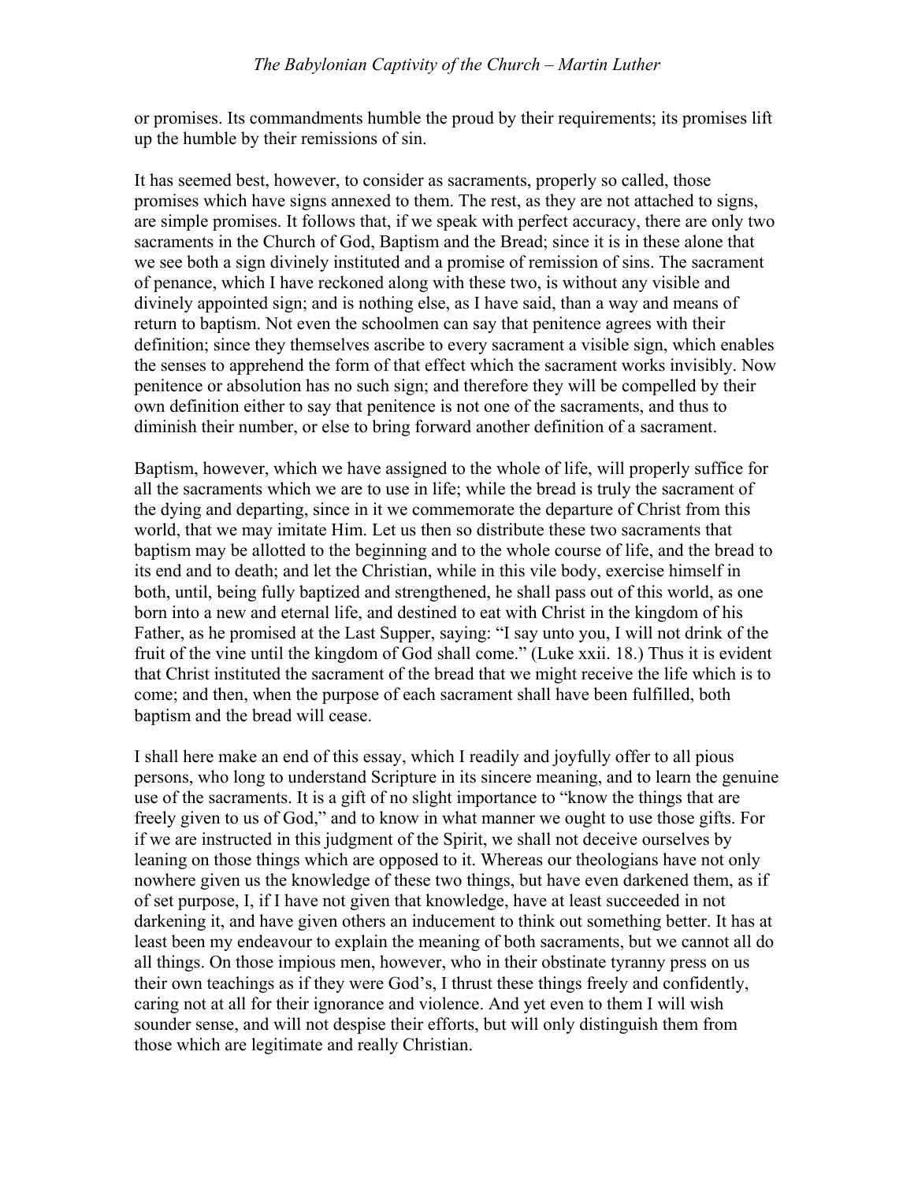or promises. Its commandments humble the proud by their requirements; its promises lift up the humble by their remissions of sin.

It has seemed best, however, to consider as sacraments, properly so called, those promises which have signs annexed to them. The rest, as they are not attached to signs, are simple promises. It follows that, if we speak with perfect accuracy, there are only two sacraments in the Church of God, Baptism and the Bread; since it is in these alone that we see both a sign divinely instituted and a promise of remission of sins. The sacrament of penance, which I have reckoned along with these two, is without any visible and divinely appointed sign; and is nothing else, as I have said, than a way and means of return to baptism. Not even the schoolmen can say that penitence agrees with their definition; since they themselves ascribe to every sacrament a visible sign, which enables the senses to apprehend the form of that effect which the sacrament works invisibly. Now penitence or absolution has no such sign; and therefore they will be compelled by their own definition either to say that penitence is not one of the sacraments, and thus to diminish their number, or else to bring forward another definition of a sacrament.

Baptism, however, which we have assigned to the whole of life, will properly suffice for all the sacraments which we are to use in life; while the bread is truly the sacrament of the dying and departing, since in it we commemorate the departure of Christ from this world, that we may imitate Him. Let us then so distribute these two sacraments that baptism may be allotted to the beginning and to the whole course of life, and the bread to its end and to death; and let the Christian, while in this vile body, exercise himself in both, until, being fully baptized and strengthened, he shall pass out of this world, as one born into a new and eternal life, and destined to eat with Christ in the kingdom of his Father, as he promised at the Last Supper, saying: "I say unto you, I will not drink of the fruit of the vine until the kingdom of God shall come." (Luke xxii. 18.) Thus it is evident that Christ instituted the sacrament of the bread that we might receive the life which is to come; and then, when the purpose of each sacrament shall have been fulfilled, both baptism and the bread will cease.

I shall here make an end of this essay, which I readily and joyfully offer to all pious persons, who long to understand Scripture in its sincere meaning, and to learn the genuine use of the sacraments. It is a gift of no slight importance to "know the things that are freely given to us of God," and to know in what manner we ought to use those gifts. For if we are instructed in this judgment of the Spirit, we shall not deceive ourselves by leaning on those things which are opposed to it. Whereas our theologians have not only nowhere given us the knowledge of these two things, but have even darkened them, as if of set purpose, I, if I have not given that knowledge, have at least succeeded in not darkening it, and have given others an inducement to think out something better. It has at least been my endeavour to explain the meaning of both sacraments, but we cannot all do all things. On those impious men, however, who in their obstinate tyranny press on us their own teachings as if they were God's, I thrust these things freely and confidently, caring not at all for their ignorance and violence. And yet even to them I will wish sounder sense, and will not despise their efforts, but will only distinguish them from those which are legitimate and really Christian.